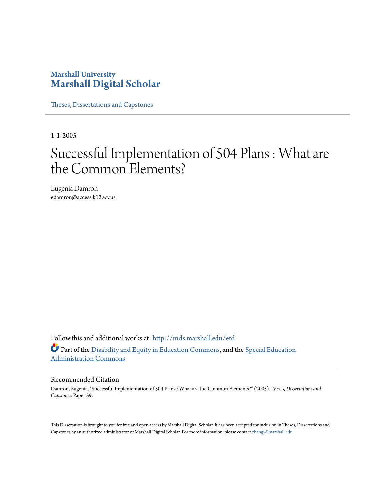# **Marshall University [Marshall Digital Scholar](http://mds.marshall.edu?utm_source=mds.marshall.edu%2Fetd%2F39&utm_medium=PDF&utm_campaign=PDFCoverPages)**

[Theses, Dissertations and Capstones](http://mds.marshall.edu/etd?utm_source=mds.marshall.edu%2Fetd%2F39&utm_medium=PDF&utm_campaign=PDFCoverPages)

1-1-2005

# Successful Implementation of 504 Plans : What are the Common Elements?

Eugenia Damron edamron@access.k12.wv.us

Follow this and additional works at: [http://mds.marshall.edu/etd](http://mds.marshall.edu/etd?utm_source=mds.marshall.edu%2Fetd%2F39&utm_medium=PDF&utm_campaign=PDFCoverPages) Part of the [Disability and Equity in Education Commons,](http://network.bepress.com/hgg/discipline/1040?utm_source=mds.marshall.edu%2Fetd%2F39&utm_medium=PDF&utm_campaign=PDFCoverPages) and the [Special Education](http://network.bepress.com/hgg/discipline/788?utm_source=mds.marshall.edu%2Fetd%2F39&utm_medium=PDF&utm_campaign=PDFCoverPages) [Administration Commons](http://network.bepress.com/hgg/discipline/788?utm_source=mds.marshall.edu%2Fetd%2F39&utm_medium=PDF&utm_campaign=PDFCoverPages)

#### Recommended Citation

Damron, Eugenia, "Successful Implementation of 504 Plans : What are the Common Elements?" (2005). *Theses, Dissertations and Capstones.* Paper 39.

This Dissertation is brought to you for free and open access by Marshall Digital Scholar. It has been accepted for inclusion in Theses, Dissertations and Capstones by an authorized administrator of Marshall Digital Scholar. For more information, please contact [zhangj@marshall.edu.](mailto:zhangj@marshall.edu)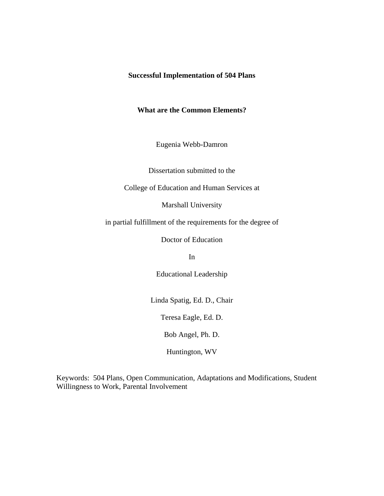# **Successful Implementation of 504 Plans**

# **What are the Common Elements?**

Eugenia Webb-Damron

Dissertation submitted to the

College of Education and Human Services at

Marshall University

in partial fulfillment of the requirements for the degree of

Doctor of Education

In

Educational Leadership

Linda Spatig, Ed. D., Chair

Teresa Eagle, Ed. D.

Bob Angel, Ph. D.

Huntington, WV

Keywords: 504 Plans, Open Communication, Adaptations and Modifications, Student Willingness to Work, Parental Involvement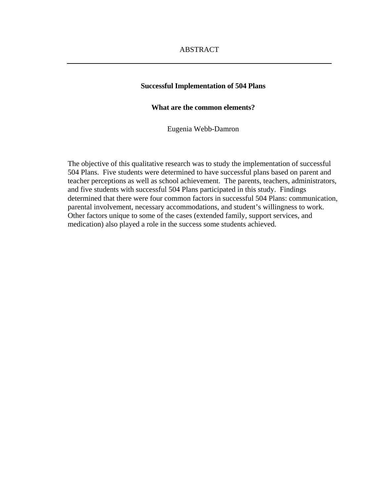# ABSTRACT

#### **Successful Implementation of 504 Plans**

# **What are the common elements?**

Eugenia Webb-Damron

The objective of this qualitative research was to study the implementation of successful 504 Plans. Five students were determined to have successful plans based on parent and teacher perceptions as well as school achievement. The parents, teachers, administrators, and five students with successful 504 Plans participated in this study. Findings determined that there were four common factors in successful 504 Plans: communication, parental involvement, necessary accommodations, and student's willingness to work. Other factors unique to some of the cases (extended family, support services, and medication) also played a role in the success some students achieved.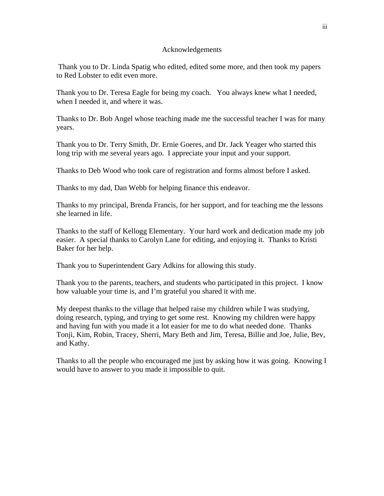# Acknowledgements

 Thank you to Dr. Linda Spatig who edited, edited some more, and then took my papers to Red Lobster to edit even more.

Thank you to Dr. Teresa Eagle for being my coach. You always knew what I needed, when I needed it, and where it was.

Thanks to Dr. Bob Angel whose teaching made me the successful teacher I was for many years.

Thank you to Dr. Terry Smith, Dr. Ernie Goeres, and Dr. Jack Yeager who started this long trip with me several years ago. I appreciate your input and your support.

Thanks to Deb Wood who took care of registration and forms almost before I asked.

Thanks to my dad, Dan Webb for helping finance this endeavor.

Thanks to my principal, Brenda Francis, for her support, and for teaching me the lessons she learned in life.

Thanks to the staff of Kellogg Elementary. Your hard work and dedication made my job easier. A special thanks to Carolyn Lane for editing, and enjoying it. Thanks to Kristi Baker for her help.

Thank you to Superintendent Gary Adkins for allowing this study.

Thank you to the parents, teachers, and students who participated in this project. I know how valuable your time is, and I'm grateful you shared it with me.

My deepest thanks to the village that helped raise my children while I was studying, doing research, typing, and trying to get some rest. Knowing my children were happy and having fun with you made it a lot easier for me to do what needed done. Thanks Tonji, Kim, Robin, Tracey, Sherri, Mary Beth and Jim, Teresa, Billie and Joe, Julie, Bev, and Kathy.

Thanks to all the people who encouraged me just by asking how it was going. Knowing I would have to answer to you made it impossible to quit.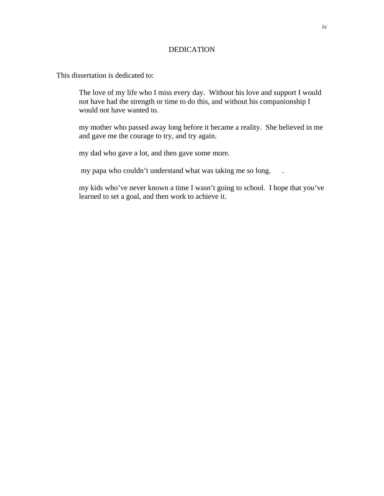# DEDICATION

This dissertation is dedicated to:

The love of my life who I miss every day. Without his love and support I would not have had the strength or time to do this, and without his companionship I would not have wanted to.

my mother who passed away long before it became a reality. She believed in me and gave me the courage to try, and try again.

my dad who gave a lot, and then gave some more.

my papa who couldn't understand what was taking me so long. .

 my kids who've never known a time I wasn't going to school. I hope that you've learned to set a goal, and then work to achieve it.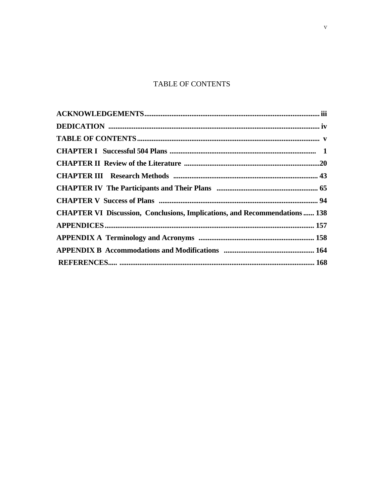# **TABLE OF CONTENTS**

| <b>CHAPTER VI Discussion, Conclusions, Implications, and Recommendations  138</b> |  |
|-----------------------------------------------------------------------------------|--|
|                                                                                   |  |
|                                                                                   |  |
|                                                                                   |  |
|                                                                                   |  |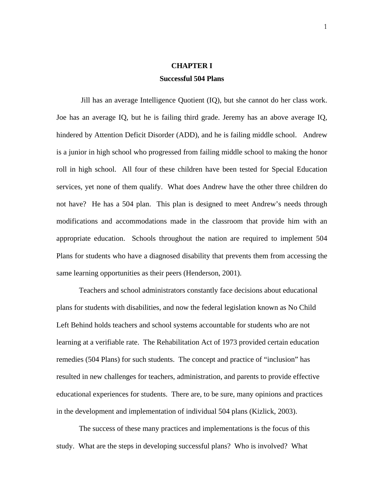# **CHAPTER I Successful 504 Plans**

Jill has an average Intelligence Quotient (IQ), but she cannot do her class work. Joe has an average IQ, but he is failing third grade. Jeremy has an above average IQ, hindered by Attention Deficit Disorder (ADD), and he is failing middle school. Andrew is a junior in high school who progressed from failing middle school to making the honor roll in high school. All four of these children have been tested for Special Education services, yet none of them qualify. What does Andrew have the other three children do not have? He has a 504 plan. This plan is designed to meet Andrew's needs through modifications and accommodations made in the classroom that provide him with an appropriate education. Schools throughout the nation are required to implement 504 Plans for students who have a diagnosed disability that prevents them from accessing the same learning opportunities as their peers (Henderson, 2001).

 Teachers and school administrators constantly face decisions about educational plans for students with disabilities, and now the federal legislation known as No Child Left Behind holds teachers and school systems accountable for students who are not learning at a verifiable rate. The Rehabilitation Act of 1973 provided certain education remedies (504 Plans) for such students. The concept and practice of "inclusion" has resulted in new challenges for teachers, administration, and parents to provide effective educational experiences for students. There are, to be sure, many opinions and practices in the development and implementation of individual 504 plans (Kizlick, 2003).

 The success of these many practices and implementations is the focus of this study. What are the steps in developing successful plans? Who is involved? What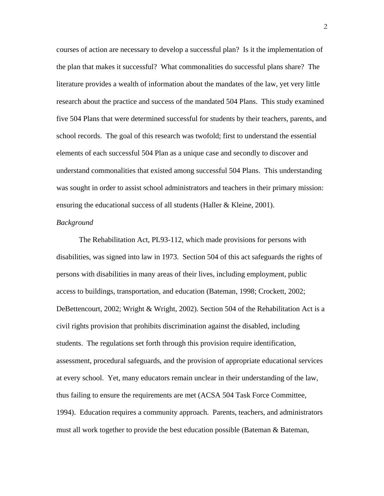courses of action are necessary to develop a successful plan? Is it the implementation of the plan that makes it successful? What commonalities do successful plans share? The literature provides a wealth of information about the mandates of the law, yet very little research about the practice and success of the mandated 504 Plans. This study examined five 504 Plans that were determined successful for students by their teachers, parents, and school records. The goal of this research was twofold; first to understand the essential elements of each successful 504 Plan as a unique case and secondly to discover and understand commonalities that existed among successful 504 Plans. This understanding was sought in order to assist school administrators and teachers in their primary mission: ensuring the educational success of all students (Haller & Kleine, 2001).

#### *Background*

 The Rehabilitation Act, PL93-112, which made provisions for persons with disabilities, was signed into law in 1973. Section 504 of this act safeguards the rights of persons with disabilities in many areas of their lives, including employment, public access to buildings, transportation, and education (Bateman, 1998; Crockett, 2002; DeBettencourt, 2002; Wright & Wright, 2002). Section 504 of the Rehabilitation Act is a civil rights provision that prohibits discrimination against the disabled, including students. The regulations set forth through this provision require identification, assessment, procedural safeguards, and the provision of appropriate educational services at every school. Yet, many educators remain unclear in their understanding of the law, thus failing to ensure the requirements are met (ACSA 504 Task Force Committee, 1994). Education requires a community approach. Parents, teachers, and administrators must all work together to provide the best education possible (Bateman & Bateman,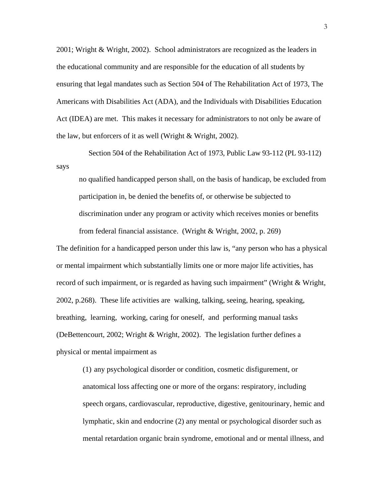2001; Wright & Wright, 2002). School administrators are recognized as the leaders in the educational community and are responsible for the education of all students by ensuring that legal mandates such as Section 504 of The Rehabilitation Act of 1973, The Americans with Disabilities Act (ADA), and the Individuals with Disabilities Education Act (IDEA) are met. This makes it necessary for administrators to not only be aware of the law, but enforcers of it as well (Wright & Wright, 2002).

 Section 504 of the Rehabilitation Act of 1973, Public Law 93-112 (PL 93-112) says

no qualified handicapped person shall, on the basis of handicap, be excluded from participation in, be denied the benefits of, or otherwise be subjected to discrimination under any program or activity which receives monies or benefits from federal financial assistance. (Wright & Wright, 2002, p. 269)

The definition for a handicapped person under this law is, "any person who has a physical or mental impairment which substantially limits one or more major life activities, has record of such impairment, or is regarded as having such impairment" (Wright & Wright, 2002, p.268). These life activities are walking, talking, seeing, hearing, speaking, breathing, learning, working, caring for oneself, and performing manual tasks (DeBettencourt, 2002; Wright & Wright, 2002). The legislation further defines a physical or mental impairment as

(1) any psychological disorder or condition, cosmetic disfigurement, or anatomical loss affecting one or more of the organs: respiratory, including speech organs, cardiovascular, reproductive, digestive, genitourinary, hemic and lymphatic, skin and endocrine (2) any mental or psychological disorder such as mental retardation organic brain syndrome, emotional and or mental illness, and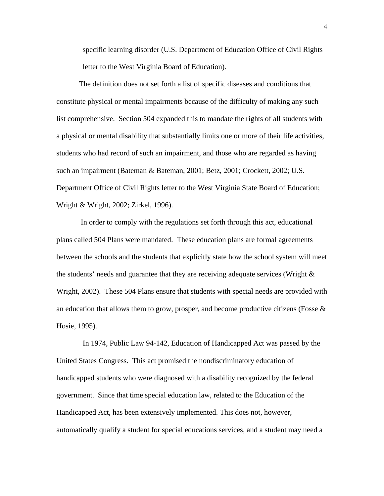specific learning disorder (U.S. Department of Education Office of Civil Rights letter to the West Virginia Board of Education).

 The definition does not set forth a list of specific diseases and conditions that constitute physical or mental impairments because of the difficulty of making any such list comprehensive. Section 504 expanded this to mandate the rights of all students with a physical or mental disability that substantially limits one or more of their life activities, students who had record of such an impairment, and those who are regarded as having such an impairment (Bateman & Bateman, 2001; Betz, 2001; Crockett, 2002; U.S. Department Office of Civil Rights letter to the West Virginia State Board of Education; Wright & Wright, 2002; Zirkel, 1996).

 In order to comply with the regulations set forth through this act, educational plans called 504 Plans were mandated. These education plans are formal agreements between the schools and the students that explicitly state how the school system will meet the students' needs and guarantee that they are receiving adequate services (Wright & Wright, 2002). These 504 Plans ensure that students with special needs are provided with an education that allows them to grow, prosper, and become productive citizens (Fosse  $\&$ Hosie, 1995).

 In 1974, Public Law 94-142, Education of Handicapped Act was passed by the United States Congress. This act promised the nondiscriminatory education of handicapped students who were diagnosed with a disability recognized by the federal government. Since that time special education law, related to the Education of the Handicapped Act, has been extensively implemented. This does not, however, automatically qualify a student for special educations services, and a student may need a

4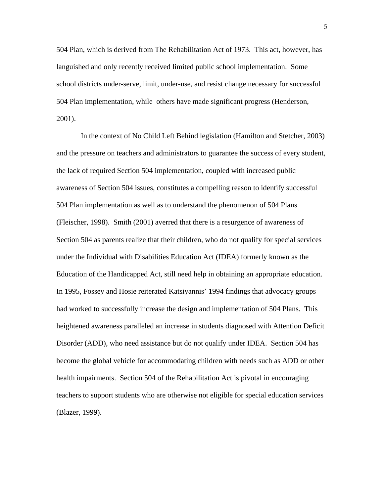504 Plan, which is derived from The Rehabilitation Act of 1973. This act, however, has languished and only recently received limited public school implementation. Some school districts under-serve, limit, under-use, and resist change necessary for successful 504 Plan implementation, while others have made significant progress (Henderson, 2001).

 In the context of No Child Left Behind legislation (Hamilton and Stetcher, 2003) and the pressure on teachers and administrators to guarantee the success of every student, the lack of required Section 504 implementation, coupled with increased public awareness of Section 504 issues, constitutes a compelling reason to identify successful 504 Plan implementation as well as to understand the phenomenon of 504 Plans (Fleischer, 1998). Smith (2001) averred that there is a resurgence of awareness of Section 504 as parents realize that their children, who do not qualify for special services under the Individual with Disabilities Education Act (IDEA) formerly known as the Education of the Handicapped Act, still need help in obtaining an appropriate education. In 1995, Fossey and Hosie reiterated Katsiyannis' 1994 findings that advocacy groups had worked to successfully increase the design and implementation of 504 Plans. This heightened awareness paralleled an increase in students diagnosed with Attention Deficit Disorder (ADD), who need assistance but do not qualify under IDEA. Section 504 has become the global vehicle for accommodating children with needs such as ADD or other health impairments. Section 504 of the Rehabilitation Act is pivotal in encouraging teachers to support students who are otherwise not eligible for special education services (Blazer, 1999).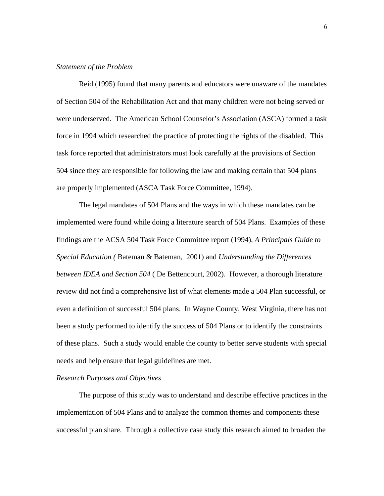#### *Statement of the Problem*

 Reid (1995) found that many parents and educators were unaware of the mandates of Section 504 of the Rehabilitation Act and that many children were not being served or were underserved. The American School Counselor's Association (ASCA) formed a task force in 1994 which researched the practice of protecting the rights of the disabled. This task force reported that administrators must look carefully at the provisions of Section 504 since they are responsible for following the law and making certain that 504 plans are properly implemented (ASCA Task Force Committee, 1994).

 The legal mandates of 504 Plans and the ways in which these mandates can be implemented were found while doing a literature search of 504 Plans. Examples of these findings are the ACSA 504 Task Force Committee report (1994), *A Principals Guide to Special Education (* Bateman & Bateman, 2001) and *Understanding the Differences between IDEA and Section 504* ( De Bettencourt, 2002). However, a thorough literature review did not find a comprehensive list of what elements made a 504 Plan successful, or even a definition of successful 504 plans. In Wayne County, West Virginia, there has not been a study performed to identify the success of 504 Plans or to identify the constraints of these plans. Such a study would enable the county to better serve students with special needs and help ensure that legal guidelines are met.

#### *Research Purposes and Objectives*

 The purpose of this study was to understand and describe effective practices in the implementation of 504 Plans and to analyze the common themes and components these successful plan share. Through a collective case study this research aimed to broaden the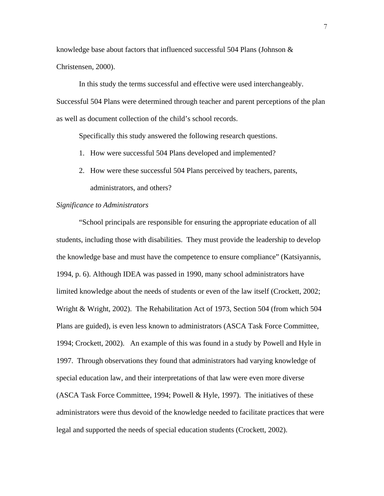knowledge base about factors that influenced successful 504 Plans (Johnson & Christensen, 2000).

 In this study the terms successful and effective were used interchangeably. Successful 504 Plans were determined through teacher and parent perceptions of the plan as well as document collection of the child's school records.

Specifically this study answered the following research questions.

- 1. How were successful 504 Plans developed and implemented?
- 2. How were these successful 504 Plans perceived by teachers, parents, administrators, and others?

#### *Significance to Administrators*

 "School principals are responsible for ensuring the appropriate education of all students, including those with disabilities. They must provide the leadership to develop the knowledge base and must have the competence to ensure compliance" (Katsiyannis, 1994, p. 6). Although IDEA was passed in 1990, many school administrators have limited knowledge about the needs of students or even of the law itself (Crockett, 2002; Wright & Wright, 2002). The Rehabilitation Act of 1973, Section 504 (from which 504 Plans are guided), is even less known to administrators (ASCA Task Force Committee, 1994; Crockett, 2002). An example of this was found in a study by Powell and Hyle in 1997. Through observations they found that administrators had varying knowledge of special education law, and their interpretations of that law were even more diverse (ASCA Task Force Committee, 1994; Powell & Hyle, 1997). The initiatives of these administrators were thus devoid of the knowledge needed to facilitate practices that were legal and supported the needs of special education students (Crockett, 2002).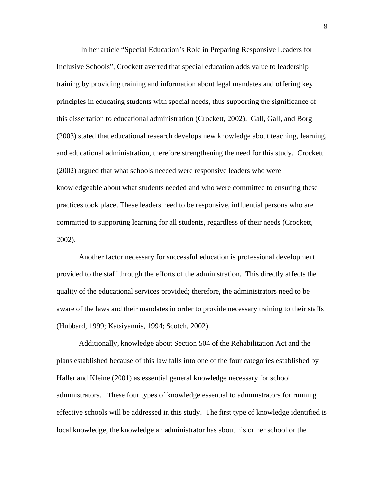In her article "Special Education's Role in Preparing Responsive Leaders for Inclusive Schools"*,* Crockett averred that special education adds value to leadership training by providing training and information about legal mandates and offering key principles in educating students with special needs, thus supporting the significance of this dissertation to educational administration (Crockett, 2002). Gall, Gall, and Borg (2003) stated that educational research develops new knowledge about teaching, learning, and educational administration, therefore strengthening the need for this study. Crockett (2002) argued that what schools needed were responsive leaders who were knowledgeable about what students needed and who were committed to ensuring these practices took place. These leaders need to be responsive, influential persons who are committed to supporting learning for all students, regardless of their needs (Crockett, 2002).

 Another factor necessary for successful education is professional development provided to the staff through the efforts of the administration. This directly affects the quality of the educational services provided; therefore, the administrators need to be aware of the laws and their mandates in order to provide necessary training to their staffs (Hubbard, 1999; Katsiyannis, 1994; Scotch, 2002).

 Additionally, knowledge about Section 504 of the Rehabilitation Act and the plans established because of this law falls into one of the four categories established by Haller and Kleine (2001) as essential general knowledge necessary for school administrators. These four types of knowledge essential to administrators for running effective schools will be addressed in this study. The first type of knowledge identified is local knowledge, the knowledge an administrator has about his or her school or the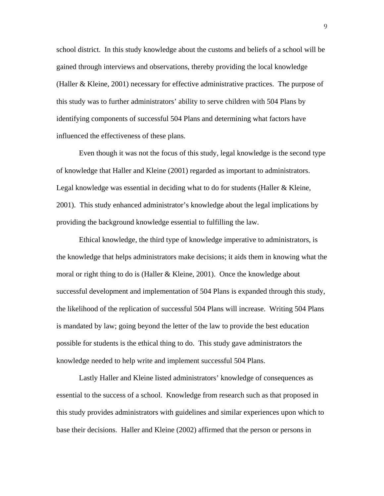school district. In this study knowledge about the customs and beliefs of a school will be gained through interviews and observations, thereby providing the local knowledge (Haller & Kleine, 2001) necessary for effective administrative practices. The purpose of this study was to further administrators' ability to serve children with 504 Plans by identifying components of successful 504 Plans and determining what factors have influenced the effectiveness of these plans.

 Even though it was not the focus of this study, legal knowledge is the second type of knowledge that Haller and Kleine (2001) regarded as important to administrators. Legal knowledge was essential in deciding what to do for students (Haller & Kleine, 2001). This study enhanced administrator's knowledge about the legal implications by providing the background knowledge essential to fulfilling the law.

 Ethical knowledge, the third type of knowledge imperative to administrators, is the knowledge that helps administrators make decisions; it aids them in knowing what the moral or right thing to do is (Haller  $&$  Kleine, 2001). Once the knowledge about successful development and implementation of 504 Plans is expanded through this study, the likelihood of the replication of successful 504 Plans will increase. Writing 504 Plans is mandated by law; going beyond the letter of the law to provide the best education possible for students is the ethical thing to do. This study gave administrators the knowledge needed to help write and implement successful 504 Plans.

 Lastly Haller and Kleine listed administrators' knowledge of consequences as essential to the success of a school. Knowledge from research such as that proposed in this study provides administrators with guidelines and similar experiences upon which to base their decisions. Haller and Kleine (2002) affirmed that the person or persons in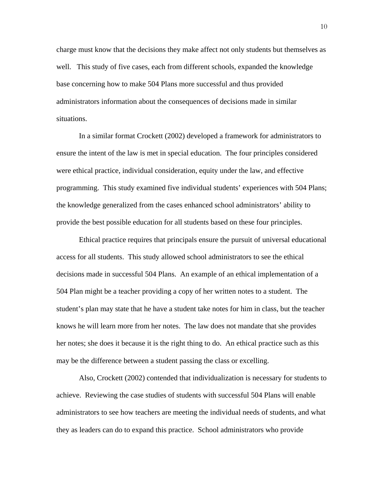charge must know that the decisions they make affect not only students but themselves as well. This study of five cases, each from different schools, expanded the knowledge base concerning how to make 504 Plans more successful and thus provided administrators information about the consequences of decisions made in similar situations.

 In a similar format Crockett (2002) developed a framework for administrators to ensure the intent of the law is met in special education. The four principles considered were ethical practice, individual consideration, equity under the law, and effective programming. This study examined five individual students' experiences with 504 Plans; the knowledge generalized from the cases enhanced school administrators' ability to provide the best possible education for all students based on these four principles.

 Ethical practice requires that principals ensure the pursuit of universal educational access for all students. This study allowed school administrators to see the ethical decisions made in successful 504 Plans. An example of an ethical implementation of a 504 Plan might be a teacher providing a copy of her written notes to a student. The student's plan may state that he have a student take notes for him in class, but the teacher knows he will learn more from her notes. The law does not mandate that she provides her notes; she does it because it is the right thing to do. An ethical practice such as this may be the difference between a student passing the class or excelling.

 Also, Crockett (2002) contended that individualization is necessary for students to achieve. Reviewing the case studies of students with successful 504 Plans will enable administrators to see how teachers are meeting the individual needs of students, and what they as leaders can do to expand this practice. School administrators who provide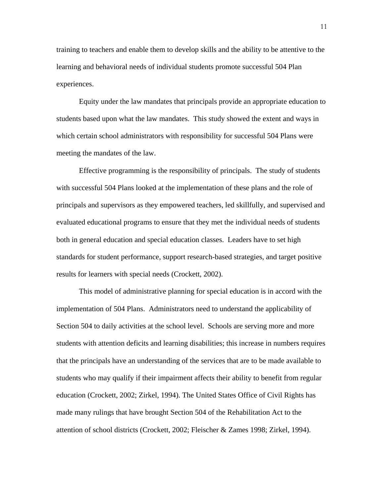training to teachers and enable them to develop skills and the ability to be attentive to the learning and behavioral needs of individual students promote successful 504 Plan experiences.

 Equity under the law mandates that principals provide an appropriate education to students based upon what the law mandates. This study showed the extent and ways in which certain school administrators with responsibility for successful 504 Plans were meeting the mandates of the law.

 Effective programming is the responsibility of principals. The study of students with successful 504 Plans looked at the implementation of these plans and the role of principals and supervisors as they empowered teachers, led skillfully, and supervised and evaluated educational programs to ensure that they met the individual needs of students both in general education and special education classes. Leaders have to set high standards for student performance, support research-based strategies, and target positive results for learners with special needs (Crockett, 2002).

 This model of administrative planning for special education is in accord with the implementation of 504 Plans. Administrators need to understand the applicability of Section 504 to daily activities at the school level. Schools are serving more and more students with attention deficits and learning disabilities; this increase in numbers requires that the principals have an understanding of the services that are to be made available to students who may qualify if their impairment affects their ability to benefit from regular education (Crockett, 2002; Zirkel, 1994). The United States Office of Civil Rights has made many rulings that have brought Section 504 of the Rehabilitation Act to the attention of school districts (Crockett, 2002; Fleischer & Zames 1998; Zirkel, 1994).

11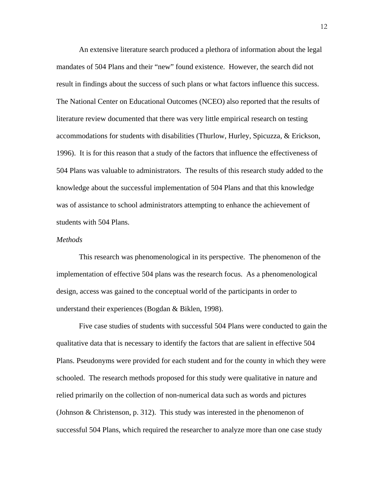An extensive literature search produced a plethora of information about the legal mandates of 504 Plans and their "new" found existence. However, the search did not result in findings about the success of such plans or what factors influence this success. The National Center on Educational Outcomes (NCEO) also reported that the results of literature review documented that there was very little empirical research on testing accommodations for students with disabilities (Thurlow, Hurley, Spicuzza, & Erickson, 1996). It is for this reason that a study of the factors that influence the effectiveness of 504 Plans was valuable to administrators. The results of this research study added to the knowledge about the successful implementation of 504 Plans and that this knowledge was of assistance to school administrators attempting to enhance the achievement of students with 504 Plans.

#### *Methods*

This research was phenomenological in its perspective. The phenomenon of the implementation of effective 504 plans was the research focus. As a phenomenological design, access was gained to the conceptual world of the participants in order to understand their experiences (Bogdan & Biklen, 1998).

 Five case studies of students with successful 504 Plans were conducted to gain the qualitative data that is necessary to identify the factors that are salient in effective 504 Plans. Pseudonyms were provided for each student and for the county in which they were schooled. The research methods proposed for this study were qualitative in nature and relied primarily on the collection of non-numerical data such as words and pictures (Johnson & Christenson, p. 312). This study was interested in the phenomenon of successful 504 Plans, which required the researcher to analyze more than one case study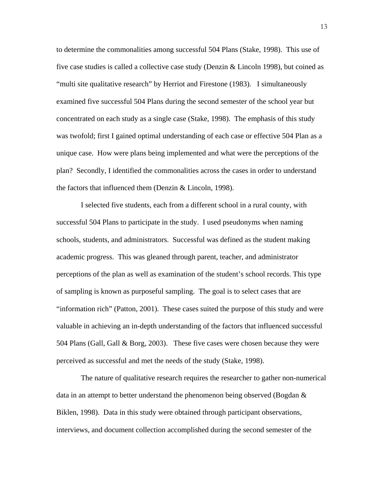to determine the commonalities among successful 504 Plans (Stake, 1998). This use of five case studies is called a collective case study (Denzin & Lincoln 1998), but coined as "multi site qualitative research" by Herriot and Firestone (1983). I simultaneously examined five successful 504 Plans during the second semester of the school year but concentrated on each study as a single case (Stake, 1998). The emphasis of this study was twofold; first I gained optimal understanding of each case or effective 504 Plan as a unique case. How were plans being implemented and what were the perceptions of the plan? Secondly, I identified the commonalities across the cases in order to understand the factors that influenced them (Denzin & Lincoln, 1998).

I selected five students, each from a different school in a rural county, with successful 504 Plans to participate in the study. I used pseudonyms when naming schools, students, and administrators. Successful was defined as the student making academic progress. This was gleaned through parent, teacher, and administrator perceptions of the plan as well as examination of the student's school records. This type of sampling is known as purposeful sampling. The goal is to select cases that are "information rich" (Patton, 2001). These cases suited the purpose of this study and were valuable in achieving an in-depth understanding of the factors that influenced successful 504 Plans (Gall, Gall & Borg, 2003). These five cases were chosen because they were perceived as successful and met the needs of the study (Stake, 1998).

 The nature of qualitative research requires the researcher to gather non-numerical data in an attempt to better understand the phenomenon being observed (Bogdan  $\&$ Biklen, 1998). Data in this study were obtained through participant observations, interviews, and document collection accomplished during the second semester of the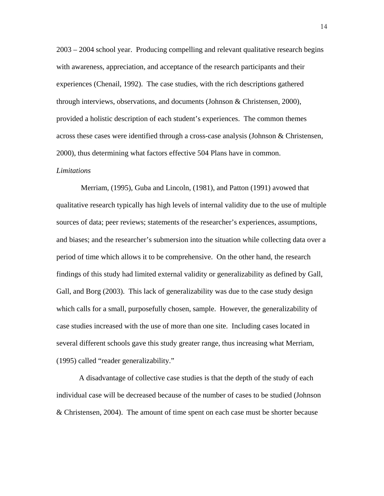2003 – 2004 school year. Producing compelling and relevant qualitative research begins with awareness, appreciation, and acceptance of the research participants and their experiences (Chenail, 1992). The case studies, with the rich descriptions gathered through interviews, observations, and documents (Johnson & Christensen, 2000), provided a holistic description of each student's experiences. The common themes across these cases were identified through a cross-case analysis (Johnson & Christensen, 2000), thus determining what factors effective 504 Plans have in common.

#### *Limitations*

Merriam, (1995), Guba and Lincoln, (1981), and Patton (1991) avowed that qualitative research typically has high levels of internal validity due to the use of multiple sources of data; peer reviews; statements of the researcher's experiences, assumptions, and biases; and the researcher's submersion into the situation while collecting data over a period of time which allows it to be comprehensive. On the other hand, the research findings of this study had limited external validity or generalizability as defined by Gall, Gall, and Borg (2003). This lack of generalizability was due to the case study design which calls for a small, purposefully chosen, sample. However, the generalizability of case studies increased with the use of more than one site. Including cases located in several different schools gave this study greater range, thus increasing what Merriam, (1995) called "reader generalizability."

A disadvantage of collective case studies is that the depth of the study of each individual case will be decreased because of the number of cases to be studied (Johnson & Christensen, 2004). The amount of time spent on each case must be shorter because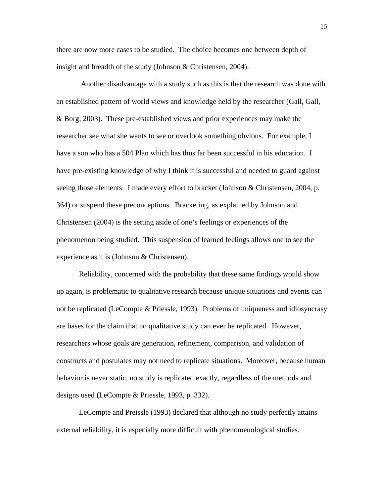there are now more cases to be studied. The choice becomes one between depth of insight and breadth of the study (Johnson & Christensen, 2004).

 Another disadvantage with a study such as this is that the research was done with an established pattern of world views and knowledge held by the researcher (Gall, Gall, & Borg, 2003). These pre-established views and prior experiences may make the researcher see what she wants to see or overlook something obvious. For example, I have a son who has a 504 Plan which has thus far been successful in his education. I have pre-existing knowledge of why I think it is successful and needed to guard against seeing those elements. I made every effort to bracket (Johnson & Christensen, 2004, p. 364) or suspend these preconceptions. Bracketing, as explained by Johnson and Christensen (2004) is the setting aside of one's feelings or experiences of the phenomenon being studied. This suspension of learned feelings allows one to see the experience as it is (Johnson & Christensen).

 Reliability, concerned with the probability that these same findings would show up again, is problematic to qualitative research because unique situations and events can not be replicated (LeCompte & Priessle, 1993). Problems of uniqueness and idiosyncrasy are bases for the claim that no qualitative study can ever be replicated. However, researchers whose goals are generation, refinement, comparison, and validation of constructs and postulates may not need to replicate situations. Moreover, because human behavior is never static, no study is replicated exactly, regardless of the methods and designs used (LeCompte & Priessle, 1993, p. 332).

 LeCompte and Preissle (1993) declared that although no study perfectly attains external reliability, it is especially more difficult with phenomenological studies.

15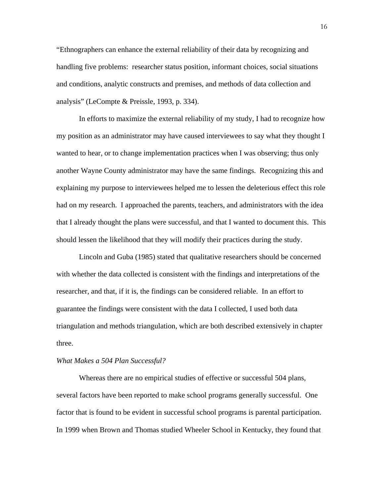"Ethnographers can enhance the external reliability of their data by recognizing and handling five problems: researcher status position, informant choices, social situations and conditions, analytic constructs and premises, and methods of data collection and analysis" (LeCompte & Preissle, 1993, p. 334).

 In efforts to maximize the external reliability of my study, I had to recognize how my position as an administrator may have caused interviewees to say what they thought I wanted to hear, or to change implementation practices when I was observing; thus only another Wayne County administrator may have the same findings. Recognizing this and explaining my purpose to interviewees helped me to lessen the deleterious effect this role had on my research. I approached the parents, teachers, and administrators with the idea that I already thought the plans were successful, and that I wanted to document this. This should lessen the likelihood that they will modify their practices during the study.

 Lincoln and Guba (1985) stated that qualitative researchers should be concerned with whether the data collected is consistent with the findings and interpretations of the researcher, and that, if it is, the findings can be considered reliable. In an effort to guarantee the findings were consistent with the data I collected, I used both data triangulation and methods triangulation, which are both described extensively in chapter three.

#### *What Makes a 504 Plan Successful?*

Whereas there are no empirical studies of effective or successful 504 plans, several factors have been reported to make school programs generally successful. One factor that is found to be evident in successful school programs is parental participation. In 1999 when Brown and Thomas studied Wheeler School in Kentucky, they found that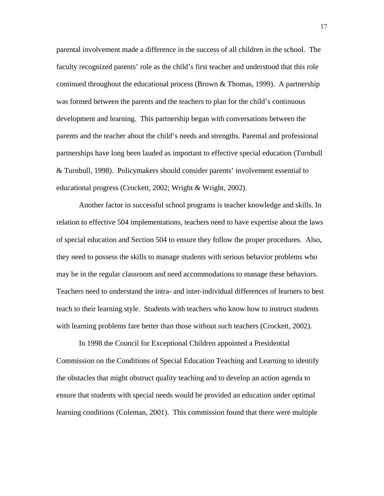parental involvement made a difference in the success of all children in the school. The faculty recognized parents' role as the child's first teacher and understood that this role continued throughout the educational process (Brown  $\&$  Thomas, 1999). A partnership was formed between the parents and the teachers to plan for the child's continuous development and learning. This partnership began with conversations between the parents and the teacher about the child's needs and strengths. Parental and professional partnerships have long been lauded as important to effective special education (Turnbull & Turnbull, 1998). Policymakers should consider parents' involvement essential to educational progress (Crockett, 2002; Wright & Wright, 2002).

Another factor in successful school programs is teacher knowledge and skills. In relation to effective 504 implementations, teachers need to have expertise about the laws of special education and Section 504 to ensure they follow the proper procedures. Also, they need to possess the skills to manage students with serious behavior problems who may be in the regular classroom and need accommodations to manage these behaviors. Teachers need to understand the intra- and inter-individual differences of learners to best teach to their learning style. Students with teachers who know how to instruct students with learning problems fare better than those without such teachers (Crockett, 2002).

 In 1998 the Council for Exceptional Children appointed a Presidential Commission on the Conditions of Special Education Teaching and Learning to identify the obstacles that might obstruct quality teaching and to develop an action agenda to ensure that students with special needs would be provided an education under optimal learning conditions (Coleman, 2001). This commission found that there were multiple

17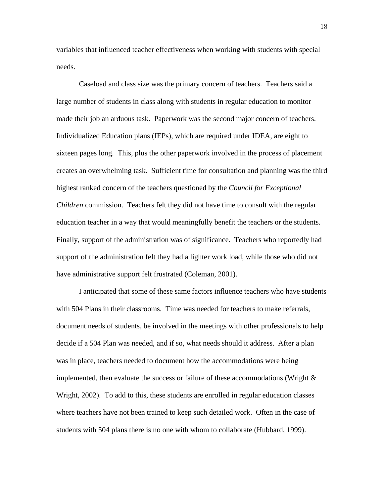variables that influenced teacher effectiveness when working with students with special needs.

 Caseload and class size was the primary concern of teachers. Teachers said a large number of students in class along with students in regular education to monitor made their job an arduous task. Paperwork was the second major concern of teachers. Individualized Education plans (IEPs), which are required under IDEA, are eight to sixteen pages long. This, plus the other paperwork involved in the process of placement creates an overwhelming task. Sufficient time for consultation and planning was the third highest ranked concern of the teachers questioned by the *Council for Exceptional Children* commission. Teachers felt they did not have time to consult with the regular education teacher in a way that would meaningfully benefit the teachers or the students. Finally, support of the administration was of significance. Teachers who reportedly had support of the administration felt they had a lighter work load, while those who did not have administrative support felt frustrated (Coleman, 2001).

 I anticipated that some of these same factors influence teachers who have students with 504 Plans in their classrooms. Time was needed for teachers to make referrals, document needs of students, be involved in the meetings with other professionals to help decide if a 504 Plan was needed, and if so, what needs should it address. After a plan was in place, teachers needed to document how the accommodations were being implemented, then evaluate the success or failure of these accommodations (Wright  $\&$ Wright, 2002). To add to this, these students are enrolled in regular education classes where teachers have not been trained to keep such detailed work. Often in the case of students with 504 plans there is no one with whom to collaborate (Hubbard, 1999).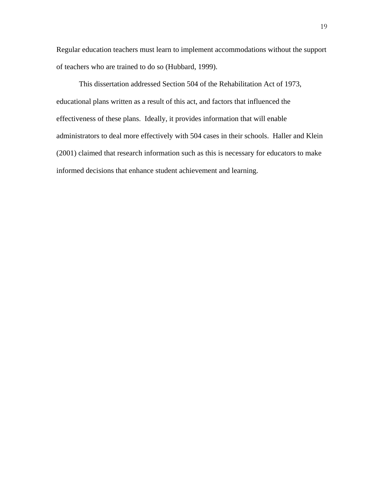Regular education teachers must learn to implement accommodations without the support of teachers who are trained to do so (Hubbard, 1999).

 This dissertation addressed Section 504 of the Rehabilitation Act of 1973, educational plans written as a result of this act, and factors that influenced the effectiveness of these plans. Ideally, it provides information that will enable administrators to deal more effectively with 504 cases in their schools. Haller and Klein (2001) claimed that research information such as this is necessary for educators to make informed decisions that enhance student achievement and learning.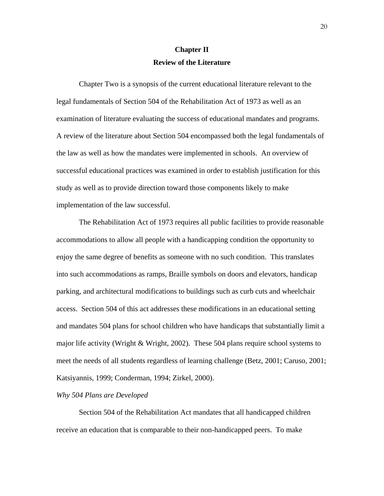# **Chapter II Review of the Literature**

 Chapter Two is a synopsis of the current educational literature relevant to the legal fundamentals of Section 504 of the Rehabilitation Act of 1973 as well as an examination of literature evaluating the success of educational mandates and programs. A review of the literature about Section 504 encompassed both the legal fundamentals of the law as well as how the mandates were implemented in schools. An overview of successful educational practices was examined in order to establish justification for this study as well as to provide direction toward those components likely to make implementation of the law successful.

 The Rehabilitation Act of 1973 requires all public facilities to provide reasonable accommodations to allow all people with a handicapping condition the opportunity to enjoy the same degree of benefits as someone with no such condition. This translates into such accommodations as ramps, Braille symbols on doors and elevators, handicap parking, and architectural modifications to buildings such as curb cuts and wheelchair access. Section 504 of this act addresses these modifications in an educational setting and mandates 504 plans for school children who have handicaps that substantially limit a major life activity (Wright & Wright, 2002). These 504 plans require school systems to meet the needs of all students regardless of learning challenge (Betz, 2001; Caruso, 2001; Katsiyannis, 1999; Conderman, 1994; Zirkel, 2000).

#### *Why 504 Plans are Developed*

Section 504 of the Rehabilitation Act mandates that all handicapped children receive an education that is comparable to their non-handicapped peers. To make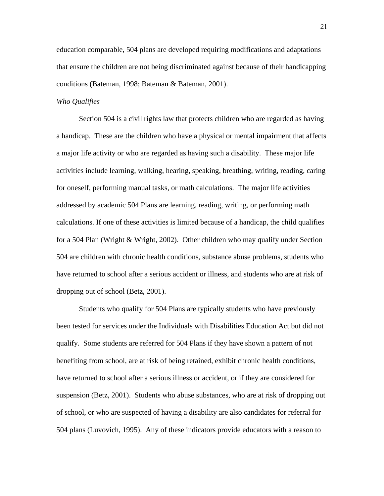education comparable, 504 plans are developed requiring modifications and adaptations that ensure the children are not being discriminated against because of their handicapping conditions (Bateman, 1998; Bateman & Bateman, 2001).

## *Who Qualifies*

Section 504 is a civil rights law that protects children who are regarded as having a handicap. These are the children who have a physical or mental impairment that affects a major life activity or who are regarded as having such a disability. These major life activities include learning, walking, hearing, speaking, breathing, writing, reading, caring for oneself, performing manual tasks, or math calculations. The major life activities addressed by academic 504 Plans are learning, reading, writing, or performing math calculations. If one of these activities is limited because of a handicap, the child qualifies for a 504 Plan (Wright & Wright, 2002). Other children who may qualify under Section 504 are children with chronic health conditions, substance abuse problems, students who have returned to school after a serious accident or illness, and students who are at risk of dropping out of school (Betz, 2001).

 Students who qualify for 504 Plans are typically students who have previously been tested for services under the Individuals with Disabilities Education Act but did not qualify. Some students are referred for 504 Plans if they have shown a pattern of not benefiting from school, are at risk of being retained, exhibit chronic health conditions, have returned to school after a serious illness or accident, or if they are considered for suspension (Betz, 2001). Students who abuse substances, who are at risk of dropping out of school, or who are suspected of having a disability are also candidates for referral for 504 plans (Luvovich, 1995). Any of these indicators provide educators with a reason to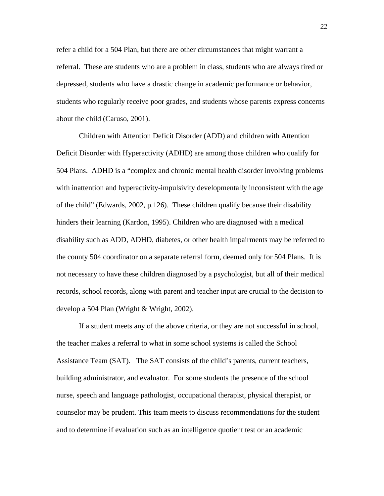refer a child for a 504 Plan, but there are other circumstances that might warrant a referral. These are students who are a problem in class, students who are always tired or depressed, students who have a drastic change in academic performance or behavior, students who regularly receive poor grades, and students whose parents express concerns about the child (Caruso, 2001).

 Children with Attention Deficit Disorder (ADD) and children with Attention Deficit Disorder with Hyperactivity (ADHD) are among those children who qualify for 504 Plans. ADHD is a "complex and chronic mental health disorder involving problems with inattention and hyperactivity-impulsivity developmentally inconsistent with the age of the child" (Edwards, 2002, p.126). These children qualify because their disability hinders their learning (Kardon, 1995). Children who are diagnosed with a medical disability such as ADD, ADHD, diabetes, or other health impairments may be referred to the county 504 coordinator on a separate referral form, deemed only for 504 Plans. It is not necessary to have these children diagnosed by a psychologist, but all of their medical records, school records, along with parent and teacher input are crucial to the decision to develop a 504 Plan (Wright & Wright, 2002).

 If a student meets any of the above criteria, or they are not successful in school, the teacher makes a referral to what in some school systems is called the School Assistance Team (SAT). The SAT consists of the child's parents, current teachers, building administrator, and evaluator. For some students the presence of the school nurse, speech and language pathologist, occupational therapist, physical therapist, or counselor may be prudent. This team meets to discuss recommendations for the student and to determine if evaluation such as an intelligence quotient test or an academic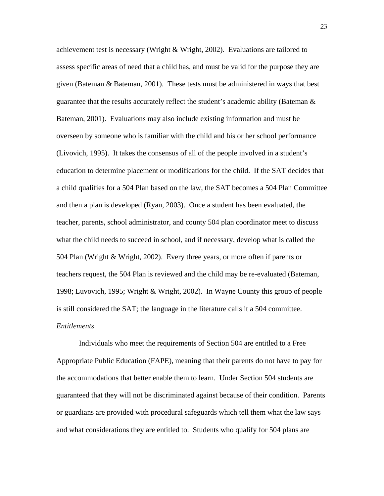achievement test is necessary (Wright & Wright, 2002). Evaluations are tailored to assess specific areas of need that a child has, and must be valid for the purpose they are given (Bateman & Bateman, 2001). These tests must be administered in ways that best guarantee that the results accurately reflect the student's academic ability (Bateman & Bateman, 2001). Evaluations may also include existing information and must be overseen by someone who is familiar with the child and his or her school performance (Livovich, 1995). It takes the consensus of all of the people involved in a student's education to determine placement or modifications for the child. If the SAT decides that a child qualifies for a 504 Plan based on the law, the SAT becomes a 504 Plan Committee and then a plan is developed (Ryan, 2003). Once a student has been evaluated, the teacher, parents, school administrator, and county 504 plan coordinator meet to discuss what the child needs to succeed in school, and if necessary, develop what is called the 504 Plan (Wright & Wright, 2002). Every three years, or more often if parents or teachers request, the 504 Plan is reviewed and the child may be re-evaluated (Bateman, 1998; Luvovich, 1995; Wright & Wright, 2002). In Wayne County this group of people is still considered the SAT; the language in the literature calls it a 504 committee. *Entitlements* 

 Individuals who meet the requirements of Section 504 are entitled to a Free Appropriate Public Education (FAPE), meaning that their parents do not have to pay for the accommodations that better enable them to learn. Under Section 504 students are guaranteed that they will not be discriminated against because of their condition. Parents or guardians are provided with procedural safeguards which tell them what the law says and what considerations they are entitled to. Students who qualify for 504 plans are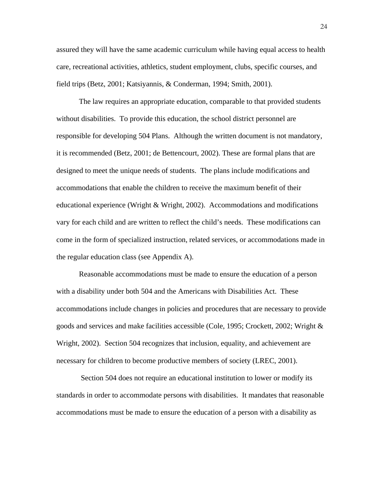assured they will have the same academic curriculum while having equal access to health care, recreational activities, athletics, student employment, clubs, specific courses, and field trips (Betz, 2001; Katsiyannis, & Conderman, 1994; Smith, 2001).

 The law requires an appropriate education, comparable to that provided students without disabilities. To provide this education, the school district personnel are responsible for developing 504 Plans. Although the written document is not mandatory, it is recommended (Betz, 2001; de Bettencourt, 2002). These are formal plans that are designed to meet the unique needs of students. The plans include modifications and accommodations that enable the children to receive the maximum benefit of their educational experience (Wright & Wright, 2002). Accommodations and modifications vary for each child and are written to reflect the child's needs. These modifications can come in the form of specialized instruction, related services, or accommodations made in the regular education class (see Appendix A).

 Reasonable accommodations must be made to ensure the education of a person with a disability under both 504 and the Americans with Disabilities Act. These accommodations include changes in policies and procedures that are necessary to provide goods and services and make facilities accessible (Cole, 1995; Crockett, 2002; Wright & Wright, 2002). Section 504 recognizes that inclusion, equality, and achievement are necessary for children to become productive members of society (LREC, 2001).

 Section 504 does not require an educational institution to lower or modify its standards in order to accommodate persons with disabilities. It mandates that reasonable accommodations must be made to ensure the education of a person with a disability as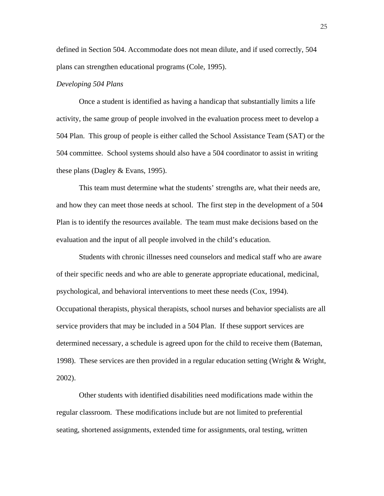defined in Section 504. Accommodate does not mean dilute, and if used correctly, 504 plans can strengthen educational programs (Cole, 1995).

#### *Developing 504 Plans*

 Once a student is identified as having a handicap that substantially limits a life activity, the same group of people involved in the evaluation process meet to develop a 504 Plan. This group of people is either called the School Assistance Team (SAT) or the 504 committee. School systems should also have a 504 coordinator to assist in writing these plans (Dagley & Evans, 1995).

 This team must determine what the students' strengths are, what their needs are, and how they can meet those needs at school. The first step in the development of a 504 Plan is to identify the resources available. The team must make decisions based on the evaluation and the input of all people involved in the child's education.

 Students with chronic illnesses need counselors and medical staff who are aware of their specific needs and who are able to generate appropriate educational, medicinal, psychological, and behavioral interventions to meet these needs (Cox, 1994). Occupational therapists, physical therapists, school nurses and behavior specialists are all service providers that may be included in a 504 Plan. If these support services are determined necessary, a schedule is agreed upon for the child to receive them (Bateman, 1998). These services are then provided in a regular education setting (Wright & Wright, 2002).

 Other students with identified disabilities need modifications made within the regular classroom. These modifications include but are not limited to preferential seating, shortened assignments, extended time for assignments, oral testing, written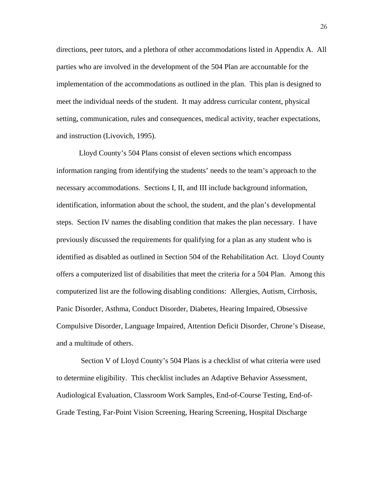directions, peer tutors, and a plethora of other accommodations listed in Appendix A. All parties who are involved in the development of the 504 Plan are accountable for the implementation of the accommodations as outlined in the plan. This plan is designed to meet the individual needs of the student. It may address curricular content, physical setting, communication, rules and consequences, medical activity, teacher expectations, and instruction (Livovich, 1995).

 Lloyd County's 504 Plans consist of eleven sections which encompass information ranging from identifying the students' needs to the team's approach to the necessary accommodations. Sections I, II, and III include background information, identification, information about the school, the student, and the plan's developmental steps. Section IV names the disabling condition that makes the plan necessary. I have previously discussed the requirements for qualifying for a plan as any student who is identified as disabled as outlined in Section 504 of the Rehabilitation Act. Lloyd County offers a computerized list of disabilities that meet the criteria for a 504 Plan. Among this computerized list are the following disabling conditions: Allergies, Autism, Cirrhosis, Panic Disorder, Asthma, Conduct Disorder, Diabetes, Hearing Impaired, Obsessive Compulsive Disorder, Language Impaired, Attention Deficit Disorder, Chrone's Disease, and a multitude of others.

 Section V of Lloyd County's 504 Plans is a checklist of what criteria were used to determine eligibility. This checklist includes an Adaptive Behavior Assessment, Audiological Evaluation, Classroom Work Samples, End-of-Course Testing, End-of-Grade Testing, Far-Point Vision Screening, Hearing Screening, Hospital Discharge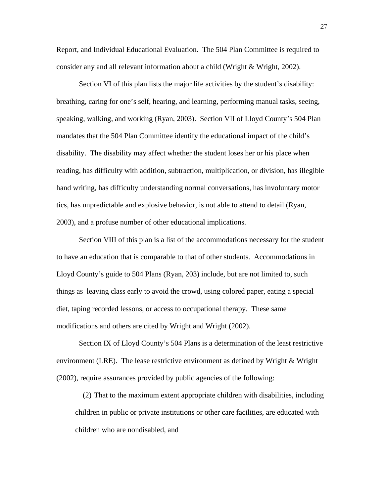Report, and Individual Educational Evaluation. The 504 Plan Committee is required to consider any and all relevant information about a child (Wright & Wright, 2002).

 Section VI of this plan lists the major life activities by the student's disability: breathing, caring for one's self, hearing, and learning, performing manual tasks, seeing, speaking, walking, and working (Ryan, 2003). Section VII of Lloyd County's 504 Plan mandates that the 504 Plan Committee identify the educational impact of the child's disability. The disability may affect whether the student loses her or his place when reading, has difficulty with addition, subtraction, multiplication, or division, has illegible hand writing, has difficulty understanding normal conversations, has involuntary motor tics, has unpredictable and explosive behavior, is not able to attend to detail (Ryan, 2003), and a profuse number of other educational implications.

 Section VIII of this plan is a list of the accommodations necessary for the student to have an education that is comparable to that of other students. Accommodations in Lloyd County's guide to 504 Plans (Ryan, 203) include, but are not limited to, such things as leaving class early to avoid the crowd, using colored paper, eating a special diet, taping recorded lessons, or access to occupational therapy. These same modifications and others are cited by Wright and Wright (2002).

 Section IX of Lloyd County's 504 Plans is a determination of the least restrictive environment (LRE). The lease restrictive environment as defined by Wright  $\&$  Wright (2002), require assurances provided by public agencies of the following:

(2) That to the maximum extent appropriate children with disabilities, including children in public or private institutions or other care facilities, are educated with children who are nondisabled, and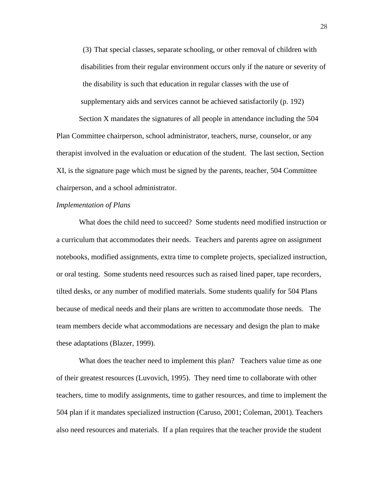(3) That special classes, separate schooling, or other removal of children with disabilities from their regular environment occurs only if the nature or severity of the disability is such that education in regular classes with the use of supplementary aids and services cannot be achieved satisfactorily (p. 192) Section X mandates the signatures of all people in attendance including the 504

Plan Committee chairperson, school administrator, teachers, nurse, counselor, or any therapist involved in the evaluation or education of the student. The last section, Section XI, is the signature page which must be signed by the parents, teacher, 504 Committee chairperson, and a school administrator.

# *Implementation of Plans*

 What does the child need to succeed? Some students need modified instruction or a curriculum that accommodates their needs. Teachers and parents agree on assignment notebooks, modified assignments, extra time to complete projects, specialized instruction, or oral testing. Some students need resources such as raised lined paper, tape recorders, tilted desks, or any number of modified materials. Some students qualify for 504 Plans because of medical needs and their plans are written to accommodate those needs. The team members decide what accommodations are necessary and design the plan to make these adaptations (Blazer, 1999).

What does the teacher need to implement this plan? Teachers value time as one of their greatest resources (Luvovich, 1995). They need time to collaborate with other teachers, time to modify assignments, time to gather resources, and time to implement the 504 plan if it mandates specialized instruction (Caruso, 2001; Coleman, 2001). Teachers also need resources and materials. If a plan requires that the teacher provide the student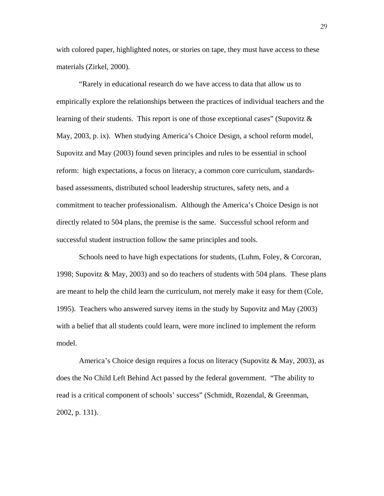with colored paper, highlighted notes, or stories on tape, they must have access to these materials (Zirkel, 2000).

 "Rarely in educational research do we have access to data that allow us to empirically explore the relationships between the practices of individual teachers and the learning of their students. This report is one of those exceptional cases" (Supovitz  $\&$ May, 2003, p. ix). When studying America's Choice Design, a school reform model, Supovitz and May (2003) found seven principles and rules to be essential in school reform: high expectations, a focus on literacy, a common core curriculum, standardsbased assessments, distributed school leadership structures, safety nets, and a commitment to teacher professionalism. Although the America's Choice Design is not directly related to 504 plans, the premise is the same. Successful school reform and successful student instruction follow the same principles and tools.

 Schools need to have high expectations for students, (Luhm, Foley, & Corcoran, 1998; Supovitz & May, 2003) and so do teachers of students with 504 plans. These plans are meant to help the child learn the curriculum, not merely make it easy for them (Cole, 1995). Teachers who answered survey items in the study by Supovitz and May (2003) with a belief that all students could learn, were more inclined to implement the reform model.

 America's Choice design requires a focus on literacy (Supovitz & May, 2003), as does the No Child Left Behind Act passed by the federal government. "The ability to read is a critical component of schools' success" (Schmidt, Rozendal, & Greenman, 2002, p. 131).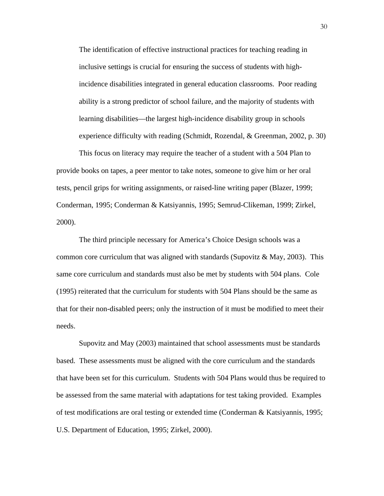The identification of effective instructional practices for teaching reading in inclusive settings is crucial for ensuring the success of students with highincidence disabilities integrated in general education classrooms. Poor reading ability is a strong predictor of school failure, and the majority of students with learning disabilities—the largest high-incidence disability group in schools experience difficulty with reading (Schmidt, Rozendal, & Greenman, 2002, p. 30)

 This focus on literacy may require the teacher of a student with a 504 Plan to provide books on tapes, a peer mentor to take notes, someone to give him or her oral tests, pencil grips for writing assignments, or raised-line writing paper (Blazer, 1999; Conderman, 1995; Conderman & Katsiyannis, 1995; Semrud-Clikeman, 1999; Zirkel, 2000).

 The third principle necessary for America's Choice Design schools was a common core curriculum that was aligned with standards (Supovitz  $\&$  May, 2003). This same core curriculum and standards must also be met by students with 504 plans. Cole (1995) reiterated that the curriculum for students with 504 Plans should be the same as that for their non-disabled peers; only the instruction of it must be modified to meet their needs.

 Supovitz and May (2003) maintained that school assessments must be standards based. These assessments must be aligned with the core curriculum and the standards that have been set for this curriculum. Students with 504 Plans would thus be required to be assessed from the same material with adaptations for test taking provided. Examples of test modifications are oral testing or extended time (Conderman & Katsiyannis, 1995; U.S. Department of Education, 1995; Zirkel, 2000).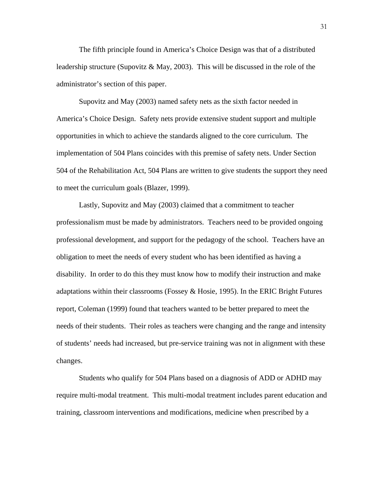The fifth principle found in America's Choice Design was that of a distributed leadership structure (Supovitz & May, 2003). This will be discussed in the role of the administrator's section of this paper.

 Supovitz and May (2003) named safety nets as the sixth factor needed in America's Choice Design. Safety nets provide extensive student support and multiple opportunities in which to achieve the standards aligned to the core curriculum. The implementation of 504 Plans coincides with this premise of safety nets. Under Section 504 of the Rehabilitation Act, 504 Plans are written to give students the support they need to meet the curriculum goals (Blazer, 1999).

 Lastly, Supovitz and May (2003) claimed that a commitment to teacher professionalism must be made by administrators. Teachers need to be provided ongoing professional development, and support for the pedagogy of the school. Teachers have an obligation to meet the needs of every student who has been identified as having a disability. In order to do this they must know how to modify their instruction and make adaptations within their classrooms (Fossey  $& Hosie, 1995$ ). In the ERIC Bright Futures report, Coleman (1999) found that teachers wanted to be better prepared to meet the needs of their students. Their roles as teachers were changing and the range and intensity of students' needs had increased, but pre-service training was not in alignment with these changes.

 Students who qualify for 504 Plans based on a diagnosis of ADD or ADHD may require multi-modal treatment. This multi-modal treatment includes parent education and training, classroom interventions and modifications, medicine when prescribed by a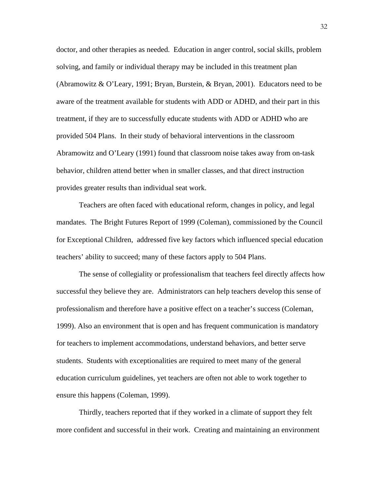doctor, and other therapies as needed. Education in anger control, social skills, problem solving, and family or individual therapy may be included in this treatment plan (Abramowitz & O'Leary, 1991; Bryan, Burstein, & Bryan, 2001). Educators need to be aware of the treatment available for students with ADD or ADHD, and their part in this treatment, if they are to successfully educate students with ADD or ADHD who are provided 504 Plans. In their study of behavioral interventions in the classroom Abramowitz and O'Leary (1991) found that classroom noise takes away from on-task behavior, children attend better when in smaller classes, and that direct instruction provides greater results than individual seat work.

 Teachers are often faced with educational reform, changes in policy, and legal mandates. The Bright Futures Report of 1999 (Coleman), commissioned by the Council for Exceptional Children, addressed five key factors which influenced special education teachers' ability to succeed; many of these factors apply to 504 Plans.

 The sense of collegiality or professionalism that teachers feel directly affects how successful they believe they are. Administrators can help teachers develop this sense of professionalism and therefore have a positive effect on a teacher's success (Coleman, 1999). Also an environment that is open and has frequent communication is mandatory for teachers to implement accommodations, understand behaviors, and better serve students. Students with exceptionalities are required to meet many of the general education curriculum guidelines, yet teachers are often not able to work together to ensure this happens (Coleman, 1999).

 Thirdly, teachers reported that if they worked in a climate of support they felt more confident and successful in their work. Creating and maintaining an environment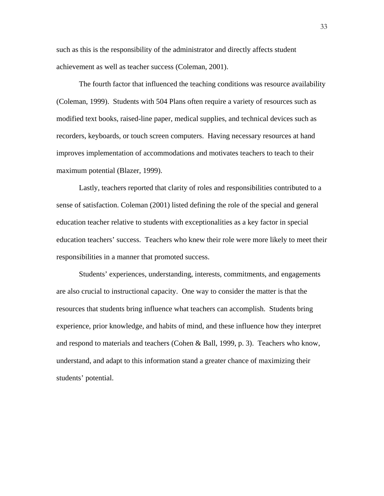such as this is the responsibility of the administrator and directly affects student achievement as well as teacher success (Coleman, 2001).

 The fourth factor that influenced the teaching conditions was resource availability (Coleman, 1999). Students with 504 Plans often require a variety of resources such as modified text books, raised-line paper, medical supplies, and technical devices such as recorders, keyboards, or touch screen computers. Having necessary resources at hand improves implementation of accommodations and motivates teachers to teach to their maximum potential (Blazer, 1999).

 Lastly, teachers reported that clarity of roles and responsibilities contributed to a sense of satisfaction. Coleman (2001) listed defining the role of the special and general education teacher relative to students with exceptionalities as a key factor in special education teachers' success. Teachers who knew their role were more likely to meet their responsibilities in a manner that promoted success.

 Students' experiences, understanding, interests, commitments, and engagements are also crucial to instructional capacity. One way to consider the matter is that the resources that students bring influence what teachers can accomplish. Students bring experience, prior knowledge, and habits of mind, and these influence how they interpret and respond to materials and teachers (Cohen & Ball, 1999, p. 3). Teachers who know, understand, and adapt to this information stand a greater chance of maximizing their students' potential.

33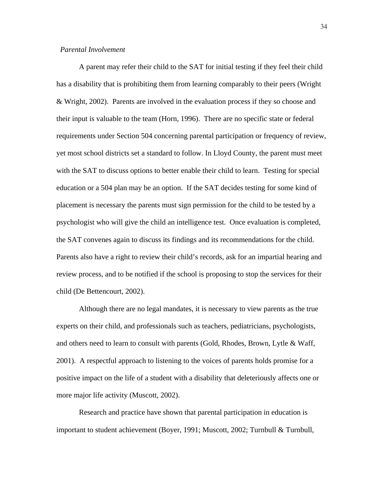# *Parental Involvement*

 A parent may refer their child to the SAT for initial testing if they feel their child has a disability that is prohibiting them from learning comparably to their peers (Wright & Wright, 2002). Parents are involved in the evaluation process if they so choose and their input is valuable to the team (Horn, 1996). There are no specific state or federal requirements under Section 504 concerning parental participation or frequency of review, yet most school districts set a standard to follow. In Lloyd County, the parent must meet with the SAT to discuss options to better enable their child to learn. Testing for special education or a 504 plan may be an option. If the SAT decides testing for some kind of placement is necessary the parents must sign permission for the child to be tested by a psychologist who will give the child an intelligence test. Once evaluation is completed, the SAT convenes again to discuss its findings and its recommendations for the child. Parents also have a right to review their child's records, ask for an impartial hearing and review process, and to be notified if the school is proposing to stop the services for their child (De Bettencourt, 2002).

 Although there are no legal mandates, it is necessary to view parents as the true experts on their child, and professionals such as teachers, pediatricians, psychologists, and others need to learn to consult with parents (Gold, Rhodes, Brown, Lytle & Waff, 2001). A respectful approach to listening to the voices of parents holds promise for a positive impact on the life of a student with a disability that deleteriously affects one or more major life activity (Muscott, 2002).

 Research and practice have shown that parental participation in education is important to student achievement (Boyer, 1991; Muscott, 2002; Turnbull & Turnbull,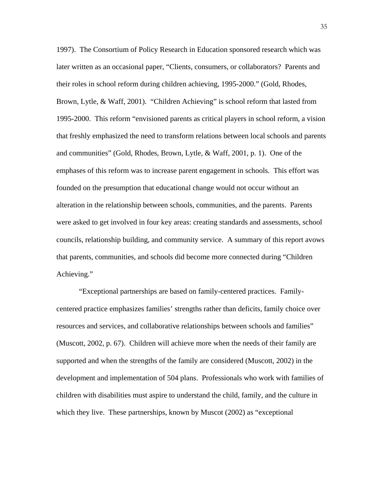1997). The Consortium of Policy Research in Education sponsored research which was later written as an occasional paper, "Clients, consumers, or collaborators? Parents and their roles in school reform during children achieving, 1995-2000." (Gold, Rhodes, Brown, Lytle, & Waff, 2001). "Children Achieving" is school reform that lasted from 1995-2000. This reform "envisioned parents as critical players in school reform, a vision that freshly emphasized the need to transform relations between local schools and parents and communities" (Gold, Rhodes, Brown, Lytle, & Waff, 2001, p. 1). One of the emphases of this reform was to increase parent engagement in schools. This effort was founded on the presumption that educational change would not occur without an alteration in the relationship between schools, communities, and the parents. Parents were asked to get involved in four key areas: creating standards and assessments, school councils, relationship building, and community service. A summary of this report avows that parents, communities, and schools did become more connected during "Children Achieving."

 "Exceptional partnerships are based on family-centered practices. Familycentered practice emphasizes families' strengths rather than deficits, family choice over resources and services, and collaborative relationships between schools and families" (Muscott, 2002, p. 67). Children will achieve more when the needs of their family are supported and when the strengths of the family are considered (Muscott, 2002) in the development and implementation of 504 plans. Professionals who work with families of children with disabilities must aspire to understand the child, family, and the culture in which they live. These partnerships, known by Muscot (2002) as "exceptional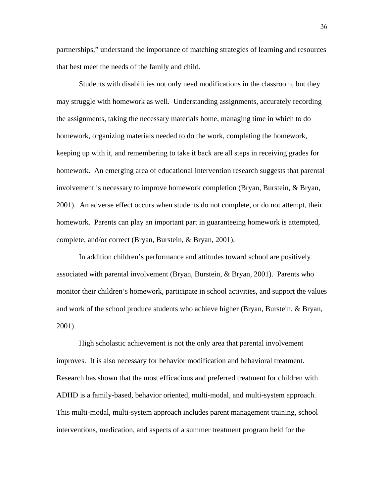partnerships," understand the importance of matching strategies of learning and resources that best meet the needs of the family and child.

 Students with disabilities not only need modifications in the classroom, but they may struggle with homework as well. Understanding assignments, accurately recording the assignments, taking the necessary materials home, managing time in which to do homework, organizing materials needed to do the work, completing the homework, keeping up with it, and remembering to take it back are all steps in receiving grades for homework. An emerging area of educational intervention research suggests that parental involvement is necessary to improve homework completion (Bryan, Burstein, & Bryan, 2001). An adverse effect occurs when students do not complete, or do not attempt, their homework. Parents can play an important part in guaranteeing homework is attempted, complete, and/or correct (Bryan, Burstein, & Bryan, 2001).

 In addition children's performance and attitudes toward school are positively associated with parental involvement (Bryan, Burstein, & Bryan, 2001). Parents who monitor their children's homework, participate in school activities, and support the values and work of the school produce students who achieve higher (Bryan, Burstein, & Bryan, 2001).

 High scholastic achievement is not the only area that parental involvement improves. It is also necessary for behavior modification and behavioral treatment. Research has shown that the most efficacious and preferred treatment for children with ADHD is a family-based, behavior oriented, multi-modal, and multi-system approach. This multi-modal, multi-system approach includes parent management training, school interventions, medication, and aspects of a summer treatment program held for the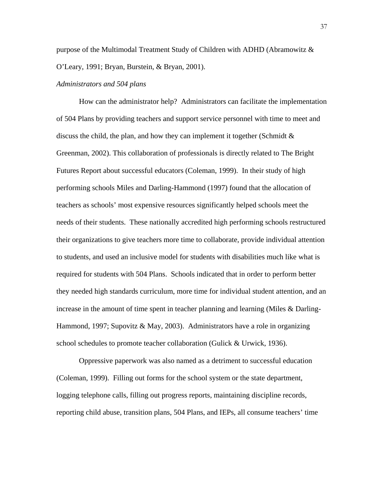purpose of the Multimodal Treatment Study of Children with ADHD (Abramowitz & O'Leary, 1991; Bryan, Burstein, & Bryan, 2001).

#### *Administrators and 504 plans*

 How can the administrator help? Administrators can facilitate the implementation of 504 Plans by providing teachers and support service personnel with time to meet and discuss the child, the plan, and how they can implement it together (Schmidt  $\&$ Greenman, 2002). This collaboration of professionals is directly related to The Bright Futures Report about successful educators (Coleman, 1999). In their study of high performing schools Miles and Darling-Hammond (1997) found that the allocation of teachers as schools' most expensive resources significantly helped schools meet the needs of their students. These nationally accredited high performing schools restructured their organizations to give teachers more time to collaborate, provide individual attention to students, and used an inclusive model for students with disabilities much like what is required for students with 504 Plans. Schools indicated that in order to perform better they needed high standards curriculum, more time for individual student attention, and an increase in the amount of time spent in teacher planning and learning (Miles & Darling-Hammond, 1997; Supovitz & May, 2003). Administrators have a role in organizing school schedules to promote teacher collaboration (Gulick & Urwick, 1936).

 Oppressive paperwork was also named as a detriment to successful education (Coleman, 1999). Filling out forms for the school system or the state department, logging telephone calls, filling out progress reports, maintaining discipline records, reporting child abuse, transition plans, 504 Plans, and IEPs, all consume teachers' time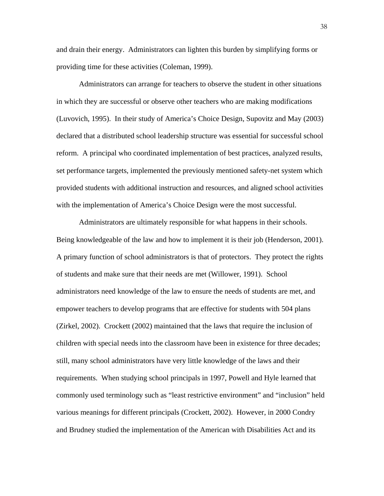and drain their energy. Administrators can lighten this burden by simplifying forms or providing time for these activities (Coleman, 1999).

 Administrators can arrange for teachers to observe the student in other situations in which they are successful or observe other teachers who are making modifications (Luvovich, 1995). In their study of America's Choice Design, Supovitz and May (2003) declared that a distributed school leadership structure was essential for successful school reform. A principal who coordinated implementation of best practices, analyzed results, set performance targets, implemented the previously mentioned safety-net system which provided students with additional instruction and resources, and aligned school activities with the implementation of America's Choice Design were the most successful.

 Administrators are ultimately responsible for what happens in their schools. Being knowledgeable of the law and how to implement it is their job (Henderson, 2001). A primary function of school administrators is that of protectors. They protect the rights of students and make sure that their needs are met (Willower, 1991). School administrators need knowledge of the law to ensure the needs of students are met, and empower teachers to develop programs that are effective for students with 504 plans (Zirkel, 2002). Crockett (2002) maintained that the laws that require the inclusion of children with special needs into the classroom have been in existence for three decades; still, many school administrators have very little knowledge of the laws and their requirements. When studying school principals in 1997, Powell and Hyle learned that commonly used terminology such as "least restrictive environment" and "inclusion" held various meanings for different principals (Crockett, 2002). However, in 2000 Condry and Brudney studied the implementation of the American with Disabilities Act and its

38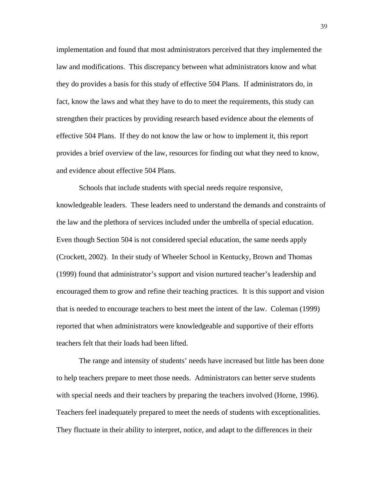implementation and found that most administrators perceived that they implemented the law and modifications. This discrepancy between what administrators know and what they do provides a basis for this study of effective 504 Plans. If administrators do, in fact, know the laws and what they have to do to meet the requirements, this study can strengthen their practices by providing research based evidence about the elements of effective 504 Plans. If they do not know the law or how to implement it, this report provides a brief overview of the law, resources for finding out what they need to know, and evidence about effective 504 Plans.

 Schools that include students with special needs require responsive, knowledgeable leaders. These leaders need to understand the demands and constraints of the law and the plethora of services included under the umbrella of special education. Even though Section 504 is not considered special education, the same needs apply (Crockett, 2002). In their study of Wheeler School in Kentucky, Brown and Thomas (1999) found that administrator's support and vision nurtured teacher's leadership and encouraged them to grow and refine their teaching practices. It is this support and vision that is needed to encourage teachers to best meet the intent of the law. Coleman (1999) reported that when administrators were knowledgeable and supportive of their efforts teachers felt that their loads had been lifted.

 The range and intensity of students' needs have increased but little has been done to help teachers prepare to meet those needs. Administrators can better serve students with special needs and their teachers by preparing the teachers involved (Horne, 1996). Teachers feel inadequately prepared to meet the needs of students with exceptionalities. They fluctuate in their ability to interpret, notice, and adapt to the differences in their

39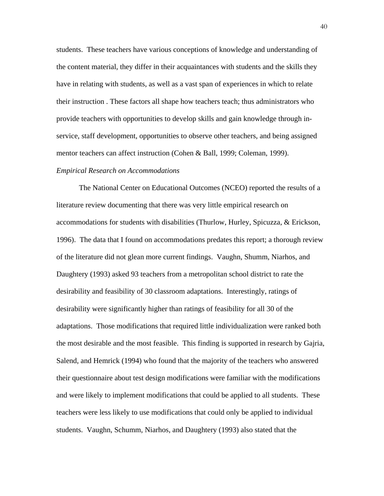students. These teachers have various conceptions of knowledge and understanding of the content material, they differ in their acquaintances with students and the skills they have in relating with students, as well as a vast span of experiences in which to relate their instruction . These factors all shape how teachers teach; thus administrators who provide teachers with opportunities to develop skills and gain knowledge through inservice, staff development, opportunities to observe other teachers, and being assigned mentor teachers can affect instruction (Cohen & Ball, 1999; Coleman, 1999).

#### *Empirical Research on Accommodations*

 The National Center on Educational Outcomes (NCEO) reported the results of a literature review documenting that there was very little empirical research on accommodations for students with disabilities (Thurlow, Hurley, Spicuzza, & Erickson, 1996). The data that I found on accommodations predates this report; a thorough review of the literature did not glean more current findings. Vaughn, Shumm, Niarhos, and Daughtery (1993) asked 93 teachers from a metropolitan school district to rate the desirability and feasibility of 30 classroom adaptations. Interestingly, ratings of desirability were significantly higher than ratings of feasibility for all 30 of the adaptations. Those modifications that required little individualization were ranked both the most desirable and the most feasible. This finding is supported in research by Gajria, Salend, and Hemrick (1994) who found that the majority of the teachers who answered their questionnaire about test design modifications were familiar with the modifications and were likely to implement modifications that could be applied to all students. These teachers were less likely to use modifications that could only be applied to individual students. Vaughn, Schumm, Niarhos, and Daughtery (1993) also stated that the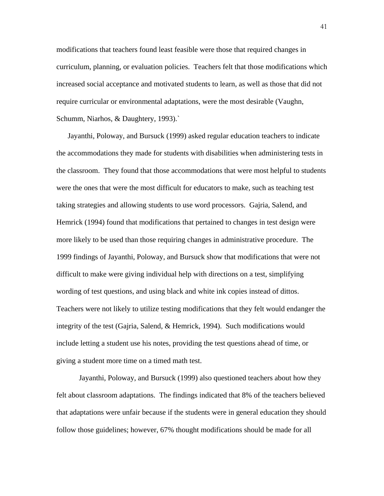modifications that teachers found least feasible were those that required changes in curriculum, planning, or evaluation policies. Teachers felt that those modifications which increased social acceptance and motivated students to learn, as well as those that did not require curricular or environmental adaptations, were the most desirable (Vaughn, Schumm, Niarhos, & Daughtery, 1993).`

 Jayanthi, Poloway, and Bursuck (1999) asked regular education teachers to indicate the accommodations they made for students with disabilities when administering tests in the classroom. They found that those accommodations that were most helpful to students were the ones that were the most difficult for educators to make, such as teaching test taking strategies and allowing students to use word processors. Gajria, Salend, and Hemrick (1994) found that modifications that pertained to changes in test design were more likely to be used than those requiring changes in administrative procedure. The 1999 findings of Jayanthi, Poloway, and Bursuck show that modifications that were not difficult to make were giving individual help with directions on a test, simplifying wording of test questions, and using black and white ink copies instead of dittos. Teachers were not likely to utilize testing modifications that they felt would endanger the integrity of the test (Gajria, Salend, & Hemrick, 1994). Such modifications would include letting a student use his notes, providing the test questions ahead of time, or giving a student more time on a timed math test.

 Jayanthi, Poloway, and Bursuck (1999) also questioned teachers about how they felt about classroom adaptations. The findings indicated that 8% of the teachers believed that adaptations were unfair because if the students were in general education they should follow those guidelines; however, 67% thought modifications should be made for all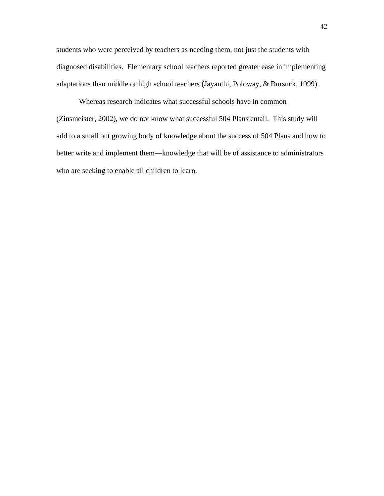students who were perceived by teachers as needing them, not just the students with diagnosed disabilities. Elementary school teachers reported greater ease in implementing adaptations than middle or high school teachers (Jayanthi, Poloway, & Bursuck, 1999).

 Whereas research indicates what successful schools have in common (Zinsmeister, 2002), we do not know what successful 504 Plans entail. This study will add to a small but growing body of knowledge about the success of 504 Plans and how to better write and implement them—knowledge that will be of assistance to administrators who are seeking to enable all children to learn.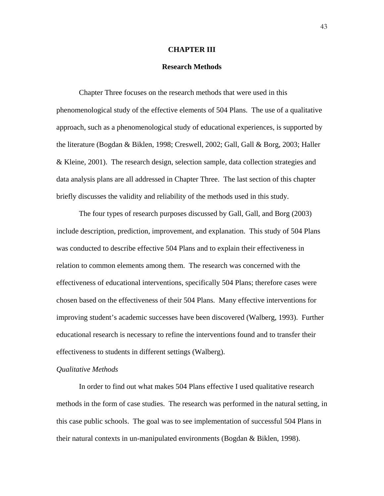#### **CHAPTER III**

#### **Research Methods**

 Chapter Three focuses on the research methods that were used in this phenomenological study of the effective elements of 504 Plans. The use of a qualitative approach, such as a phenomenological study of educational experiences, is supported by the literature (Bogdan & Biklen, 1998; Creswell, 2002; Gall, Gall & Borg, 2003; Haller & Kleine, 2001). The research design, selection sample, data collection strategies and data analysis plans are all addressed in Chapter Three. The last section of this chapter briefly discusses the validity and reliability of the methods used in this study.

 The four types of research purposes discussed by Gall, Gall, and Borg (2003) include description, prediction, improvement, and explanation. This study of 504 Plans was conducted to describe effective 504 Plans and to explain their effectiveness in relation to common elements among them. The research was concerned with the effectiveness of educational interventions, specifically 504 Plans; therefore cases were chosen based on the effectiveness of their 504 Plans. Many effective interventions for improving student's academic successes have been discovered (Walberg, 1993). Further educational research is necessary to refine the interventions found and to transfer their effectiveness to students in different settings (Walberg).

# *Qualitative Methods*

 In order to find out what makes 504 Plans effective I used qualitative research methods in the form of case studies. The research was performed in the natural setting, in this case public schools. The goal was to see implementation of successful 504 Plans in their natural contexts in un-manipulated environments (Bogdan & Biklen, 1998).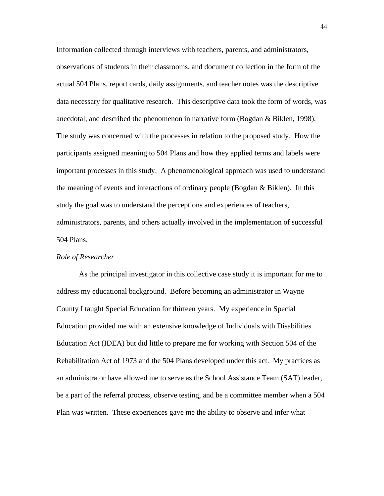Information collected through interviews with teachers, parents, and administrators, observations of students in their classrooms, and document collection in the form of the actual 504 Plans, report cards, daily assignments, and teacher notes was the descriptive data necessary for qualitative research. This descriptive data took the form of words, was anecdotal, and described the phenomenon in narrative form (Bogdan & Biklen, 1998). The study was concerned with the processes in relation to the proposed study. How the participants assigned meaning to 504 Plans and how they applied terms and labels were important processes in this study. A phenomenological approach was used to understand the meaning of events and interactions of ordinary people (Bogdan  $\&$  Biklen). In this study the goal was to understand the perceptions and experiences of teachers, administrators, parents, and others actually involved in the implementation of successful 504 Plans.

#### *Role of Researcher*

 As the principal investigator in this collective case study it is important for me to address my educational background. Before becoming an administrator in Wayne County I taught Special Education for thirteen years. My experience in Special Education provided me with an extensive knowledge of Individuals with Disabilities Education Act (IDEA) but did little to prepare me for working with Section 504 of the Rehabilitation Act of 1973 and the 504 Plans developed under this act. My practices as an administrator have allowed me to serve as the School Assistance Team (SAT) leader, be a part of the referral process, observe testing, and be a committee member when a 504 Plan was written. These experiences gave me the ability to observe and infer what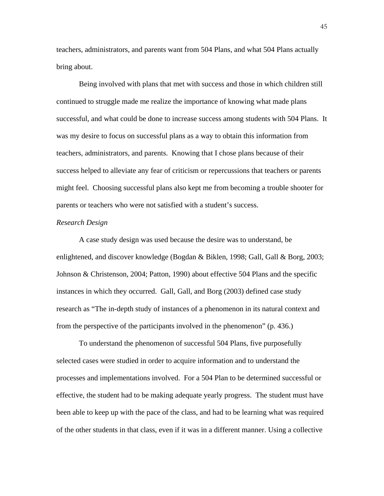teachers, administrators, and parents want from 504 Plans, and what 504 Plans actually bring about.

 Being involved with plans that met with success and those in which children still continued to struggle made me realize the importance of knowing what made plans successful, and what could be done to increase success among students with 504 Plans. It was my desire to focus on successful plans as a way to obtain this information from teachers, administrators, and parents. Knowing that I chose plans because of their success helped to alleviate any fear of criticism or repercussions that teachers or parents might feel. Choosing successful plans also kept me from becoming a trouble shooter for parents or teachers who were not satisfied with a student's success.

#### *Research Design*

 A case study design was used because the desire was to understand, be enlightened, and discover knowledge (Bogdan & Biklen, 1998; Gall, Gall & Borg, 2003; Johnson & Christenson, 2004; Patton, 1990) about effective 504 Plans and the specific instances in which they occurred. Gall, Gall, and Borg (2003) defined case study research as "The in-depth study of instances of a phenomenon in its natural context and from the perspective of the participants involved in the phenomenon" (p. 436.)

 To understand the phenomenon of successful 504 Plans, five purposefully selected cases were studied in order to acquire information and to understand the processes and implementations involved. For a 504 Plan to be determined successful or effective, the student had to be making adequate yearly progress. The student must have been able to keep up with the pace of the class, and had to be learning what was required of the other students in that class, even if it was in a different manner. Using a collective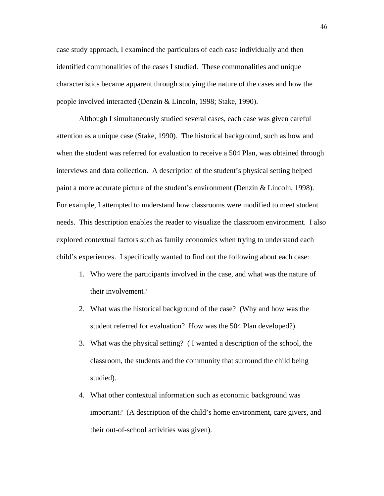case study approach, I examined the particulars of each case individually and then identified commonalities of the cases I studied. These commonalities and unique characteristics became apparent through studying the nature of the cases and how the people involved interacted (Denzin & Lincoln, 1998; Stake, 1990).

 Although I simultaneously studied several cases, each case was given careful attention as a unique case (Stake, 1990). The historical background, such as how and when the student was referred for evaluation to receive a 504 Plan, was obtained through interviews and data collection. A description of the student's physical setting helped paint a more accurate picture of the student's environment (Denzin & Lincoln, 1998). For example, I attempted to understand how classrooms were modified to meet student needs. This description enables the reader to visualize the classroom environment. I also explored contextual factors such as family economics when trying to understand each child's experiences. I specifically wanted to find out the following about each case:

- 1. Who were the participants involved in the case, and what was the nature of their involvement?
- 2. What was the historical background of the case? (Why and how was the student referred for evaluation? How was the 504 Plan developed?)
- 3. What was the physical setting? ( I wanted a description of the school, the classroom, the students and the community that surround the child being studied).
- 4. What other contextual information such as economic background was important? (A description of the child's home environment, care givers, and their out-of-school activities was given).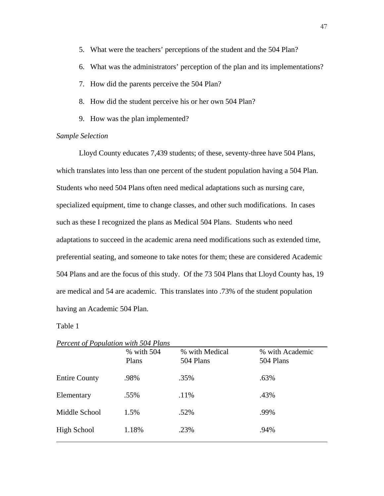- 5. What were the teachers' perceptions of the student and the 504 Plan?
- 6. What was the administrators' perception of the plan and its implementations?
- 7. How did the parents perceive the 504 Plan?
- 8. How did the student perceive his or her own 504 Plan?
- 9. How was the plan implemented?

## *Sample Selection*

 Lloyd County educates 7,439 students; of these, seventy-three have 504 Plans, which translates into less than one percent of the student population having a 504 Plan. Students who need 504 Plans often need medical adaptations such as nursing care, specialized equipment, time to change classes, and other such modifications. In cases such as these I recognized the plans as Medical 504 Plans. Students who need adaptations to succeed in the academic arena need modifications such as extended time, preferential seating, and someone to take notes for them; these are considered Academic 504 Plans and are the focus of this study. Of the 73 504 Plans that Lloyd County has, 19 are medical and 54 are academic. This translates into .73% of the student population having an Academic 504 Plan.

## Table 1

| <i>Lercent of Loparation with 30+ Lights</i> | % with 504<br>Plans | % with Medical<br>504 Plans | % with Academic<br>504 Plans |
|----------------------------------------------|---------------------|-----------------------------|------------------------------|
| <b>Entire County</b>                         | .98%                | .35%                        | .63%                         |
| Elementary                                   | .55%                | .11%                        | .43%                         |
| Middle School                                | 1.5%                | .52%                        | .99%                         |
| High School                                  | 1.18%               | .23%                        | .94%                         |

*Percent of Population with 504 Plans*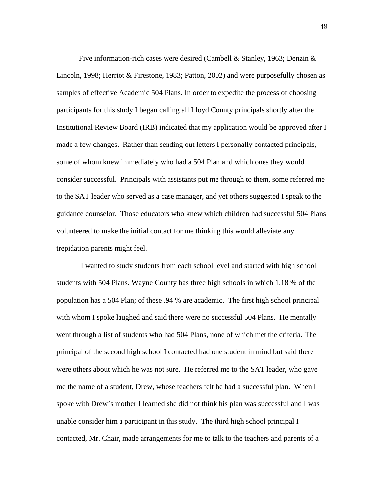Five information-rich cases were desired (Cambell & Stanley, 1963; Denzin & Lincoln, 1998; Herriot & Firestone, 1983; Patton, 2002) and were purposefully chosen as samples of effective Academic 504 Plans. In order to expedite the process of choosing participants for this study I began calling all Lloyd County principals shortly after the Institutional Review Board (IRB) indicated that my application would be approved after I made a few changes. Rather than sending out letters I personally contacted principals, some of whom knew immediately who had a 504 Plan and which ones they would consider successful. Principals with assistants put me through to them, some referred me to the SAT leader who served as a case manager, and yet others suggested I speak to the guidance counselor. Those educators who knew which children had successful 504 Plans volunteered to make the initial contact for me thinking this would alleviate any trepidation parents might feel.

 I wanted to study students from each school level and started with high school students with 504 Plans. Wayne County has three high schools in which 1.18 % of the population has a 504 Plan; of these .94 % are academic. The first high school principal with whom I spoke laughed and said there were no successful 504 Plans. He mentally went through a list of students who had 504 Plans, none of which met the criteria. The principal of the second high school I contacted had one student in mind but said there were others about which he was not sure. He referred me to the SAT leader, who gave me the name of a student, Drew, whose teachers felt he had a successful plan. When I spoke with Drew's mother I learned she did not think his plan was successful and I was unable consider him a participant in this study. The third high school principal I contacted, Mr. Chair, made arrangements for me to talk to the teachers and parents of a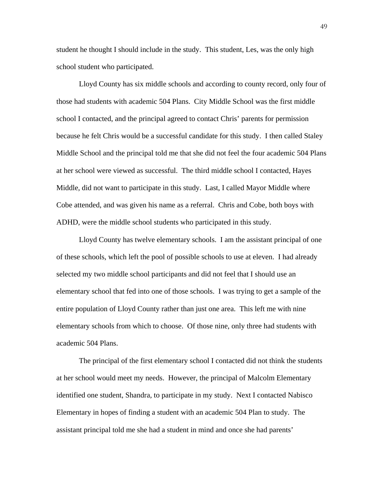student he thought I should include in the study. This student, Les, was the only high school student who participated.

 Lloyd County has six middle schools and according to county record, only four of those had students with academic 504 Plans. City Middle School was the first middle school I contacted, and the principal agreed to contact Chris' parents for permission because he felt Chris would be a successful candidate for this study. I then called Staley Middle School and the principal told me that she did not feel the four academic 504 Plans at her school were viewed as successful. The third middle school I contacted, Hayes Middle, did not want to participate in this study. Last, I called Mayor Middle where Cobe attended, and was given his name as a referral. Chris and Cobe, both boys with ADHD, were the middle school students who participated in this study.

Lloyd County has twelve elementary schools. I am the assistant principal of one of these schools, which left the pool of possible schools to use at eleven. I had already selected my two middle school participants and did not feel that I should use an elementary school that fed into one of those schools. I was trying to get a sample of the entire population of Lloyd County rather than just one area. This left me with nine elementary schools from which to choose. Of those nine, only three had students with academic 504 Plans.

The principal of the first elementary school I contacted did not think the students at her school would meet my needs. However, the principal of Malcolm Elementary identified one student, Shandra, to participate in my study. Next I contacted Nabisco Elementary in hopes of finding a student with an academic 504 Plan to study. The assistant principal told me she had a student in mind and once she had parents'

49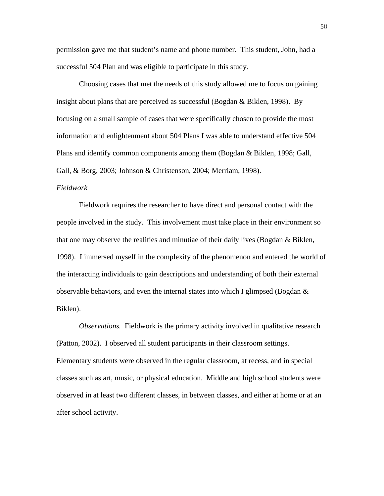permission gave me that student's name and phone number. This student, John, had a successful 504 Plan and was eligible to participate in this study.

 Choosing cases that met the needs of this study allowed me to focus on gaining insight about plans that are perceived as successful (Bogdan & Biklen, 1998). By focusing on a small sample of cases that were specifically chosen to provide the most information and enlightenment about 504 Plans I was able to understand effective 504 Plans and identify common components among them (Bogdan & Biklen, 1998; Gall, Gall, & Borg, 2003; Johnson & Christenson, 2004; Merriam, 1998).

## *Fieldwork*

 Fieldwork requires the researcher to have direct and personal contact with the people involved in the study. This involvement must take place in their environment so that one may observe the realities and minutiae of their daily lives (Bogdan & Biklen, 1998). I immersed myself in the complexity of the phenomenon and entered the world of the interacting individuals to gain descriptions and understanding of both their external observable behaviors, and even the internal states into which I glimpsed (Bogdan & Biklen).

*Observations.* Fieldwork is the primary activity involved in qualitative research (Patton, 2002). I observed all student participants in their classroom settings. Elementary students were observed in the regular classroom, at recess, and in special classes such as art, music, or physical education. Middle and high school students were observed in at least two different classes, in between classes, and either at home or at an after school activity.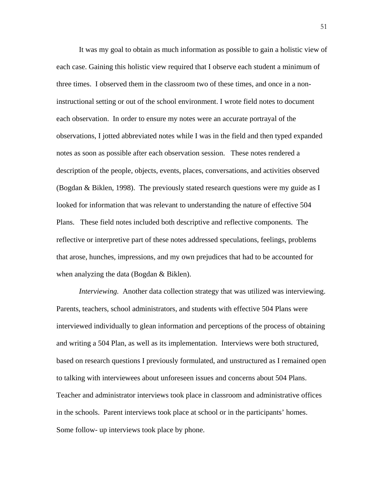It was my goal to obtain as much information as possible to gain a holistic view of each case. Gaining this holistic view required that I observe each student a minimum of three times. I observed them in the classroom two of these times, and once in a noninstructional setting or out of the school environment. I wrote field notes to document each observation. In order to ensure my notes were an accurate portrayal of the observations, I jotted abbreviated notes while I was in the field and then typed expanded notes as soon as possible after each observation session. These notes rendered a description of the people, objects, events, places, conversations, and activities observed (Bogdan & Biklen, 1998). The previously stated research questions were my guide as I looked for information that was relevant to understanding the nature of effective 504 Plans. These field notes included both descriptive and reflective components. The reflective or interpretive part of these notes addressed speculations, feelings, problems that arose, hunches, impressions, and my own prejudices that had to be accounted for when analyzing the data (Bogdan & Biklen).

 *Interviewing.* Another data collection strategy that was utilized was interviewing. Parents, teachers, school administrators, and students with effective 504 Plans were interviewed individually to glean information and perceptions of the process of obtaining and writing a 504 Plan, as well as its implementation. Interviews were both structured, based on research questions I previously formulated, and unstructured as I remained open to talking with interviewees about unforeseen issues and concerns about 504 Plans. Teacher and administrator interviews took place in classroom and administrative offices in the schools. Parent interviews took place at school or in the participants' homes. Some follow- up interviews took place by phone.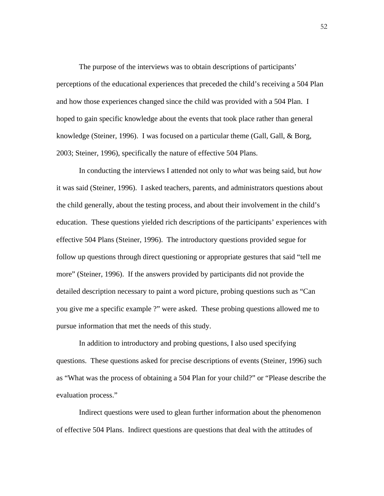The purpose of the interviews was to obtain descriptions of participants' perceptions of the educational experiences that preceded the child's receiving a 504 Plan and how those experiences changed since the child was provided with a 504 Plan. I hoped to gain specific knowledge about the events that took place rather than general knowledge (Steiner, 1996). I was focused on a particular theme (Gall, Gall, & Borg, 2003; Steiner, 1996), specifically the nature of effective 504 Plans.

 In conducting the interviews I attended not only to *what* was being said, but *how*  it was said (Steiner, 1996). I asked teachers, parents, and administrators questions about the child generally, about the testing process, and about their involvement in the child's education. These questions yielded rich descriptions of the participants' experiences with effective 504 Plans (Steiner, 1996). The introductory questions provided segue for follow up questions through direct questioning or appropriate gestures that said "tell me more" (Steiner, 1996). If the answers provided by participants did not provide the detailed description necessary to paint a word picture, probing questions such as "Can you give me a specific example ?" were asked. These probing questions allowed me to pursue information that met the needs of this study.

 In addition to introductory and probing questions, I also used specifying questions. These questions asked for precise descriptions of events (Steiner, 1996) such as "What was the process of obtaining a 504 Plan for your child?" or "Please describe the evaluation process."

 Indirect questions were used to glean further information about the phenomenon of effective 504 Plans. Indirect questions are questions that deal with the attitudes of

52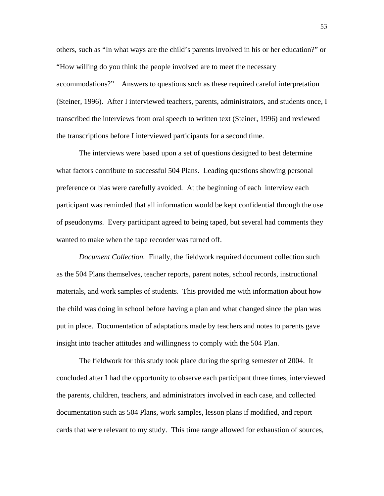others, such as "In what ways are the child's parents involved in his or her education?" or "How willing do you think the people involved are to meet the necessary accommodations?" Answers to questions such as these required careful interpretation (Steiner, 1996). After I interviewed teachers, parents, administrators, and students once, I transcribed the interviews from oral speech to written text (Steiner, 1996) and reviewed the transcriptions before I interviewed participants for a second time.

 The interviews were based upon a set of questions designed to best determine what factors contribute to successful 504 Plans. Leading questions showing personal preference or bias were carefully avoided. At the beginning of each interview each participant was reminded that all information would be kept confidential through the use of pseudonyms. Every participant agreed to being taped, but several had comments they wanted to make when the tape recorder was turned off.

 *Document Collection.* Finally, the fieldwork required document collection such as the 504 Plans themselves, teacher reports, parent notes, school records, instructional materials, and work samples of students. This provided me with information about how the child was doing in school before having a plan and what changed since the plan was put in place. Documentation of adaptations made by teachers and notes to parents gave insight into teacher attitudes and willingness to comply with the 504 Plan.

 The fieldwork for this study took place during the spring semester of 2004. It concluded after I had the opportunity to observe each participant three times, interviewed the parents, children, teachers, and administrators involved in each case, and collected documentation such as 504 Plans, work samples, lesson plans if modified, and report cards that were relevant to my study. This time range allowed for exhaustion of sources,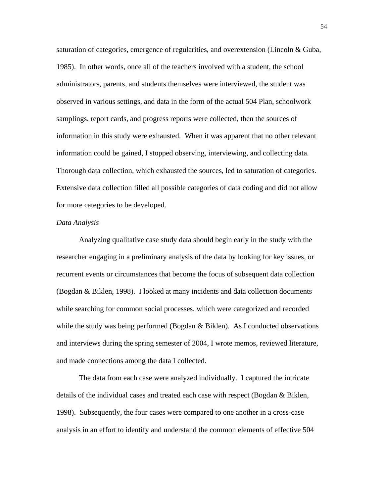saturation of categories, emergence of regularities, and overextension (Lincoln & Guba, 1985). In other words, once all of the teachers involved with a student, the school administrators, parents, and students themselves were interviewed, the student was observed in various settings, and data in the form of the actual 504 Plan, schoolwork samplings, report cards, and progress reports were collected, then the sources of information in this study were exhausted. When it was apparent that no other relevant information could be gained, I stopped observing, interviewing, and collecting data. Thorough data collection, which exhausted the sources, led to saturation of categories. Extensive data collection filled all possible categories of data coding and did not allow for more categories to be developed.

#### *Data Analysis*

 Analyzing qualitative case study data should begin early in the study with the researcher engaging in a preliminary analysis of the data by looking for key issues, or recurrent events or circumstances that become the focus of subsequent data collection (Bogdan & Biklen, 1998). I looked at many incidents and data collection documents while searching for common social processes, which were categorized and recorded while the study was being performed (Bogdan & Biklen). As I conducted observations and interviews during the spring semester of 2004, I wrote memos, reviewed literature, and made connections among the data I collected.

 The data from each case were analyzed individually. I captured the intricate details of the individual cases and treated each case with respect (Bogdan & Biklen, 1998). Subsequently, the four cases were compared to one another in a cross-case analysis in an effort to identify and understand the common elements of effective 504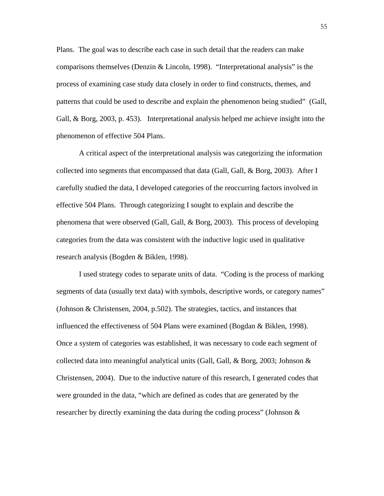Plans. The goal was to describe each case in such detail that the readers can make comparisons themselves (Denzin & Lincoln, 1998). "Interpretational analysis" is the process of examining case study data closely in order to find constructs, themes, and patterns that could be used to describe and explain the phenomenon being studied" (Gall, Gall, & Borg, 2003, p. 453). Interpretational analysis helped me achieve insight into the phenomenon of effective 504 Plans.

 A critical aspect of the interpretational analysis was categorizing the information collected into segments that encompassed that data (Gall, Gall, & Borg, 2003). After I carefully studied the data, I developed categories of the reoccurring factors involved in effective 504 Plans. Through categorizing I sought to explain and describe the phenomena that were observed (Gall, Gall, & Borg, 2003). This process of developing categories from the data was consistent with the inductive logic used in qualitative research analysis (Bogden & Biklen, 1998).

 I used strategy codes to separate units of data. "Coding is the process of marking segments of data (usually text data) with symbols, descriptive words, or category names" (Johnson & Christensen, 2004, p.502). The strategies, tactics, and instances that influenced the effectiveness of 504 Plans were examined (Bogdan & Biklen, 1998). Once a system of categories was established, it was necessary to code each segment of collected data into meaningful analytical units (Gall, Gall, & Borg, 2003; Johnson  $\&$ Christensen, 2004). Due to the inductive nature of this research, I generated codes that were grounded in the data, "which are defined as codes that are generated by the researcher by directly examining the data during the coding process" (Johnson &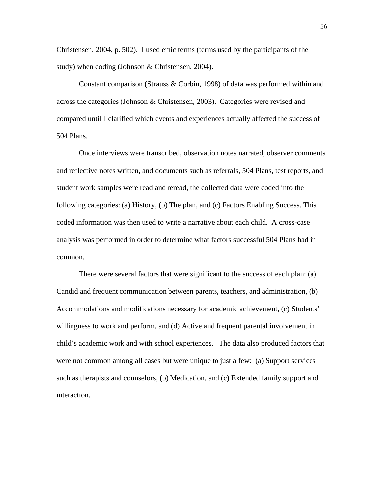Christensen, 2004, p. 502). I used emic terms (terms used by the participants of the study) when coding (Johnson & Christensen, 2004).

 Constant comparison (Strauss & Corbin, 1998) of data was performed within and across the categories (Johnson & Christensen, 2003). Categories were revised and compared until I clarified which events and experiences actually affected the success of 504 Plans.

 Once interviews were transcribed, observation notes narrated, observer comments and reflective notes written, and documents such as referrals, 504 Plans, test reports, and student work samples were read and reread, the collected data were coded into the following categories: (a) History, (b) The plan, and (c) Factors Enabling Success. This coded information was then used to write a narrative about each child. A cross-case analysis was performed in order to determine what factors successful 504 Plans had in common.

 There were several factors that were significant to the success of each plan: (a) Candid and frequent communication between parents, teachers, and administration, (b) Accommodations and modifications necessary for academic achievement, (c) Students' willingness to work and perform, and (d) Active and frequent parental involvement in child's academic work and with school experiences. The data also produced factors that were not common among all cases but were unique to just a few: (a) Support services such as therapists and counselors, (b) Medication, and (c) Extended family support and interaction.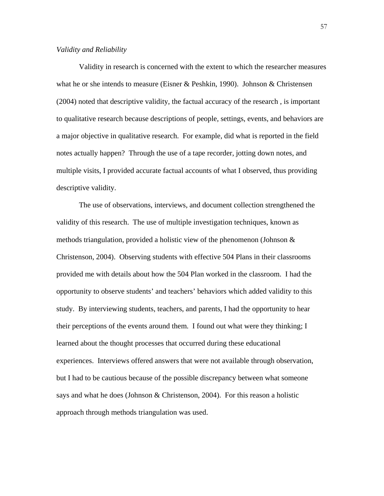## *Validity and Reliability*

 Validity in research is concerned with the extent to which the researcher measures what he or she intends to measure (Eisner & Peshkin, 1990). Johnson & Christensen (2004) noted that descriptive validity, the factual accuracy of the research , is important to qualitative research because descriptions of people, settings, events, and behaviors are a major objective in qualitative research. For example, did what is reported in the field notes actually happen? Through the use of a tape recorder, jotting down notes, and multiple visits, I provided accurate factual accounts of what I observed, thus providing descriptive validity.

 The use of observations, interviews, and document collection strengthened the validity of this research. The use of multiple investigation techniques, known as methods triangulation, provided a holistic view of the phenomenon (Johnson  $\&$ Christenson, 2004). Observing students with effective 504 Plans in their classrooms provided me with details about how the 504 Plan worked in the classroom. I had the opportunity to observe students' and teachers' behaviors which added validity to this study. By interviewing students, teachers, and parents, I had the opportunity to hear their perceptions of the events around them. I found out what were they thinking; I learned about the thought processes that occurred during these educational experiences. Interviews offered answers that were not available through observation, but I had to be cautious because of the possible discrepancy between what someone says and what he does (Johnson & Christenson, 2004). For this reason a holistic approach through methods triangulation was used.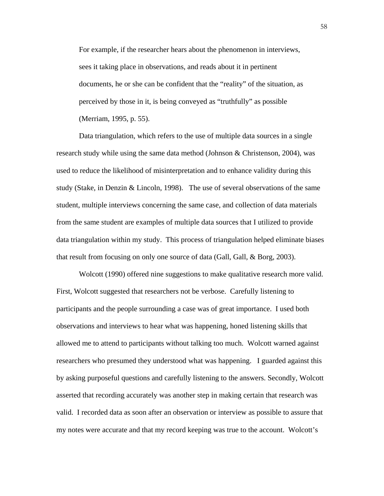For example, if the researcher hears about the phenomenon in interviews, sees it taking place in observations, and reads about it in pertinent documents, he or she can be confident that the "reality" of the situation, as perceived by those in it, is being conveyed as "truthfully" as possible (Merriam, 1995, p. 55).

 Data triangulation, which refers to the use of multiple data sources in a single research study while using the same data method (Johnson & Christenson, 2004), was used to reduce the likelihood of misinterpretation and to enhance validity during this study (Stake, in Denzin & Lincoln, 1998). The use of several observations of the same student, multiple interviews concerning the same case, and collection of data materials from the same student are examples of multiple data sources that I utilized to provide data triangulation within my study. This process of triangulation helped eliminate biases that result from focusing on only one source of data (Gall, Gall, & Borg, 2003).

 Wolcott (1990) offered nine suggestions to make qualitative research more valid. First, Wolcott suggested that researchers not be verbose. Carefully listening to participants and the people surrounding a case was of great importance. I used both observations and interviews to hear what was happening, honed listening skills that allowed me to attend to participants without talking too much. Wolcott warned against researchers who presumed they understood what was happening. I guarded against this by asking purposeful questions and carefully listening to the answers. Secondly, Wolcott asserted that recording accurately was another step in making certain that research was valid. I recorded data as soon after an observation or interview as possible to assure that my notes were accurate and that my record keeping was true to the account. Wolcott's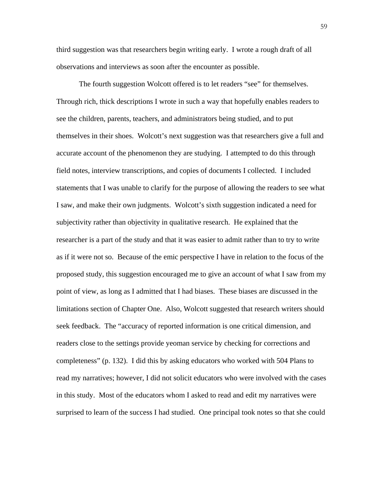third suggestion was that researchers begin writing early. I wrote a rough draft of all observations and interviews as soon after the encounter as possible.

 The fourth suggestion Wolcott offered is to let readers "see" for themselves. Through rich, thick descriptions I wrote in such a way that hopefully enables readers to see the children, parents, teachers, and administrators being studied, and to put themselves in their shoes. Wolcott's next suggestion was that researchers give a full and accurate account of the phenomenon they are studying. I attempted to do this through field notes, interview transcriptions, and copies of documents I collected. I included statements that I was unable to clarify for the purpose of allowing the readers to see what I saw, and make their own judgments. Wolcott's sixth suggestion indicated a need for subjectivity rather than objectivity in qualitative research. He explained that the researcher is a part of the study and that it was easier to admit rather than to try to write as if it were not so. Because of the emic perspective I have in relation to the focus of the proposed study, this suggestion encouraged me to give an account of what I saw from my point of view, as long as I admitted that I had biases. These biases are discussed in the limitations section of Chapter One. Also, Wolcott suggested that research writers should seek feedback. The "accuracy of reported information is one critical dimension, and readers close to the settings provide yeoman service by checking for corrections and completeness" (p. 132). I did this by asking educators who worked with 504 Plans to read my narratives; however, I did not solicit educators who were involved with the cases in this study. Most of the educators whom I asked to read and edit my narratives were surprised to learn of the success I had studied. One principal took notes so that she could

59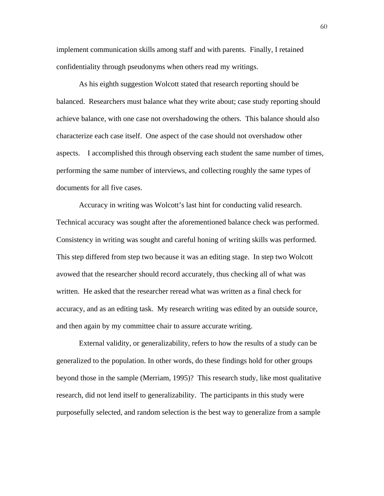implement communication skills among staff and with parents. Finally, I retained confidentiality through pseudonyms when others read my writings.

 As his eighth suggestion Wolcott stated that research reporting should be balanced. Researchers must balance what they write about; case study reporting should achieve balance, with one case not overshadowing the others. This balance should also characterize each case itself. One aspect of the case should not overshadow other aspects. I accomplished this through observing each student the same number of times, performing the same number of interviews, and collecting roughly the same types of documents for all five cases.

 Accuracy in writing was Wolcott's last hint for conducting valid research. Technical accuracy was sought after the aforementioned balance check was performed. Consistency in writing was sought and careful honing of writing skills was performed. This step differed from step two because it was an editing stage. In step two Wolcott avowed that the researcher should record accurately, thus checking all of what was written. He asked that the researcher reread what was written as a final check for accuracy, and as an editing task. My research writing was edited by an outside source, and then again by my committee chair to assure accurate writing.

 External validity, or generalizability, refers to how the results of a study can be generalized to the population. In other words, do these findings hold for other groups beyond those in the sample (Merriam, 1995)? This research study, like most qualitative research, did not lend itself to generalizability. The participants in this study were purposefully selected, and random selection is the best way to generalize from a sample

60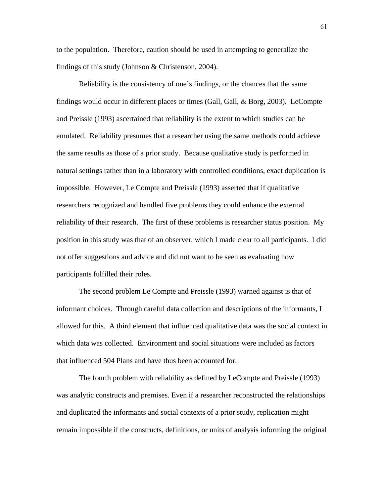to the population. Therefore, caution should be used in attempting to generalize the findings of this study (Johnson & Christenson, 2004).

 Reliability is the consistency of one's findings, or the chances that the same findings would occur in different places or times (Gall, Gall, & Borg, 2003). LeCompte and Preissle (1993) ascertained that reliability is the extent to which studies can be emulated. Reliability presumes that a researcher using the same methods could achieve the same results as those of a prior study. Because qualitative study is performed in natural settings rather than in a laboratory with controlled conditions, exact duplication is impossible. However, Le Compte and Preissle (1993) asserted that if qualitative researchers recognized and handled five problems they could enhance the external reliability of their research. The first of these problems is researcher status position. My position in this study was that of an observer, which I made clear to all participants. I did not offer suggestions and advice and did not want to be seen as evaluating how participants fulfilled their roles.

 The second problem Le Compte and Preissle (1993) warned against is that of informant choices. Through careful data collection and descriptions of the informants, I allowed for this. A third element that influenced qualitative data was the social context in which data was collected. Environment and social situations were included as factors that influenced 504 Plans and have thus been accounted for.

 The fourth problem with reliability as defined by LeCompte and Preissle (1993) was analytic constructs and premises. Even if a researcher reconstructed the relationships and duplicated the informants and social contexts of a prior study, replication might remain impossible if the constructs, definitions, or units of analysis informing the original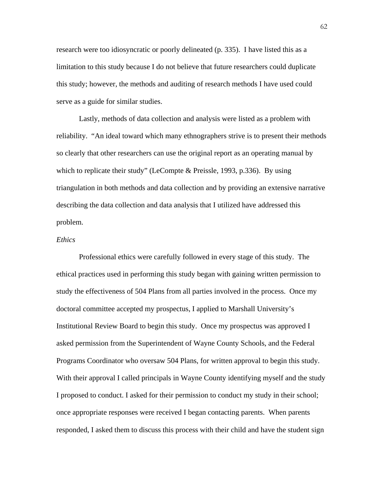research were too idiosyncratic or poorly delineated (p. 335). I have listed this as a limitation to this study because I do not believe that future researchers could duplicate this study; however, the methods and auditing of research methods I have used could serve as a guide for similar studies.

 Lastly, methods of data collection and analysis were listed as a problem with reliability. "An ideal toward which many ethnographers strive is to present their methods so clearly that other researchers can use the original report as an operating manual by which to replicate their study" (LeCompte & Preissle, 1993, p.336). By using triangulation in both methods and data collection and by providing an extensive narrative describing the data collection and data analysis that I utilized have addressed this problem.

# *Ethics*

 Professional ethics were carefully followed in every stage of this study. The ethical practices used in performing this study began with gaining written permission to study the effectiveness of 504 Plans from all parties involved in the process. Once my doctoral committee accepted my prospectus, I applied to Marshall University's Institutional Review Board to begin this study. Once my prospectus was approved I asked permission from the Superintendent of Wayne County Schools, and the Federal Programs Coordinator who oversaw 504 Plans, for written approval to begin this study. With their approval I called principals in Wayne County identifying myself and the study I proposed to conduct. I asked for their permission to conduct my study in their school; once appropriate responses were received I began contacting parents. When parents responded, I asked them to discuss this process with their child and have the student sign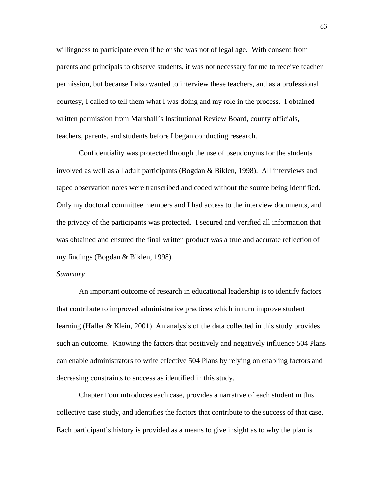willingness to participate even if he or she was not of legal age. With consent from parents and principals to observe students, it was not necessary for me to receive teacher permission, but because I also wanted to interview these teachers, and as a professional courtesy, I called to tell them what I was doing and my role in the process. I obtained written permission from Marshall's Institutional Review Board, county officials, teachers, parents, and students before I began conducting research.

 Confidentiality was protected through the use of pseudonyms for the students involved as well as all adult participants (Bogdan & Biklen, 1998). All interviews and taped observation notes were transcribed and coded without the source being identified. Only my doctoral committee members and I had access to the interview documents, and the privacy of the participants was protected. I secured and verified all information that was obtained and ensured the final written product was a true and accurate reflection of my findings (Bogdan & Biklen, 1998).

#### *Summary*

 An important outcome of research in educational leadership is to identify factors that contribute to improved administrative practices which in turn improve student learning (Haller & Klein, 2001) An analysis of the data collected in this study provides such an outcome. Knowing the factors that positively and negatively influence 504 Plans can enable administrators to write effective 504 Plans by relying on enabling factors and decreasing constraints to success as identified in this study.

 Chapter Four introduces each case, provides a narrative of each student in this collective case study, and identifies the factors that contribute to the success of that case. Each participant's history is provided as a means to give insight as to why the plan is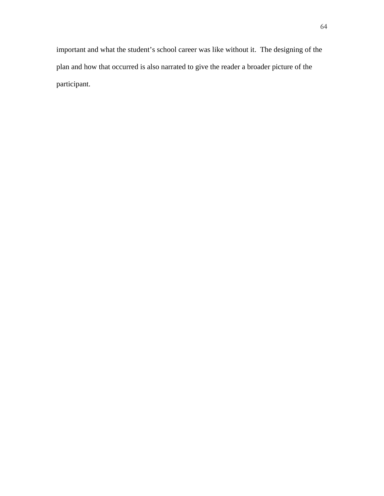important and what the student's school career was like without it. The designing of the plan and how that occurred is also narrated to give the reader a broader picture of the participant.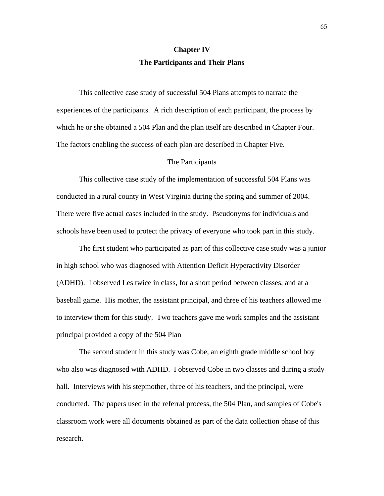# **Chapter IV The Participants and Their Plans**

This collective case study of successful 504 Plans attempts to narrate the experiences of the participants. A rich description of each participant, the process by which he or she obtained a 504 Plan and the plan itself are described in Chapter Four. The factors enabling the success of each plan are described in Chapter Five.

## The Participants

 This collective case study of the implementation of successful 504 Plans was conducted in a rural county in West Virginia during the spring and summer of 2004. There were five actual cases included in the study. Pseudonyms for individuals and schools have been used to protect the privacy of everyone who took part in this study.

The first student who participated as part of this collective case study was a junior in high school who was diagnosed with Attention Deficit Hyperactivity Disorder (ADHD). I observed Les twice in class, for a short period between classes, and at a baseball game. His mother, the assistant principal, and three of his teachers allowed me to interview them for this study. Two teachers gave me work samples and the assistant principal provided a copy of the 504 Plan

The second student in this study was Cobe, an eighth grade middle school boy who also was diagnosed with ADHD. I observed Cobe in two classes and during a study hall. Interviews with his stepmother, three of his teachers, and the principal, were conducted. The papers used in the referral process, the 504 Plan, and samples of Cobe's classroom work were all documents obtained as part of the data collection phase of this research.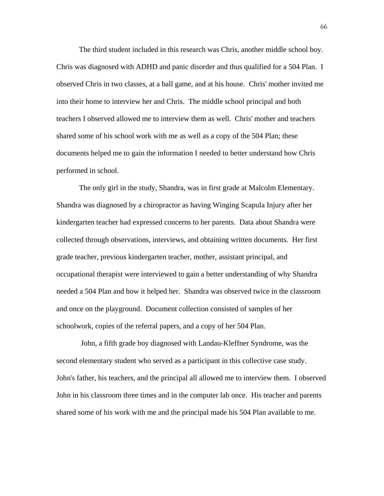The third student included in this research was Chris, another middle school boy. Chris was diagnosed with ADHD and panic disorder and thus qualified for a 504 Plan. I observed Chris in two classes, at a ball game, and at his house. Chris' mother invited me into their home to interview her and Chris. The middle school principal and both teachers I observed allowed me to interview them as well. Chris' mother and teachers shared some of his school work with me as well as a copy of the 504 Plan; these documents helped me to gain the information I needed to better understand how Chris performed in school.

 The only girl in the study, Shandra, was in first grade at Malcolm Elementary. Shandra was diagnosed by a chiropractor as having Winging Scapula Injury after her kindergarten teacher had expressed concerns to her parents. Data about Shandra were collected through observations, interviews, and obtaining written documents. Her first grade teacher, previous kindergarten teacher, mother, assistant principal, and occupational therapist were interviewed to gain a better understanding of why Shandra needed a 504 Plan and how it helped her. Shandra was observed twice in the classroom and once on the playground. Document collection consisted of samples of her schoolwork, copies of the referral papers, and a copy of her 504 Plan.

 John, a fifth grade boy diagnosed with Landau-Kleffner Syndrome, was the second elementary student who served as a participant in this collective case study. John's father, his teachers, and the principal all allowed me to interview them. I observed John in his classroom three times and in the computer lab once. His teacher and parents shared some of his work with me and the principal made his 504 Plan available to me.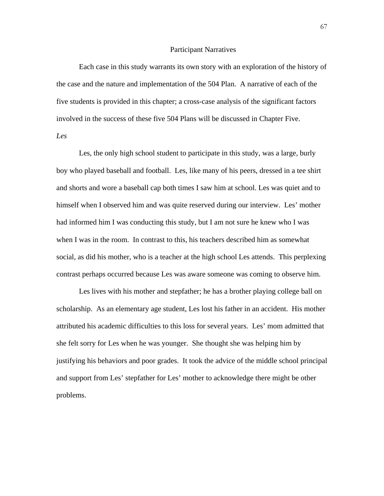### Participant Narratives

Each case in this study warrants its own story with an exploration of the history of the case and the nature and implementation of the 504 Plan. A narrative of each of the five students is provided in this chapter; a cross-case analysis of the significant factors involved in the success of these five 504 Plans will be discussed in Chapter Five. *Les* 

 Les, the only high school student to participate in this study, was a large, burly boy who played baseball and football. Les, like many of his peers, dressed in a tee shirt and shorts and wore a baseball cap both times I saw him at school. Les was quiet and to himself when I observed him and was quite reserved during our interview. Les' mother had informed him I was conducting this study, but I am not sure he knew who I was when I was in the room. In contrast to this, his teachers described him as somewhat social, as did his mother, who is a teacher at the high school Les attends. This perplexing contrast perhaps occurred because Les was aware someone was coming to observe him.

Les lives with his mother and stepfather; he has a brother playing college ball on scholarship. As an elementary age student, Les lost his father in an accident. His mother attributed his academic difficulties to this loss for several years. Les' mom admitted that she felt sorry for Les when he was younger. She thought she was helping him by justifying his behaviors and poor grades. It took the advice of the middle school principal and support from Les' stepfather for Les' mother to acknowledge there might be other problems.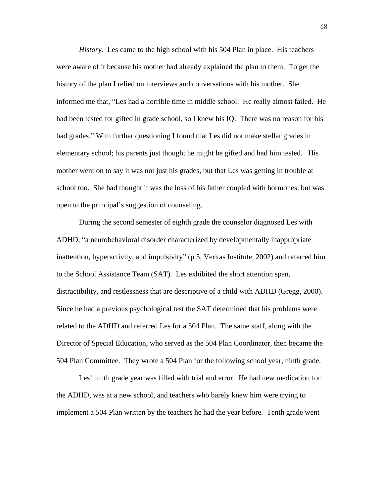*History.* Les came to the high school with his 504 Plan in place. His teachers were aware of it because his mother had already explained the plan to them. To get the history of the plan I relied on interviews and conversations with his mother. She informed me that, "Les had a horrible time in middle school. He really almost failed. He had been tested for gifted in grade school, so I knew his IQ. There was no reason for his bad grades." With further questioning I found that Les did not make stellar grades in elementary school; his parents just thought he might be gifted and had him tested. His mother went on to say it was not just his grades, but that Les was getting in trouble at school too. She had thought it was the loss of his father coupled with hormones, but was open to the principal's suggestion of counseling.

During the second semester of eighth grade the counselor diagnosed Les with ADHD, "a neurobehavioral disorder characterized by developmentally inappropriate inattention, hyperactivity, and impulsivity" (p.5, Veritas Institute, 2002) and referred him to the School Assistance Team (SAT). Les exhibited the short attention span, distractibility, and restlessness that are descriptive of a child with ADHD (Gregg, 2000). Since he had a previous psychological test the SAT determined that his problems were related to the ADHD and referred Les for a 504 Plan. The same staff, along with the Director of Special Education, who served as the 504 Plan Coordinator, then became the 504 Plan Committee. They wrote a 504 Plan for the following school year, ninth grade.

 Les' ninth grade year was filled with trial and error. He had new medication for the ADHD, was at a new school, and teachers who barely knew him were trying to implement a 504 Plan written by the teachers he had the year before. Tenth grade went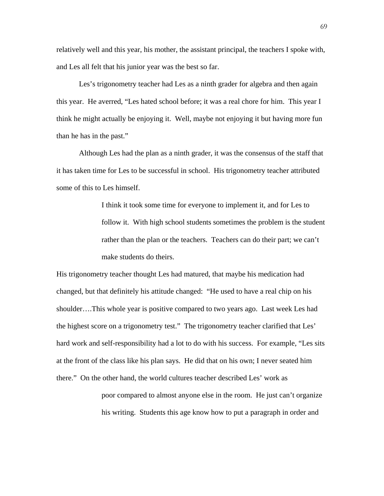relatively well and this year, his mother, the assistant principal, the teachers I spoke with, and Les all felt that his junior year was the best so far.

 Les's trigonometry teacher had Les as a ninth grader for algebra and then again this year. He averred, "Les hated school before; it was a real chore for him. This year I think he might actually be enjoying it. Well, maybe not enjoying it but having more fun than he has in the past."

 Although Les had the plan as a ninth grader, it was the consensus of the staff that it has taken time for Les to be successful in school. His trigonometry teacher attributed some of this to Les himself.

> I think it took some time for everyone to implement it, and for Les to follow it. With high school students sometimes the problem is the student rather than the plan or the teachers. Teachers can do their part; we can't make students do theirs.

His trigonometry teacher thought Les had matured, that maybe his medication had changed, but that definitely his attitude changed: "He used to have a real chip on his shoulder….This whole year is positive compared to two years ago. Last week Les had the highest score on a trigonometry test." The trigonometry teacher clarified that Les' hard work and self-responsibility had a lot to do with his success. For example, "Les sits at the front of the class like his plan says. He did that on his own; I never seated him there." On the other hand, the world cultures teacher described Les' work as

> poor compared to almost anyone else in the room. He just can't organize his writing. Students this age know how to put a paragraph in order and

69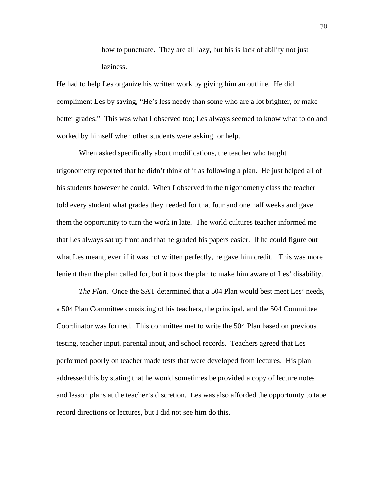how to punctuate. They are all lazy, but his is lack of ability not just laziness.

He had to help Les organize his written work by giving him an outline. He did compliment Les by saying, "He's less needy than some who are a lot brighter, or make better grades." This was what I observed too; Les always seemed to know what to do and worked by himself when other students were asking for help.

 When asked specifically about modifications, the teacher who taught trigonometry reported that he didn't think of it as following a plan. He just helped all of his students however he could. When I observed in the trigonometry class the teacher told every student what grades they needed for that four and one half weeks and gave them the opportunity to turn the work in late. The world cultures teacher informed me that Les always sat up front and that he graded his papers easier. If he could figure out what Les meant, even if it was not written perfectly, he gave him credit. This was more lenient than the plan called for, but it took the plan to make him aware of Les' disability.

*The Plan.* Once the SAT determined that a 504 Plan would best meet Les' needs, a 504 Plan Committee consisting of his teachers, the principal, and the 504 Committee Coordinator was formed. This committee met to write the 504 Plan based on previous testing, teacher input, parental input, and school records. Teachers agreed that Les performed poorly on teacher made tests that were developed from lectures. His plan addressed this by stating that he would sometimes be provided a copy of lecture notes and lesson plans at the teacher's discretion. Les was also afforded the opportunity to tape record directions or lectures, but I did not see him do this.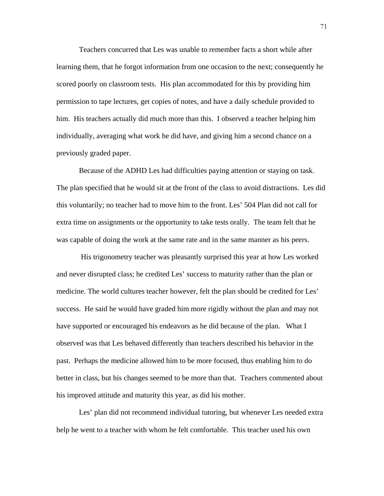Teachers concurred that Les was unable to remember facts a short while after learning them, that he forgot information from one occasion to the next; consequently he scored poorly on classroom tests. His plan accommodated for this by providing him permission to tape lectures, get copies of notes, and have a daily schedule provided to him. His teachers actually did much more than this. I observed a teacher helping him individually, averaging what work he did have, and giving him a second chance on a previously graded paper.

 Because of the ADHD Les had difficulties paying attention or staying on task. The plan specified that he would sit at the front of the class to avoid distractions. Les did this voluntarily; no teacher had to move him to the front. Les' 504 Plan did not call for extra time on assignments or the opportunity to take tests orally. The team felt that he was capable of doing the work at the same rate and in the same manner as his peers.

 His trigonometry teacher was pleasantly surprised this year at how Les worked and never disrupted class; he credited Les' success to maturity rather than the plan or medicine. The world cultures teacher however, felt the plan should be credited for Les' success. He said he would have graded him more rigidly without the plan and may not have supported or encouraged his endeavors as he did because of the plan. What I observed was that Les behaved differently than teachers described his behavior in the past. Perhaps the medicine allowed him to be more focused, thus enabling him to do better in class, but his changes seemed to be more than that. Teachers commented about his improved attitude and maturity this year, as did his mother.

 Les' plan did not recommend individual tutoring, but whenever Les needed extra help he went to a teacher with whom he felt comfortable. This teacher used his own

71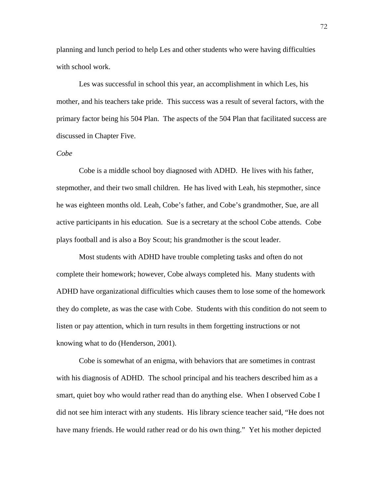planning and lunch period to help Les and other students who were having difficulties with school work.

 Les was successful in school this year, an accomplishment in which Les, his mother, and his teachers take pride. This success was a result of several factors, with the primary factor being his 504 Plan. The aspects of the 504 Plan that facilitated success are discussed in Chapter Five.

## *Cobe*

 Cobe is a middle school boy diagnosed with ADHD. He lives with his father, stepmother, and their two small children. He has lived with Leah, his stepmother, since he was eighteen months old. Leah, Cobe's father, and Cobe's grandmother, Sue, are all active participants in his education. Sue is a secretary at the school Cobe attends. Cobe plays football and is also a Boy Scout; his grandmother is the scout leader.

 Most students with ADHD have trouble completing tasks and often do not complete their homework; however, Cobe always completed his. Many students with ADHD have organizational difficulties which causes them to lose some of the homework they do complete, as was the case with Cobe. Students with this condition do not seem to listen or pay attention, which in turn results in them forgetting instructions or not knowing what to do (Henderson, 2001).

Cobe is somewhat of an enigma, with behaviors that are sometimes in contrast with his diagnosis of ADHD. The school principal and his teachers described him as a smart, quiet boy who would rather read than do anything else. When I observed Cobe I did not see him interact with any students. His library science teacher said, "He does not have many friends. He would rather read or do his own thing." Yet his mother depicted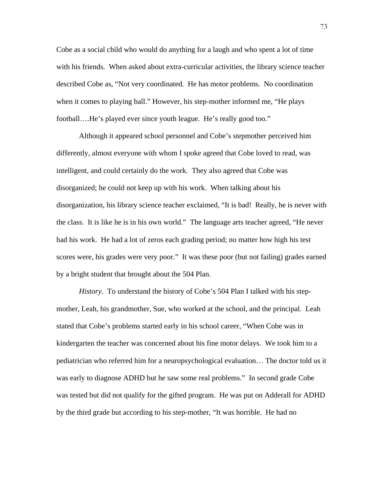Cobe as a social child who would do anything for a laugh and who spent a lot of time with his friends. When asked about extra-curricular activities, the library science teacher described Cobe as, "Not very coordinated. He has motor problems. No coordination when it comes to playing ball." However, his step-mother informed me, "He plays football….He's played ever since youth league. He's really good too."

 Although it appeared school personnel and Cobe's stepmother perceived him differently, almost everyone with whom I spoke agreed that Cobe loved to read, was intelligent, and could certainly do the work. They also agreed that Cobe was disorganized; he could not keep up with his work. When talking about his disorganization, his library science teacher exclaimed, "It is bad! Really, he is never with the class. It is like he is in his own world." The language arts teacher agreed, "He never had his work. He had a lot of zeros each grading period; no matter how high his test scores were, his grades were very poor." It was these poor (but not failing) grades earned by a bright student that brought about the 504 Plan.

*History*. To understand the history of Cobe's 504 Plan I talked with his stepmother, Leah, his grandmother, Sue, who worked at the school, and the principal. Leah stated that Cobe's problems started early in his school career, "When Cobe was in kindergarten the teacher was concerned about his fine motor delays. We took him to a pediatrician who referred him for a neuropsychological evaluation… The doctor told us it was early to diagnose ADHD but he saw some real problems." In second grade Cobe was tested but did not qualify for the gifted program. He was put on Adderall for ADHD by the third grade but according to his step-mother, "It was horrible. He had no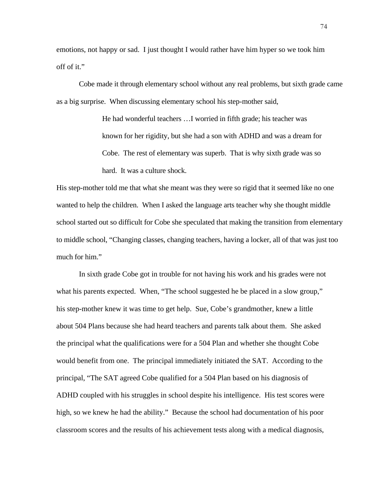emotions, not happy or sad. I just thought I would rather have him hyper so we took him off of it."

 Cobe made it through elementary school without any real problems, but sixth grade came as a big surprise. When discussing elementary school his step-mother said,

> He had wonderful teachers …I worried in fifth grade; his teacher was known for her rigidity, but she had a son with ADHD and was a dream for Cobe. The rest of elementary was superb. That is why sixth grade was so hard. It was a culture shock.

His step-mother told me that what she meant was they were so rigid that it seemed like no one wanted to help the children. When I asked the language arts teacher why she thought middle school started out so difficult for Cobe she speculated that making the transition from elementary to middle school, "Changing classes, changing teachers, having a locker, all of that was just too much for him."

In sixth grade Cobe got in trouble for not having his work and his grades were not what his parents expected. When, "The school suggested he be placed in a slow group," his step-mother knew it was time to get help. Sue, Cobe's grandmother, knew a little about 504 Plans because she had heard teachers and parents talk about them. She asked the principal what the qualifications were for a 504 Plan and whether she thought Cobe would benefit from one. The principal immediately initiated the SAT. According to the principal, "The SAT agreed Cobe qualified for a 504 Plan based on his diagnosis of ADHD coupled with his struggles in school despite his intelligence. His test scores were high, so we knew he had the ability." Because the school had documentation of his poor classroom scores and the results of his achievement tests along with a medical diagnosis,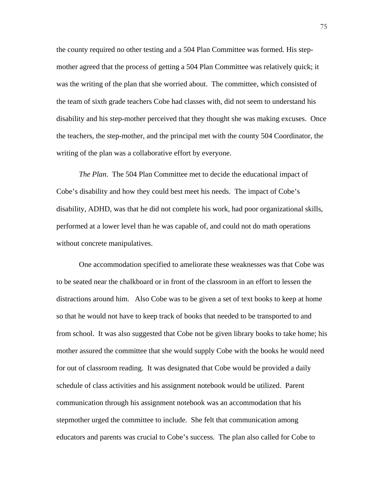the county required no other testing and a 504 Plan Committee was formed. His stepmother agreed that the process of getting a 504 Plan Committee was relatively quick; it was the writing of the plan that she worried about. The committee, which consisted of the team of sixth grade teachers Cobe had classes with, did not seem to understand his disability and his step-mother perceived that they thought she was making excuses. Once the teachers, the step-mother, and the principal met with the county 504 Coordinator, the writing of the plan was a collaborative effort by everyone.

*The Plan*. The 504 Plan Committee met to decide the educational impact of Cobe's disability and how they could best meet his needs. The impact of Cobe's disability, ADHD, was that he did not complete his work, had poor organizational skills, performed at a lower level than he was capable of, and could not do math operations without concrete manipulatives.

One accommodation specified to ameliorate these weaknesses was that Cobe was to be seated near the chalkboard or in front of the classroom in an effort to lessen the distractions around him. Also Cobe was to be given a set of text books to keep at home so that he would not have to keep track of books that needed to be transported to and from school. It was also suggested that Cobe not be given library books to take home; his mother assured the committee that she would supply Cobe with the books he would need for out of classroom reading. It was designated that Cobe would be provided a daily schedule of class activities and his assignment notebook would be utilized. Parent communication through his assignment notebook was an accommodation that his stepmother urged the committee to include. She felt that communication among educators and parents was crucial to Cobe's success. The plan also called for Cobe to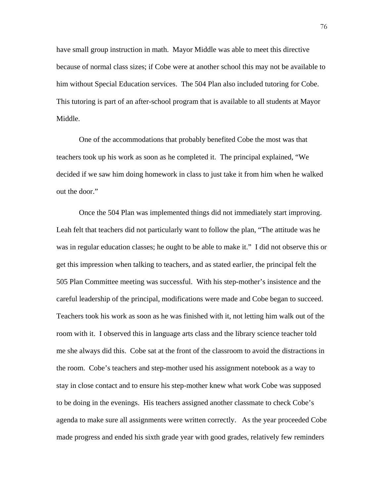have small group instruction in math. Mayor Middle was able to meet this directive because of normal class sizes; if Cobe were at another school this may not be available to him without Special Education services. The 504 Plan also included tutoring for Cobe. This tutoring is part of an after-school program that is available to all students at Mayor Middle.

One of the accommodations that probably benefited Cobe the most was that teachers took up his work as soon as he completed it. The principal explained, "We decided if we saw him doing homework in class to just take it from him when he walked out the door."

 Once the 504 Plan was implemented things did not immediately start improving. Leah felt that teachers did not particularly want to follow the plan, "The attitude was he was in regular education classes; he ought to be able to make it." I did not observe this or get this impression when talking to teachers, and as stated earlier, the principal felt the 505 Plan Committee meeting was successful. With his step-mother's insistence and the careful leadership of the principal, modifications were made and Cobe began to succeed. Teachers took his work as soon as he was finished with it, not letting him walk out of the room with it. I observed this in language arts class and the library science teacher told me she always did this. Cobe sat at the front of the classroom to avoid the distractions in the room. Cobe's teachers and step-mother used his assignment notebook as a way to stay in close contact and to ensure his step-mother knew what work Cobe was supposed to be doing in the evenings. His teachers assigned another classmate to check Cobe's agenda to make sure all assignments were written correctly. As the year proceeded Cobe made progress and ended his sixth grade year with good grades, relatively few reminders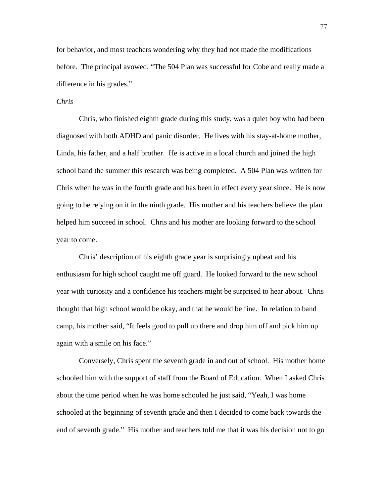for behavior, and most teachers wondering why they had not made the modifications before. The principal avowed, "The 504 Plan was successful for Cobe and really made a difference in his grades."

## *Chris*

 Chris, who finished eighth grade during this study, was a quiet boy who had been diagnosed with both ADHD and panic disorder. He lives with his stay-at-home mother, Linda, his father, and a half brother. He is active in a local church and joined the high school band the summer this research was being completed. A 504 Plan was written for Chris when he was in the fourth grade and has been in effect every year since. He is now going to be relying on it in the ninth grade. His mother and his teachers believe the plan helped him succeed in school. Chris and his mother are looking forward to the school year to come.

 Chris' description of his eighth grade year is surprisingly upbeat and his enthusiasm for high school caught me off guard. He looked forward to the new school year with curiosity and a confidence his teachers might be surprised to hear about. Chris thought that high school would be okay, and that he would be fine. In relation to band camp, his mother said, "It feels good to pull up there and drop him off and pick him up again with a smile on his face."

Conversely, Chris spent the seventh grade in and out of school. His mother home schooled him with the support of staff from the Board of Education. When I asked Chris about the time period when he was home schooled he just said, "Yeah, I was home schooled at the beginning of seventh grade and then I decided to come back towards the end of seventh grade." His mother and teachers told me that it was his decision not to go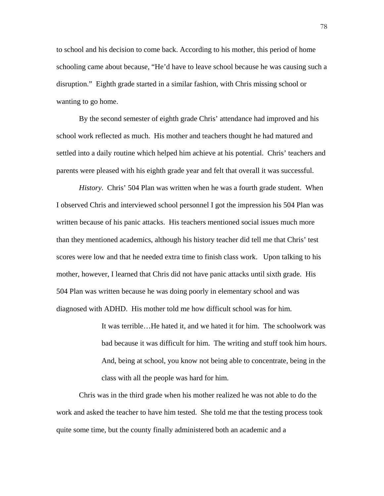to school and his decision to come back. According to his mother, this period of home schooling came about because, "He'd have to leave school because he was causing such a disruption." Eighth grade started in a similar fashion, with Chris missing school or wanting to go home.

By the second semester of eighth grade Chris' attendance had improved and his school work reflected as much. His mother and teachers thought he had matured and settled into a daily routine which helped him achieve at his potential. Chris' teachers and parents were pleased with his eighth grade year and felt that overall it was successful.

*History*. Chris' 504 Plan was written when he was a fourth grade student. When I observed Chris and interviewed school personnel I got the impression his 504 Plan was written because of his panic attacks. His teachers mentioned social issues much more than they mentioned academics, although his history teacher did tell me that Chris' test scores were low and that he needed extra time to finish class work. Upon talking to his mother, however, I learned that Chris did not have panic attacks until sixth grade. His 504 Plan was written because he was doing poorly in elementary school and was diagnosed with ADHD. His mother told me how difficult school was for him.

> It was terrible…He hated it, and we hated it for him. The schoolwork was bad because it was difficult for him. The writing and stuff took him hours. And, being at school, you know not being able to concentrate, being in the class with all the people was hard for him.

Chris was in the third grade when his mother realized he was not able to do the work and asked the teacher to have him tested. She told me that the testing process took quite some time, but the county finally administered both an academic and a

78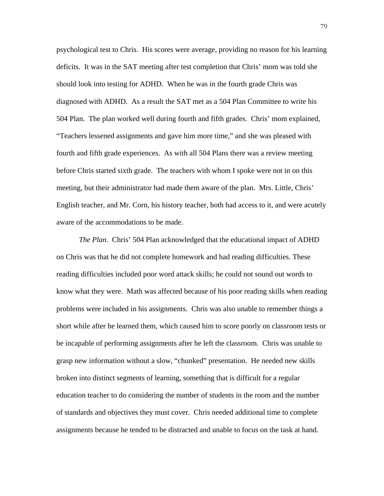psychological test to Chris. His scores were average, providing no reason for his learning deficits. It was in the SAT meeting after test completion that Chris' mom was told she should look into testing for ADHD. When he was in the fourth grade Chris was diagnosed with ADHD. As a result the SAT met as a 504 Plan Committee to write his 504 Plan. The plan worked well during fourth and fifth grades. Chris' mom explained, "Teachers lessened assignments and gave him more time," and she was pleased with fourth and fifth grade experiences. As with all 504 Plans there was a review meeting before Chris started sixth grade. The teachers with whom I spoke were not in on this meeting, but their administrator had made them aware of the plan. Mrs. Little, Chris' English teacher, and Mr. Corn, his history teacher, both had access to it, and were acutely aware of the accommodations to be made.

*The Plan*. Chris' 504 Plan acknowledged that the educational impact of ADHD on Chris was that he did not complete homework and had reading difficulties. These reading difficulties included poor word attack skills; he could not sound out words to know what they were. Math was affected because of his poor reading skills when reading problems were included in his assignments. Chris was also unable to remember things a short while after he learned them, which caused him to score poorly on classroom tests or be incapable of performing assignments after he left the classroom. Chris was unable to grasp new information without a slow, "chunked" presentation. He needed new skills broken into distinct segments of learning, something that is difficult for a regular education teacher to do considering the number of students in the room and the number of standards and objectives they must cover. Chris needed additional time to complete assignments because he tended to be distracted and unable to focus on the task at hand.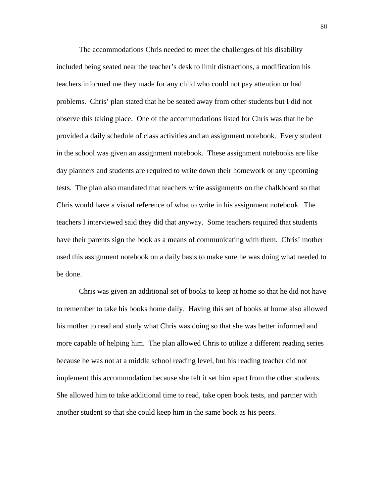The accommodations Chris needed to meet the challenges of his disability included being seated near the teacher's desk to limit distractions, a modification his teachers informed me they made for any child who could not pay attention or had problems. Chris' plan stated that he be seated away from other students but I did not observe this taking place. One of the accommodations listed for Chris was that he be provided a daily schedule of class activities and an assignment notebook. Every student in the school was given an assignment notebook. These assignment notebooks are like day planners and students are required to write down their homework or any upcoming tests. The plan also mandated that teachers write assignments on the chalkboard so that Chris would have a visual reference of what to write in his assignment notebook. The teachers I interviewed said they did that anyway. Some teachers required that students have their parents sign the book as a means of communicating with them. Chris' mother used this assignment notebook on a daily basis to make sure he was doing what needed to be done.

 Chris was given an additional set of books to keep at home so that he did not have to remember to take his books home daily. Having this set of books at home also allowed his mother to read and study what Chris was doing so that she was better informed and more capable of helping him. The plan allowed Chris to utilize a different reading series because he was not at a middle school reading level, but his reading teacher did not implement this accommodation because she felt it set him apart from the other students. She allowed him to take additional time to read, take open book tests, and partner with another student so that she could keep him in the same book as his peers.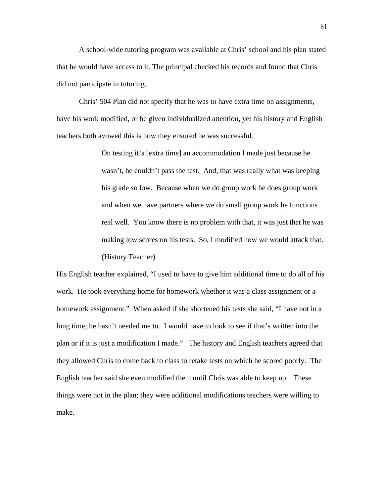A school-wide tutoring program was available at Chris' school and his plan stated that he would have access to it. The principal checked his records and found that Chris did not participate in tutoring.

 Chris' 504 Plan did not specify that he was to have extra time on assignments, have his work modified, or be given individualized attention, yet his history and English teachers both avowed this is how they ensured he was successful.

> On testing it's [extra time] an accommodation I made just because he wasn't, he couldn't pass the test. And, that was really what was keeping his grade so low. Because when we do group work he does group work and when we have partners where we do small group work he functions real well. You know there is no problem with that, it was just that he was making low scores on his tests. So, I modified how we would attack that. (History Teacher)

His English teacher explained, "I used to have to give him additional time to do all of his work. He took everything home for homework whether it was a class assignment or a homework assignment." When asked if she shortened his tests she said, "I have not in a long time; he hasn't needed me to. I would have to look to see if that's written into the plan or if it is just a modification I made." The history and English teachers agreed that they allowed Chris to come back to class to retake tests on which he scored poorly. The English teacher said she even modified them until Chris was able to keep up. These things were not in the plan; they were additional modifications teachers were willing to make.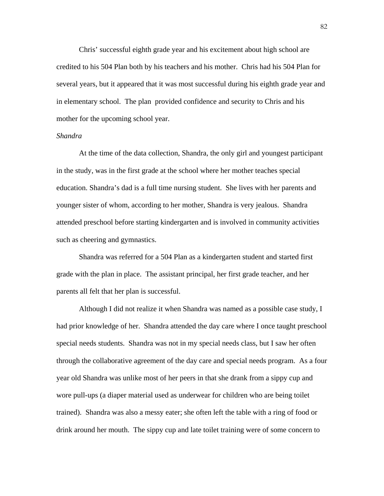Chris' successful eighth grade year and his excitement about high school are credited to his 504 Plan both by his teachers and his mother. Chris had his 504 Plan for several years, but it appeared that it was most successful during his eighth grade year and in elementary school. The plan provided confidence and security to Chris and his mother for the upcoming school year.

### *Shandra*

 At the time of the data collection, Shandra, the only girl and youngest participant in the study, was in the first grade at the school where her mother teaches special education. Shandra's dad is a full time nursing student. She lives with her parents and younger sister of whom, according to her mother, Shandra is very jealous. Shandra attended preschool before starting kindergarten and is involved in community activities such as cheering and gymnastics.

Shandra was referred for a 504 Plan as a kindergarten student and started first grade with the plan in place. The assistant principal, her first grade teacher, and her parents all felt that her plan is successful.

 Although I did not realize it when Shandra was named as a possible case study, I had prior knowledge of her. Shandra attended the day care where I once taught preschool special needs students. Shandra was not in my special needs class, but I saw her often through the collaborative agreement of the day care and special needs program. As a four year old Shandra was unlike most of her peers in that she drank from a sippy cup and wore pull-ups (a diaper material used as underwear for children who are being toilet trained). Shandra was also a messy eater; she often left the table with a ring of food or drink around her mouth. The sippy cup and late toilet training were of some concern to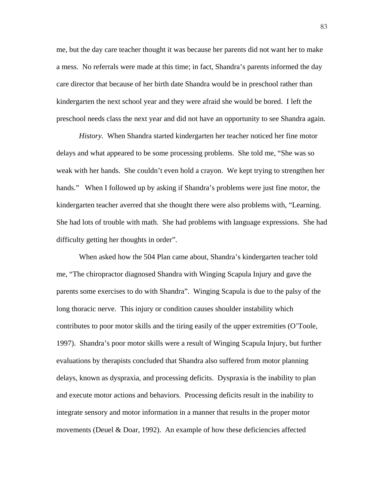me, but the day care teacher thought it was because her parents did not want her to make a mess. No referrals were made at this time; in fact, Shandra's parents informed the day care director that because of her birth date Shandra would be in preschool rather than kindergarten the next school year and they were afraid she would be bored. I left the preschool needs class the next year and did not have an opportunity to see Shandra again.

*History.* When Shandra started kindergarten her teacher noticed her fine motor delays and what appeared to be some processing problems. She told me, "She was so weak with her hands. She couldn't even hold a crayon. We kept trying to strengthen her hands." When I followed up by asking if Shandra's problems were just fine motor, the kindergarten teacher averred that she thought there were also problems with, "Learning. She had lots of trouble with math. She had problems with language expressions. She had difficulty getting her thoughts in order".

When asked how the 504 Plan came about, Shandra's kindergarten teacher told me, "The chiropractor diagnosed Shandra with Winging Scapula Injury and gave the parents some exercises to do with Shandra". Winging Scapula is due to the palsy of the long thoracic nerve. This injury or condition causes shoulder instability which contributes to poor motor skills and the tiring easily of the upper extremities (O'Toole, 1997). Shandra's poor motor skills were a result of Winging Scapula Injury, but further evaluations by therapists concluded that Shandra also suffered from motor planning delays, known as dyspraxia, and processing deficits. Dyspraxia is the inability to plan and execute motor actions and behaviors. Processing deficits result in the inability to integrate sensory and motor information in a manner that results in the proper motor movements (Deuel & Doar, 1992). An example of how these deficiencies affected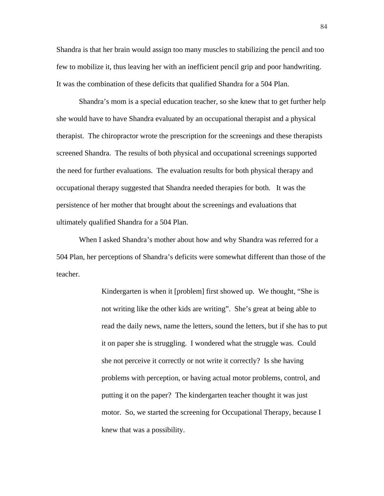Shandra is that her brain would assign too many muscles to stabilizing the pencil and too few to mobilize it, thus leaving her with an inefficient pencil grip and poor handwriting. It was the combination of these deficits that qualified Shandra for a 504 Plan.

Shandra's mom is a special education teacher, so she knew that to get further help she would have to have Shandra evaluated by an occupational therapist and a physical therapist. The chiropractor wrote the prescription for the screenings and these therapists screened Shandra. The results of both physical and occupational screenings supported the need for further evaluations. The evaluation results for both physical therapy and occupational therapy suggested that Shandra needed therapies for both. It was the persistence of her mother that brought about the screenings and evaluations that ultimately qualified Shandra for a 504 Plan.

 When I asked Shandra's mother about how and why Shandra was referred for a 504 Plan, her perceptions of Shandra's deficits were somewhat different than those of the teacher.

> Kindergarten is when it [problem] first showed up. We thought, "She is not writing like the other kids are writing". She's great at being able to read the daily news, name the letters, sound the letters, but if she has to put it on paper she is struggling. I wondered what the struggle was. Could she not perceive it correctly or not write it correctly? Is she having problems with perception, or having actual motor problems, control, and putting it on the paper? The kindergarten teacher thought it was just motor. So, we started the screening for Occupational Therapy, because I knew that was a possibility.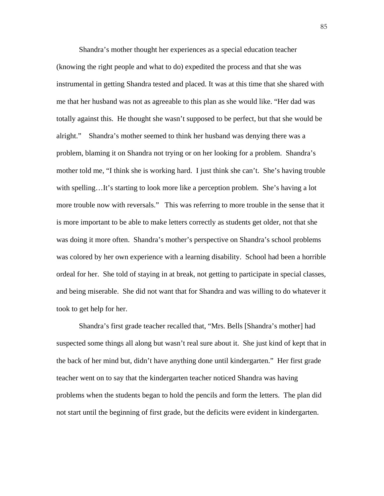Shandra's mother thought her experiences as a special education teacher (knowing the right people and what to do) expedited the process and that she was instrumental in getting Shandra tested and placed. It was at this time that she shared with me that her husband was not as agreeable to this plan as she would like. "Her dad was totally against this. He thought she wasn't supposed to be perfect, but that she would be alright." Shandra's mother seemed to think her husband was denying there was a problem, blaming it on Shandra not trying or on her looking for a problem. Shandra's mother told me, "I think she is working hard. I just think she can't. She's having trouble with spelling…It's starting to look more like a perception problem. She's having a lot more trouble now with reversals." This was referring to more trouble in the sense that it is more important to be able to make letters correctly as students get older, not that she was doing it more often. Shandra's mother's perspective on Shandra's school problems was colored by her own experience with a learning disability. School had been a horrible ordeal for her. She told of staying in at break, not getting to participate in special classes, and being miserable. She did not want that for Shandra and was willing to do whatever it took to get help for her.

 Shandra's first grade teacher recalled that, "Mrs. Bells [Shandra's mother] had suspected some things all along but wasn't real sure about it. She just kind of kept that in the back of her mind but, didn't have anything done until kindergarten." Her first grade teacher went on to say that the kindergarten teacher noticed Shandra was having problems when the students began to hold the pencils and form the letters. The plan did not start until the beginning of first grade, but the deficits were evident in kindergarten.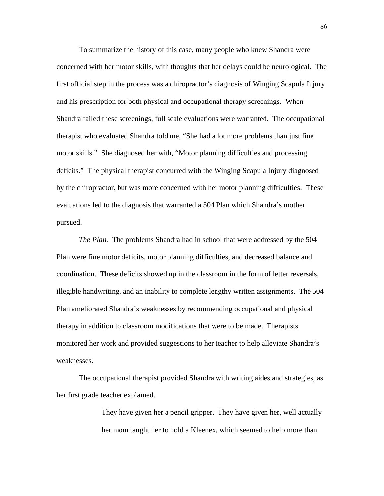To summarize the history of this case, many people who knew Shandra were concerned with her motor skills, with thoughts that her delays could be neurological. The first official step in the process was a chiropractor's diagnosis of Winging Scapula Injury and his prescription for both physical and occupational therapy screenings. When Shandra failed these screenings, full scale evaluations were warranted. The occupational therapist who evaluated Shandra told me, "She had a lot more problems than just fine motor skills." She diagnosed her with, "Motor planning difficulties and processing deficits." The physical therapist concurred with the Winging Scapula Injury diagnosed by the chiropractor, but was more concerned with her motor planning difficulties. These evaluations led to the diagnosis that warranted a 504 Plan which Shandra's mother pursued.

*The Plan.* The problems Shandra had in school that were addressed by the 504 Plan were fine motor deficits, motor planning difficulties, and decreased balance and coordination. These deficits showed up in the classroom in the form of letter reversals, illegible handwriting, and an inability to complete lengthy written assignments. The 504 Plan ameliorated Shandra's weaknesses by recommending occupational and physical therapy in addition to classroom modifications that were to be made. Therapists monitored her work and provided suggestions to her teacher to help alleviate Shandra's weaknesses.

The occupational therapist provided Shandra with writing aides and strategies, as her first grade teacher explained.

> They have given her a pencil gripper. They have given her, well actually her mom taught her to hold a Kleenex, which seemed to help more than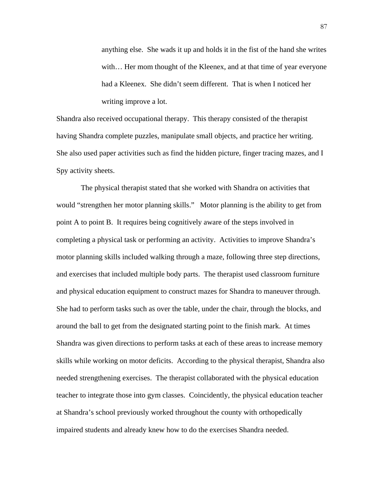anything else. She wads it up and holds it in the fist of the hand she writes with… Her mom thought of the Kleenex, and at that time of year everyone had a Kleenex. She didn't seem different. That is when I noticed her writing improve a lot.

Shandra also received occupational therapy. This therapy consisted of the therapist having Shandra complete puzzles, manipulate small objects, and practice her writing. She also used paper activities such as find the hidden picture, finger tracing mazes, and I Spy activity sheets.

 The physical therapist stated that she worked with Shandra on activities that would "strengthen her motor planning skills." Motor planning is the ability to get from point A to point B. It requires being cognitively aware of the steps involved in completing a physical task or performing an activity. Activities to improve Shandra's motor planning skills included walking through a maze, following three step directions, and exercises that included multiple body parts. The therapist used classroom furniture and physical education equipment to construct mazes for Shandra to maneuver through. She had to perform tasks such as over the table, under the chair, through the blocks, and around the ball to get from the designated starting point to the finish mark. At times Shandra was given directions to perform tasks at each of these areas to increase memory skills while working on motor deficits. According to the physical therapist, Shandra also needed strengthening exercises. The therapist collaborated with the physical education teacher to integrate those into gym classes. Coincidently, the physical education teacher at Shandra's school previously worked throughout the county with orthopedically impaired students and already knew how to do the exercises Shandra needed.

87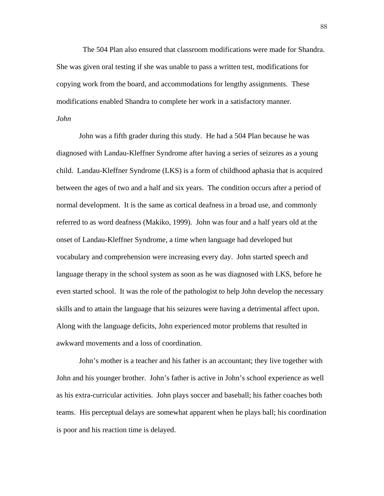The 504 Plan also ensured that classroom modifications were made for Shandra. She was given oral testing if she was unable to pass a written test, modifications for copying work from the board, and accommodations for lengthy assignments. These modifications enabled Shandra to complete her work in a satisfactory manner.

# *John*

John was a fifth grader during this study. He had a 504 Plan because he was diagnosed with Landau-Kleffner Syndrome after having a series of seizures as a young child. Landau-Kleffner Syndrome (LKS) is a form of childhood aphasia that is acquired between the ages of two and a half and six years. The condition occurs after a period of normal development. It is the same as cortical deafness in a broad use, and commonly referred to as word deafness (Makiko, 1999). John was four and a half years old at the onset of Landau-Kleffner Syndrome, a time when language had developed but vocabulary and comprehension were increasing every day. John started speech and language therapy in the school system as soon as he was diagnosed with LKS, before he even started school. It was the role of the pathologist to help John develop the necessary skills and to attain the language that his seizures were having a detrimental affect upon. Along with the language deficits, John experienced motor problems that resulted in awkward movements and a loss of coordination.

John's mother is a teacher and his father is an accountant; they live together with John and his younger brother. John's father is active in John's school experience as well as his extra-curricular activities. John plays soccer and baseball; his father coaches both teams. His perceptual delays are somewhat apparent when he plays ball; his coordination is poor and his reaction time is delayed.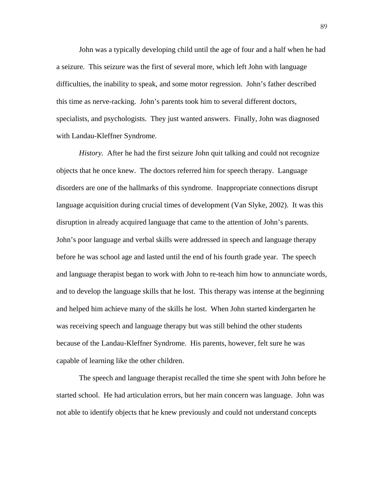John was a typically developing child until the age of four and a half when he had a seizure. This seizure was the first of several more, which left John with language difficulties, the inability to speak, and some motor regression. John's father described this time as nerve-racking. John's parents took him to several different doctors, specialists, and psychologists. They just wanted answers. Finally, John was diagnosed with Landau-Kleffner Syndrome.

*History.* After he had the first seizure John quit talking and could not recognize objects that he once knew. The doctors referred him for speech therapy. Language disorders are one of the hallmarks of this syndrome. Inappropriate connections disrupt language acquisition during crucial times of development (Van Slyke, 2002). It was this disruption in already acquired language that came to the attention of John's parents. John's poor language and verbal skills were addressed in speech and language therapy before he was school age and lasted until the end of his fourth grade year. The speech and language therapist began to work with John to re-teach him how to annunciate words, and to develop the language skills that he lost. This therapy was intense at the beginning and helped him achieve many of the skills he lost. When John started kindergarten he was receiving speech and language therapy but was still behind the other students because of the Landau-Kleffner Syndrome. His parents, however, felt sure he was capable of learning like the other children.

The speech and language therapist recalled the time she spent with John before he started school. He had articulation errors, but her main concern was language. John was not able to identify objects that he knew previously and could not understand concepts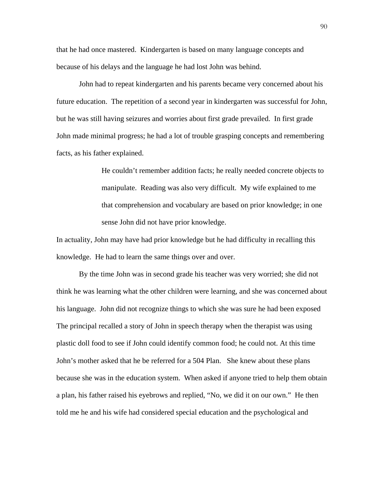that he had once mastered. Kindergarten is based on many language concepts and because of his delays and the language he had lost John was behind.

John had to repeat kindergarten and his parents became very concerned about his future education. The repetition of a second year in kindergarten was successful for John, but he was still having seizures and worries about first grade prevailed. In first grade John made minimal progress; he had a lot of trouble grasping concepts and remembering facts, as his father explained.

> He couldn't remember addition facts; he really needed concrete objects to manipulate. Reading was also very difficult. My wife explained to me that comprehension and vocabulary are based on prior knowledge; in one sense John did not have prior knowledge.

In actuality, John may have had prior knowledge but he had difficulty in recalling this knowledge. He had to learn the same things over and over.

By the time John was in second grade his teacher was very worried; she did not think he was learning what the other children were learning, and she was concerned about his language. John did not recognize things to which she was sure he had been exposed The principal recalled a story of John in speech therapy when the therapist was using plastic doll food to see if John could identify common food; he could not. At this time John's mother asked that he be referred for a 504 Plan. She knew about these plans because she was in the education system. When asked if anyone tried to help them obtain a plan, his father raised his eyebrows and replied, "No, we did it on our own." He then told me he and his wife had considered special education and the psychological and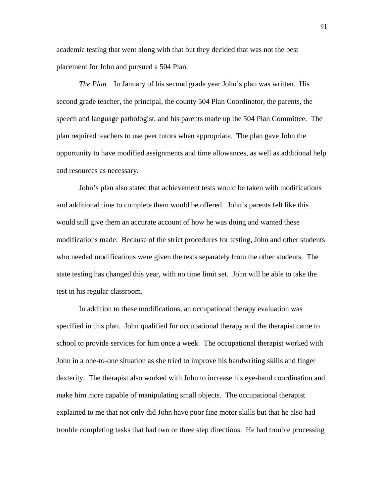academic testing that went along with that but they decided that was not the best placement for John and pursued a 504 Plan.

*The Plan.* In January of his second grade year John's plan was written. His second grade teacher, the principal, the county 504 Plan Coordinator, the parents, the speech and language pathologist, and his parents made up the 504 Plan Committee. The plan required teachers to use peer tutors when appropriate. The plan gave John the opportunity to have modified assignments and time allowances, as well as additional help and resources as necessary.

 John's plan also stated that achievement tests would be taken with modifications and additional time to complete them would be offered. John's parents felt like this would still give them an accurate account of how he was doing and wanted these modifications made. Because of the strict procedures for testing, John and other students who needed modifications were given the tests separately from the other students. The state testing has changed this year, with no time limit set. John will be able to take the test in his regular classroom.

 In addition to these modifications, an occupational therapy evaluation was specified in this plan. John qualified for occupational therapy and the therapist came to school to provide services for him once a week. The occupational therapist worked with John in a one-to-one situation as she tried to improve his handwriting skills and finger dexterity. The therapist also worked with John to increase his eye-hand coordination and make him more capable of manipulating small objects. The occupational therapist explained to me that not only did John have poor fine motor skills but that he also had trouble completing tasks that had two or three step directions. He had trouble processing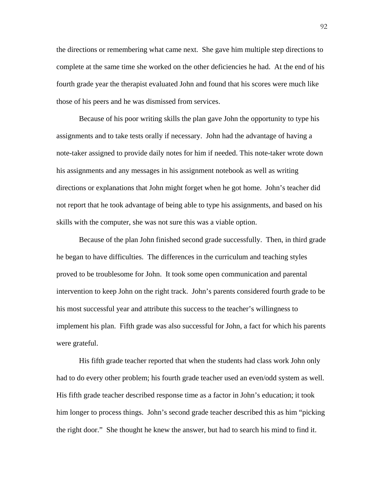the directions or remembering what came next. She gave him multiple step directions to complete at the same time she worked on the other deficiencies he had. At the end of his fourth grade year the therapist evaluated John and found that his scores were much like those of his peers and he was dismissed from services.

Because of his poor writing skills the plan gave John the opportunity to type his assignments and to take tests orally if necessary. John had the advantage of having a note-taker assigned to provide daily notes for him if needed. This note-taker wrote down his assignments and any messages in his assignment notebook as well as writing directions or explanations that John might forget when he got home. John's teacher did not report that he took advantage of being able to type his assignments, and based on his skills with the computer, she was not sure this was a viable option.

Because of the plan John finished second grade successfully. Then, in third grade he began to have difficulties. The differences in the curriculum and teaching styles proved to be troublesome for John. It took some open communication and parental intervention to keep John on the right track. John's parents considered fourth grade to be his most successful year and attribute this success to the teacher's willingness to implement his plan. Fifth grade was also successful for John, a fact for which his parents were grateful.

His fifth grade teacher reported that when the students had class work John only had to do every other problem; his fourth grade teacher used an even/odd system as well. His fifth grade teacher described response time as a factor in John's education; it took him longer to process things. John's second grade teacher described this as him "picking the right door." She thought he knew the answer, but had to search his mind to find it.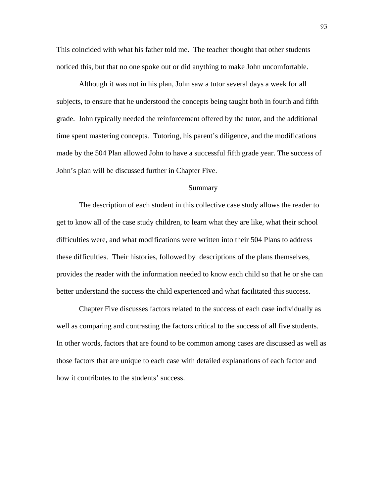This coincided with what his father told me. The teacher thought that other students noticed this, but that no one spoke out or did anything to make John uncomfortable.

 Although it was not in his plan, John saw a tutor several days a week for all subjects, to ensure that he understood the concepts being taught both in fourth and fifth grade. John typically needed the reinforcement offered by the tutor, and the additional time spent mastering concepts. Tutoring, his parent's diligence, and the modifications made by the 504 Plan allowed John to have a successful fifth grade year. The success of John's plan will be discussed further in Chapter Five.

### Summary

 The description of each student in this collective case study allows the reader to get to know all of the case study children, to learn what they are like, what their school difficulties were, and what modifications were written into their 504 Plans to address these difficulties. Their histories, followed by descriptions of the plans themselves, provides the reader with the information needed to know each child so that he or she can better understand the success the child experienced and what facilitated this success.

 Chapter Five discusses factors related to the success of each case individually as well as comparing and contrasting the factors critical to the success of all five students. In other words, factors that are found to be common among cases are discussed as well as those factors that are unique to each case with detailed explanations of each factor and how it contributes to the students' success.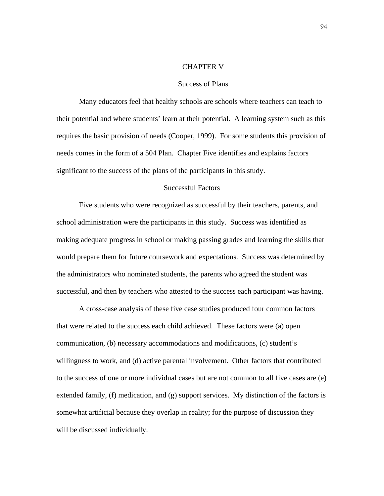### CHAPTER V

#### Success of Plans

Many educators feel that healthy schools are schools where teachers can teach to their potential and where students' learn at their potential. A learning system such as this requires the basic provision of needs (Cooper, 1999). For some students this provision of needs comes in the form of a 504 Plan. Chapter Five identifies and explains factors significant to the success of the plans of the participants in this study.

## Successful Factors

Five students who were recognized as successful by their teachers, parents, and school administration were the participants in this study. Success was identified as making adequate progress in school or making passing grades and learning the skills that would prepare them for future coursework and expectations. Success was determined by the administrators who nominated students, the parents who agreed the student was successful, and then by teachers who attested to the success each participant was having.

 A cross-case analysis of these five case studies produced four common factors that were related to the success each child achieved. These factors were (a) open communication, (b) necessary accommodations and modifications, (c) student's willingness to work, and (d) active parental involvement. Other factors that contributed to the success of one or more individual cases but are not common to all five cases are (e) extended family, (f) medication, and (g) support services. My distinction of the factors is somewhat artificial because they overlap in reality; for the purpose of discussion they will be discussed individually.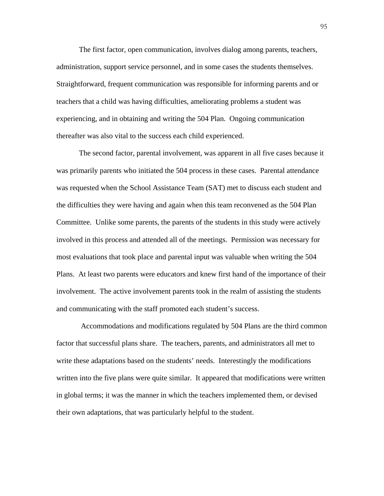The first factor, open communication, involves dialog among parents, teachers, administration, support service personnel, and in some cases the students themselves. Straightforward, frequent communication was responsible for informing parents and or teachers that a child was having difficulties, ameliorating problems a student was experiencing, and in obtaining and writing the 504 Plan. Ongoing communication thereafter was also vital to the success each child experienced.

The second factor, parental involvement, was apparent in all five cases because it was primarily parents who initiated the 504 process in these cases. Parental attendance was requested when the School Assistance Team (SAT) met to discuss each student and the difficulties they were having and again when this team reconvened as the 504 Plan Committee. Unlike some parents, the parents of the students in this study were actively involved in this process and attended all of the meetings. Permission was necessary for most evaluations that took place and parental input was valuable when writing the 504 Plans. At least two parents were educators and knew first hand of the importance of their involvement. The active involvement parents took in the realm of assisting the students and communicating with the staff promoted each student's success.

 Accommodations and modifications regulated by 504 Plans are the third common factor that successful plans share. The teachers, parents, and administrators all met to write these adaptations based on the students' needs. Interestingly the modifications written into the five plans were quite similar. It appeared that modifications were written in global terms; it was the manner in which the teachers implemented them, or devised their own adaptations, that was particularly helpful to the student.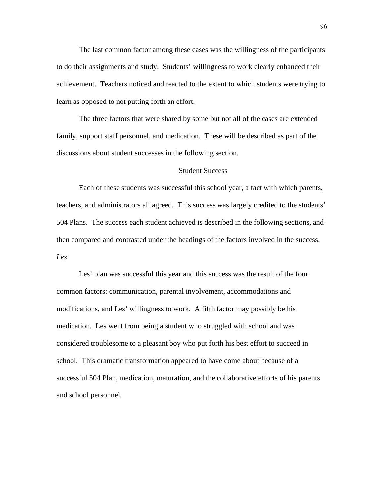The last common factor among these cases was the willingness of the participants to do their assignments and study. Students' willingness to work clearly enhanced their achievement. Teachers noticed and reacted to the extent to which students were trying to learn as opposed to not putting forth an effort.

The three factors that were shared by some but not all of the cases are extended family, support staff personnel, and medication. These will be described as part of the discussions about student successes in the following section.

## Student Success

Each of these students was successful this school year, a fact with which parents, teachers, and administrators all agreed. This success was largely credited to the students' 504 Plans. The success each student achieved is described in the following sections, and then compared and contrasted under the headings of the factors involved in the success. *Les* 

 Les' plan was successful this year and this success was the result of the four common factors: communication, parental involvement, accommodations and modifications, and Les' willingness to work. A fifth factor may possibly be his medication. Les went from being a student who struggled with school and was considered troublesome to a pleasant boy who put forth his best effort to succeed in school. This dramatic transformation appeared to have come about because of a successful 504 Plan, medication, maturation, and the collaborative efforts of his parents and school personnel.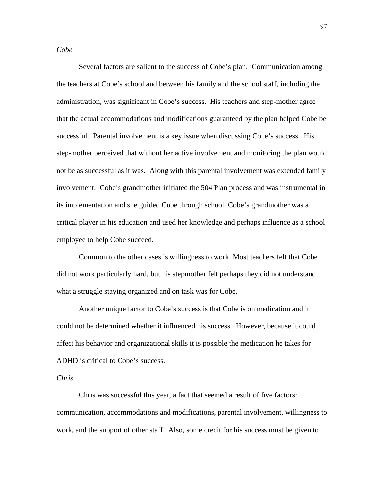*Cobe* 

Several factors are salient to the success of Cobe's plan. Communication among the teachers at Cobe's school and between his family and the school staff, including the administration, was significant in Cobe's success. His teachers and step-mother agree that the actual accommodations and modifications guaranteed by the plan helped Cobe be successful. Parental involvement is a key issue when discussing Cobe's success. His step-mother perceived that without her active involvement and monitoring the plan would not be as successful as it was. Along with this parental involvement was extended family involvement. Cobe's grandmother initiated the 504 Plan process and was instrumental in its implementation and she guided Cobe through school. Cobe's grandmother was a critical player in his education and used her knowledge and perhaps influence as a school employee to help Cobe succeed.

Common to the other cases is willingness to work. Most teachers felt that Cobe did not work particularly hard, but his stepmother felt perhaps they did not understand what a struggle staying organized and on task was for Cobe.

Another unique factor to Cobe's success is that Cobe is on medication and it could not be determined whether it influenced his success. However, because it could affect his behavior and organizational skills it is possible the medication he takes for ADHD is critical to Cobe's success.

## *Chris*

Chris was successful this year, a fact that seemed a result of five factors: communication, accommodations and modifications, parental involvement, willingness to work, and the support of other staff. Also, some credit for his success must be given to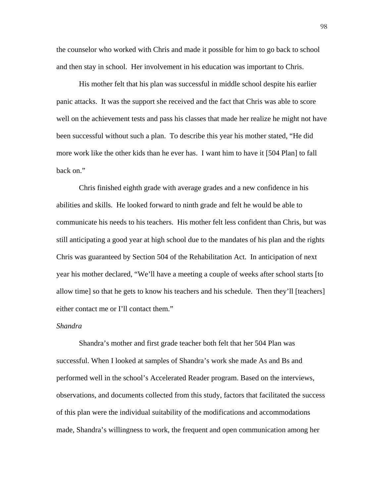the counselor who worked with Chris and made it possible for him to go back to school and then stay in school. Her involvement in his education was important to Chris.

His mother felt that his plan was successful in middle school despite his earlier panic attacks. It was the support she received and the fact that Chris was able to score well on the achievement tests and pass his classes that made her realize he might not have been successful without such a plan. To describe this year his mother stated, "He did more work like the other kids than he ever has. I want him to have it [504 Plan] to fall back on."

 Chris finished eighth grade with average grades and a new confidence in his abilities and skills. He looked forward to ninth grade and felt he would be able to communicate his needs to his teachers. His mother felt less confident than Chris, but was still anticipating a good year at high school due to the mandates of his plan and the rights Chris was guaranteed by Section 504 of the Rehabilitation Act. In anticipation of next year his mother declared, "We'll have a meeting a couple of weeks after school starts [to allow time] so that he gets to know his teachers and his schedule. Then they'll [teachers] either contact me or I'll contact them."

## *Shandra*

 Shandra's mother and first grade teacher both felt that her 504 Plan was successful. When I looked at samples of Shandra's work she made As and Bs and performed well in the school's Accelerated Reader program. Based on the interviews, observations, and documents collected from this study, factors that facilitated the success of this plan were the individual suitability of the modifications and accommodations made, Shandra's willingness to work, the frequent and open communication among her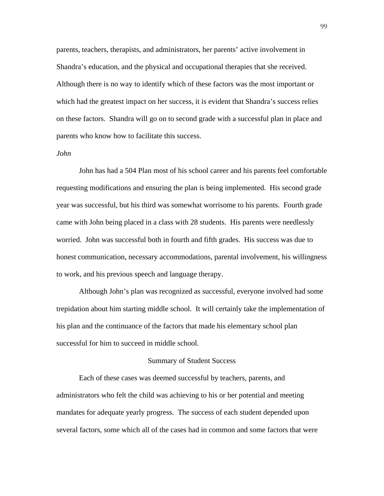parents, teachers, therapists, and administrators, her parents' active involvement in Shandra's education, and the physical and occupational therapies that she received. Although there is no way to identify which of these factors was the most important or which had the greatest impact on her success, it is evident that Shandra's success relies on these factors. Shandra will go on to second grade with a successful plan in place and parents who know how to facilitate this success.

### *John*

John has had a 504 Plan most of his school career and his parents feel comfortable requesting modifications and ensuring the plan is being implemented. His second grade year was successful, but his third was somewhat worrisome to his parents. Fourth grade came with John being placed in a class with 28 students. His parents were needlessly worried. John was successful both in fourth and fifth grades. His success was due to honest communication, necessary accommodations, parental involvement, his willingness to work, and his previous speech and language therapy.

 Although John's plan was recognized as successful, everyone involved had some trepidation about him starting middle school. It will certainly take the implementation of his plan and the continuance of the factors that made his elementary school plan successful for him to succeed in middle school.

#### Summary of Student Success

 Each of these cases was deemed successful by teachers, parents, and administrators who felt the child was achieving to his or her potential and meeting mandates for adequate yearly progress. The success of each student depended upon several factors, some which all of the cases had in common and some factors that were

99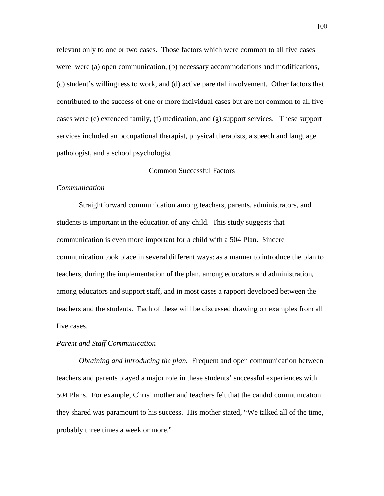relevant only to one or two cases. Those factors which were common to all five cases were: were (a) open communication, (b) necessary accommodations and modifications, (c) student's willingness to work, and (d) active parental involvement. Other factors that contributed to the success of one or more individual cases but are not common to all five cases were (e) extended family, (f) medication, and (g) support services. These support services included an occupational therapist, physical therapists, a speech and language pathologist, and a school psychologist.

## Common Successful Factors

### *Communication*

 Straightforward communication among teachers, parents, administrators, and students is important in the education of any child. This study suggests that communication is even more important for a child with a 504 Plan. Sincere communication took place in several different ways: as a manner to introduce the plan to teachers, during the implementation of the plan, among educators and administration, among educators and support staff, and in most cases a rapport developed between the teachers and the students. Each of these will be discussed drawing on examples from all five cases.

#### *Parent and Staff Communication*

*Obtaining and introducing the plan.* Frequent and open communication between teachers and parents played a major role in these students' successful experiences with 504 Plans. For example, Chris' mother and teachers felt that the candid communication they shared was paramount to his success. His mother stated, "We talked all of the time, probably three times a week or more."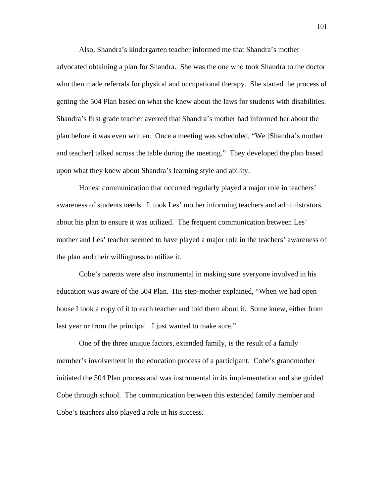Also, Shandra's kindergarten teacher informed me that Shandra's mother advocated obtaining a plan for Shandra. She was the one who took Shandra to the doctor who then made referrals for physical and occupational therapy. She started the process of getting the 504 Plan based on what she knew about the laws for students with disabilities. Shandra's first grade teacher averred that Shandra's mother had informed her about the plan before it was even written. Once a meeting was scheduled, "We [Shandra's mother and teacher] talked across the table during the meeting." They developed the plan based upon what they knew about Shandra's learning style and ability.

 Honest communication that occurred regularly played a major role in teachers' awareness of students needs. It took Les' mother informing teachers and administrators about his plan to ensure it was utilized. The frequent communication between Les' mother and Les' teacher seemed to have played a major role in the teachers' awareness of the plan and their willingness to utilize it.

Cobe's parents were also instrumental in making sure everyone involved in his education was aware of the 504 Plan. His step-mother explained, "When we had open house I took a copy of it to each teacher and told them about it. Some knew, either from last year or from the principal. I just wanted to make sure."

One of the three unique factors, extended family, is the result of a family member's involvement in the education process of a participant. Cobe's grandmother initiated the 504 Plan process and was instrumental in its implementation and she guided Cobe through school. The communication between this extended family member and Cobe's teachers also played a role in his success.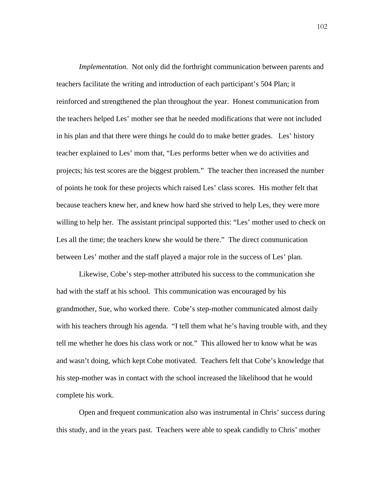*Implementation.* Not only did the forthright communication between parents and teachers facilitate the writing and introduction of each participant's 504 Plan; it reinforced and strengthened the plan throughout the year. Honest communication from the teachers helped Les' mother see that he needed modifications that were not included in his plan and that there were things he could do to make better grades. Les' history teacher explained to Les' mom that, "Les performs better when we do activities and projects; his test scores are the biggest problem." The teacher then increased the number of points he took for these projects which raised Les' class scores. His mother felt that because teachers knew her, and knew how hard she strived to help Les, they were more willing to help her. The assistant principal supported this: "Les' mother used to check on Les all the time; the teachers knew she would be there." The direct communication between Les' mother and the staff played a major role in the success of Les' plan.

 Likewise, Cobe's step-mother attributed his success to the communication she had with the staff at his school. This communication was encouraged by his grandmother, Sue, who worked there. Cobe's step-mother communicated almost daily with his teachers through his agenda. "I tell them what he's having trouble with, and they tell me whether he does his class work or not." This allowed her to know what he was and wasn't doing, which kept Cobe motivated. Teachers felt that Cobe's knowledge that his step-mother was in contact with the school increased the likelihood that he would complete his work.

 Open and frequent communication also was instrumental in Chris' success during this study, and in the years past. Teachers were able to speak candidly to Chris' mother

102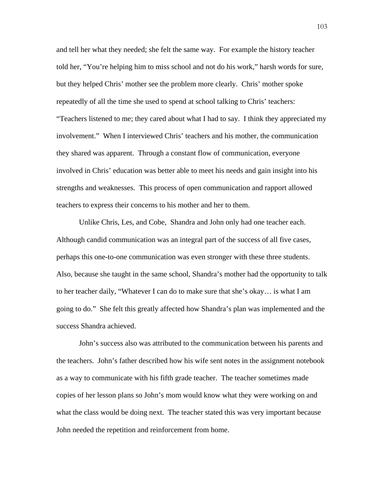and tell her what they needed; she felt the same way. For example the history teacher told her, "You're helping him to miss school and not do his work," harsh words for sure, but they helped Chris' mother see the problem more clearly. Chris' mother spoke repeatedly of all the time she used to spend at school talking to Chris' teachers: "Teachers listened to me; they cared about what I had to say. I think they appreciated my involvement." When I interviewed Chris' teachers and his mother, the communication they shared was apparent. Through a constant flow of communication, everyone involved in Chris' education was better able to meet his needs and gain insight into his strengths and weaknesses. This process of open communication and rapport allowed teachers to express their concerns to his mother and her to them.

 Unlike Chris, Les, and Cobe, Shandra and John only had one teacher each. Although candid communication was an integral part of the success of all five cases, perhaps this one-to-one communication was even stronger with these three students. Also, because she taught in the same school, Shandra's mother had the opportunity to talk to her teacher daily, "Whatever I can do to make sure that she's okay… is what I am going to do." She felt this greatly affected how Shandra's plan was implemented and the success Shandra achieved.

 John's success also was attributed to the communication between his parents and the teachers. John's father described how his wife sent notes in the assignment notebook as a way to communicate with his fifth grade teacher. The teacher sometimes made copies of her lesson plans so John's mom would know what they were working on and what the class would be doing next. The teacher stated this was very important because John needed the repetition and reinforcement from home.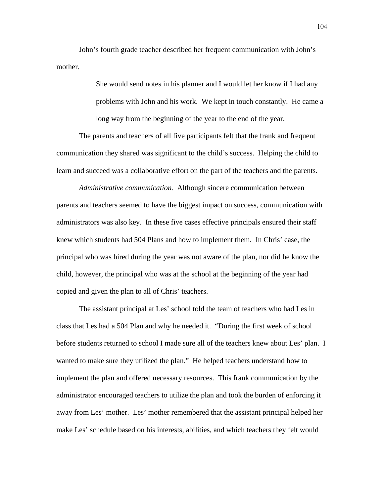John's fourth grade teacher described her frequent communication with John's mother.

> She would send notes in his planner and I would let her know if I had any problems with John and his work. We kept in touch constantly. He came a long way from the beginning of the year to the end of the year.

 The parents and teachers of all five participants felt that the frank and frequent communication they shared was significant to the child's success. Helping the child to learn and succeed was a collaborative effort on the part of the teachers and the parents.

*Administrative communication.* Although sincere communication between parents and teachers seemed to have the biggest impact on success, communication with administrators was also key. In these five cases effective principals ensured their staff knew which students had 504 Plans and how to implement them. In Chris' case, the principal who was hired during the year was not aware of the plan, nor did he know the child, however, the principal who was at the school at the beginning of the year had copied and given the plan to all of Chris' teachers.

The assistant principal at Les' school told the team of teachers who had Les in class that Les had a 504 Plan and why he needed it. "During the first week of school before students returned to school I made sure all of the teachers knew about Les' plan. I wanted to make sure they utilized the plan." He helped teachers understand how to implement the plan and offered necessary resources. This frank communication by the administrator encouraged teachers to utilize the plan and took the burden of enforcing it away from Les' mother. Les' mother remembered that the assistant principal helped her make Les' schedule based on his interests, abilities, and which teachers they felt would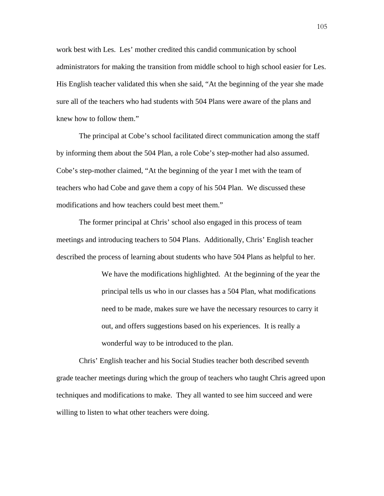work best with Les. Les' mother credited this candid communication by school administrators for making the transition from middle school to high school easier for Les. His English teacher validated this when she said, "At the beginning of the year she made sure all of the teachers who had students with 504 Plans were aware of the plans and knew how to follow them."

 The principal at Cobe's school facilitated direct communication among the staff by informing them about the 504 Plan, a role Cobe's step-mother had also assumed. Cobe's step-mother claimed, "At the beginning of the year I met with the team of teachers who had Cobe and gave them a copy of his 504 Plan. We discussed these modifications and how teachers could best meet them."

The former principal at Chris' school also engaged in this process of team meetings and introducing teachers to 504 Plans. Additionally, Chris' English teacher described the process of learning about students who have 504 Plans as helpful to her.

> We have the modifications highlighted. At the beginning of the year the principal tells us who in our classes has a 504 Plan, what modifications need to be made, makes sure we have the necessary resources to carry it out, and offers suggestions based on his experiences. It is really a wonderful way to be introduced to the plan.

Chris' English teacher and his Social Studies teacher both described seventh grade teacher meetings during which the group of teachers who taught Chris agreed upon techniques and modifications to make. They all wanted to see him succeed and were willing to listen to what other teachers were doing.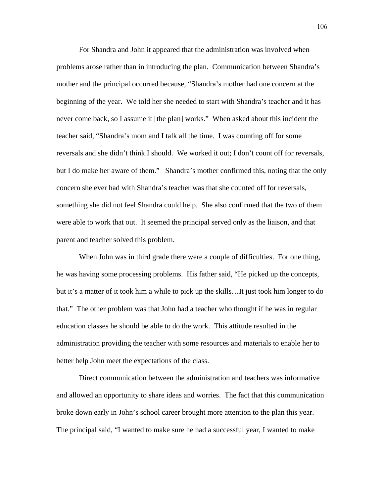For Shandra and John it appeared that the administration was involved when problems arose rather than in introducing the plan. Communication between Shandra's mother and the principal occurred because, "Shandra's mother had one concern at the beginning of the year. We told her she needed to start with Shandra's teacher and it has never come back, so I assume it [the plan] works." When asked about this incident the teacher said, "Shandra's mom and I talk all the time. I was counting off for some reversals and she didn't think I should. We worked it out; I don't count off for reversals, but I do make her aware of them." Shandra's mother confirmed this, noting that the only concern she ever had with Shandra's teacher was that she counted off for reversals, something she did not feel Shandra could help. She also confirmed that the two of them were able to work that out. It seemed the principal served only as the liaison, and that parent and teacher solved this problem.

When John was in third grade there were a couple of difficulties. For one thing, he was having some processing problems. His father said, "He picked up the concepts, but it's a matter of it took him a while to pick up the skills…It just took him longer to do that." The other problem was that John had a teacher who thought if he was in regular education classes he should be able to do the work. This attitude resulted in the administration providing the teacher with some resources and materials to enable her to better help John meet the expectations of the class.

 Direct communication between the administration and teachers was informative and allowed an opportunity to share ideas and worries. The fact that this communication broke down early in John's school career brought more attention to the plan this year. The principal said, "I wanted to make sure he had a successful year, I wanted to make

106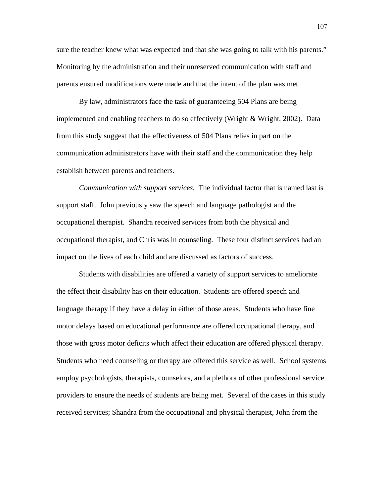sure the teacher knew what was expected and that she was going to talk with his parents." Monitoring by the administration and their unreserved communication with staff and parents ensured modifications were made and that the intent of the plan was met.

 By law, administrators face the task of guaranteeing 504 Plans are being implemented and enabling teachers to do so effectively (Wright & Wright, 2002). Data from this study suggest that the effectiveness of 504 Plans relies in part on the communication administrators have with their staff and the communication they help establish between parents and teachers.

*Communication with support services.* The individual factor that is named last is support staff. John previously saw the speech and language pathologist and the occupational therapist. Shandra received services from both the physical and occupational therapist, and Chris was in counseling. These four distinct services had an impact on the lives of each child and are discussed as factors of success.

Students with disabilities are offered a variety of support services to ameliorate the effect their disability has on their education. Students are offered speech and language therapy if they have a delay in either of those areas. Students who have fine motor delays based on educational performance are offered occupational therapy, and those with gross motor deficits which affect their education are offered physical therapy. Students who need counseling or therapy are offered this service as well. School systems employ psychologists, therapists, counselors, and a plethora of other professional service providers to ensure the needs of students are being met. Several of the cases in this study received services; Shandra from the occupational and physical therapist, John from the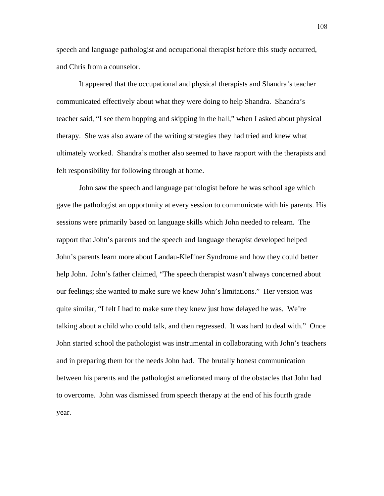speech and language pathologist and occupational therapist before this study occurred, and Chris from a counselor.

 It appeared that the occupational and physical therapists and Shandra's teacher communicated effectively about what they were doing to help Shandra. Shandra's teacher said, "I see them hopping and skipping in the hall," when I asked about physical therapy. She was also aware of the writing strategies they had tried and knew what ultimately worked. Shandra's mother also seemed to have rapport with the therapists and felt responsibility for following through at home.

 John saw the speech and language pathologist before he was school age which gave the pathologist an opportunity at every session to communicate with his parents. His sessions were primarily based on language skills which John needed to relearn. The rapport that John's parents and the speech and language therapist developed helped John's parents learn more about Landau-Kleffner Syndrome and how they could better help John. John's father claimed, "The speech therapist wasn't always concerned about our feelings; she wanted to make sure we knew John's limitations." Her version was quite similar, "I felt I had to make sure they knew just how delayed he was. We're talking about a child who could talk, and then regressed. It was hard to deal with." Once John started school the pathologist was instrumental in collaborating with John's teachers and in preparing them for the needs John had. The brutally honest communication between his parents and the pathologist ameliorated many of the obstacles that John had to overcome. John was dismissed from speech therapy at the end of his fourth grade year.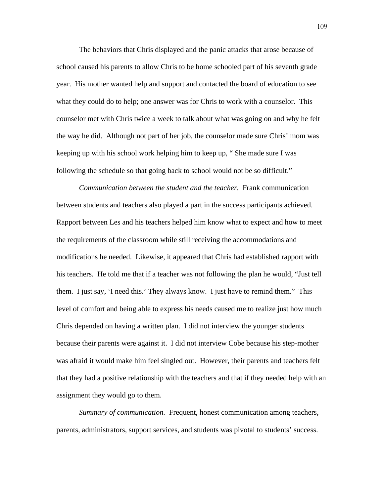The behaviors that Chris displayed and the panic attacks that arose because of school caused his parents to allow Chris to be home schooled part of his seventh grade year. His mother wanted help and support and contacted the board of education to see what they could do to help; one answer was for Chris to work with a counselor. This counselor met with Chris twice a week to talk about what was going on and why he felt the way he did. Although not part of her job, the counselor made sure Chris' mom was keeping up with his school work helping him to keep up, " She made sure I was following the schedule so that going back to school would not be so difficult."

*Communication between the student and the teacher.* Frank communication between students and teachers also played a part in the success participants achieved. Rapport between Les and his teachers helped him know what to expect and how to meet the requirements of the classroom while still receiving the accommodations and modifications he needed. Likewise, it appeared that Chris had established rapport with his teachers. He told me that if a teacher was not following the plan he would, "Just tell them. I just say, 'I need this.' They always know. I just have to remind them." This level of comfort and being able to express his needs caused me to realize just how much Chris depended on having a written plan. I did not interview the younger students because their parents were against it. I did not interview Cobe because his step-mother was afraid it would make him feel singled out. However, their parents and teachers felt that they had a positive relationship with the teachers and that if they needed help with an assignment they would go to them.

*Summary of communication.* Frequent, honest communication among teachers, parents, administrators, support services, and students was pivotal to students' success.

109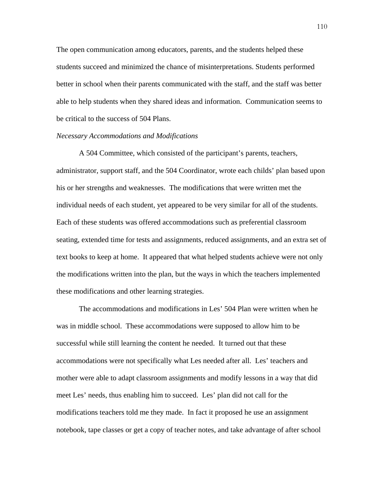The open communication among educators, parents, and the students helped these students succeed and minimized the chance of misinterpretations. Students performed better in school when their parents communicated with the staff, and the staff was better able to help students when they shared ideas and information. Communication seems to be critical to the success of 504 Plans.

#### *Necessary Accommodations and Modifications*

 A 504 Committee, which consisted of the participant's parents, teachers, administrator, support staff, and the 504 Coordinator, wrote each childs' plan based upon his or her strengths and weaknesses. The modifications that were written met the individual needs of each student, yet appeared to be very similar for all of the students. Each of these students was offered accommodations such as preferential classroom seating, extended time for tests and assignments, reduced assignments, and an extra set of text books to keep at home. It appeared that what helped students achieve were not only the modifications written into the plan, but the ways in which the teachers implemented these modifications and other learning strategies.

 The accommodations and modifications in Les' 504 Plan were written when he was in middle school. These accommodations were supposed to allow him to be successful while still learning the content he needed. It turned out that these accommodations were not specifically what Les needed after all. Les' teachers and mother were able to adapt classroom assignments and modify lessons in a way that did meet Les' needs, thus enabling him to succeed. Les' plan did not call for the modifications teachers told me they made. In fact it proposed he use an assignment notebook, tape classes or get a copy of teacher notes, and take advantage of after school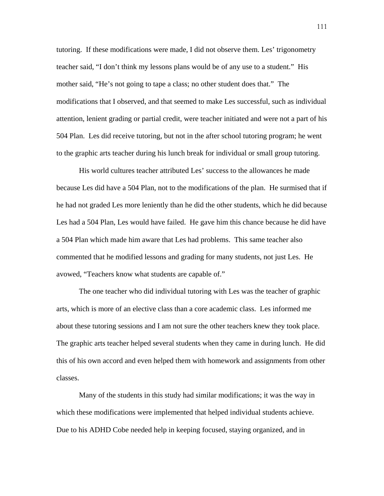tutoring. If these modifications were made, I did not observe them. Les' trigonometry teacher said, "I don't think my lessons plans would be of any use to a student." His mother said, "He's not going to tape a class; no other student does that." The modifications that I observed, and that seemed to make Les successful, such as individual attention, lenient grading or partial credit, were teacher initiated and were not a part of his 504 Plan. Les did receive tutoring, but not in the after school tutoring program; he went to the graphic arts teacher during his lunch break for individual or small group tutoring.

 His world cultures teacher attributed Les' success to the allowances he made because Les did have a 504 Plan, not to the modifications of the plan. He surmised that if he had not graded Les more leniently than he did the other students, which he did because Les had a 504 Plan, Les would have failed. He gave him this chance because he did have a 504 Plan which made him aware that Les had problems. This same teacher also commented that he modified lessons and grading for many students, not just Les. He avowed, "Teachers know what students are capable of."

The one teacher who did individual tutoring with Les was the teacher of graphic arts, which is more of an elective class than a core academic class. Les informed me about these tutoring sessions and I am not sure the other teachers knew they took place. The graphic arts teacher helped several students when they came in during lunch. He did this of his own accord and even helped them with homework and assignments from other classes.

Many of the students in this study had similar modifications; it was the way in which these modifications were implemented that helped individual students achieve. Due to his ADHD Cobe needed help in keeping focused, staying organized, and in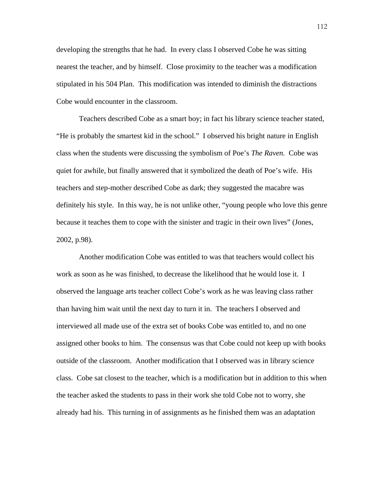developing the strengths that he had. In every class I observed Cobe he was sitting nearest the teacher, and by himself. Close proximity to the teacher was a modification stipulated in his 504 Plan. This modification was intended to diminish the distractions Cobe would encounter in the classroom.

Teachers described Cobe as a smart boy; in fact his library science teacher stated, "He is probably the smartest kid in the school." I observed his bright nature in English class when the students were discussing the symbolism of Poe's *The Raven.* Cobe was quiet for awhile, but finally answered that it symbolized the death of Poe's wife. His teachers and step-mother described Cobe as dark; they suggested the macabre was definitely his style. In this way, he is not unlike other, "young people who love this genre because it teaches them to cope with the sinister and tragic in their own lives" (Jones, 2002, p.98).

 Another modification Cobe was entitled to was that teachers would collect his work as soon as he was finished, to decrease the likelihood that he would lose it. I observed the language arts teacher collect Cobe's work as he was leaving class rather than having him wait until the next day to turn it in. The teachers I observed and interviewed all made use of the extra set of books Cobe was entitled to, and no one assigned other books to him. The consensus was that Cobe could not keep up with books outside of the classroom. Another modification that I observed was in library science class. Cobe sat closest to the teacher, which is a modification but in addition to this when the teacher asked the students to pass in their work she told Cobe not to worry, she already had his. This turning in of assignments as he finished them was an adaptation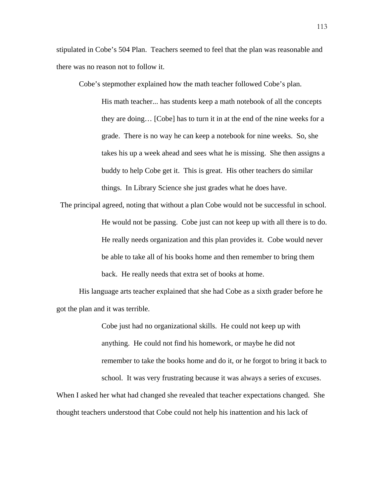stipulated in Cobe's 504 Plan. Teachers seemed to feel that the plan was reasonable and there was no reason not to follow it.

Cobe's stepmother explained how the math teacher followed Cobe's plan.

His math teacher... has students keep a math notebook of all the concepts they are doing… [Cobe] has to turn it in at the end of the nine weeks for a grade. There is no way he can keep a notebook for nine weeks. So, she takes his up a week ahead and sees what he is missing. She then assigns a buddy to help Cobe get it. This is great. His other teachers do similar things. In Library Science she just grades what he does have.

The principal agreed, noting that without a plan Cobe would not be successful in school. He would not be passing. Cobe just can not keep up with all there is to do. He really needs organization and this plan provides it. Cobe would never be able to take all of his books home and then remember to bring them back. He really needs that extra set of books at home.

His language arts teacher explained that she had Cobe as a sixth grader before he got the plan and it was terrible.

> Cobe just had no organizational skills. He could not keep up with anything. He could not find his homework, or maybe he did not remember to take the books home and do it, or he forgot to bring it back to school. It was very frustrating because it was always a series of excuses.

When I asked her what had changed she revealed that teacher expectations changed. She thought teachers understood that Cobe could not help his inattention and his lack of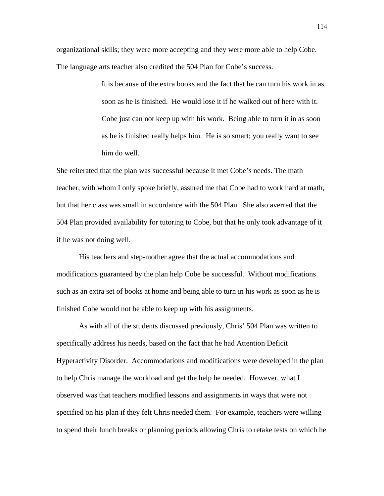organizational skills; they were more accepting and they were more able to help Cobe. The language arts teacher also credited the 504 Plan for Cobe's success.

> It is because of the extra books and the fact that he can turn his work in as soon as he is finished. He would lose it if he walked out of here with it. Cobe just can not keep up with his work. Being able to turn it in as soon as he is finished really helps him. He is so smart; you really want to see him do well.

She reiterated that the plan was successful because it met Cobe's needs. The math teacher, with whom I only spoke briefly, assured me that Cobe had to work hard at math, but that her class was small in accordance with the 504 Plan. She also averred that the 504 Plan provided availability for tutoring to Cobe, but that he only took advantage of it if he was not doing well.

 His teachers and step-mother agree that the actual accommodations and modifications guaranteed by the plan help Cobe be successful. Without modifications such as an extra set of books at home and being able to turn in his work as soon as he is finished Cobe would not be able to keep up with his assignments.

As with all of the students discussed previously, Chris' 504 Plan was written to specifically address his needs, based on the fact that he had Attention Deficit Hyperactivity Disorder. Accommodations and modifications were developed in the plan to help Chris manage the workload and get the help he needed. However, what I observed was that teachers modified lessons and assignments in ways that were not specified on his plan if they felt Chris needed them. For example, teachers were willing to spend their lunch breaks or planning periods allowing Chris to retake tests on which he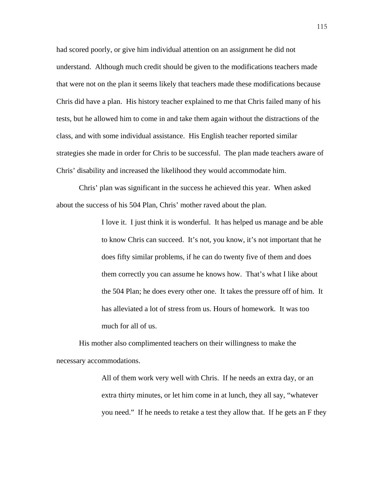had scored poorly, or give him individual attention on an assignment he did not understand. Although much credit should be given to the modifications teachers made that were not on the plan it seems likely that teachers made these modifications because Chris did have a plan. His history teacher explained to me that Chris failed many of his tests, but he allowed him to come in and take them again without the distractions of the class, and with some individual assistance. His English teacher reported similar strategies she made in order for Chris to be successful. The plan made teachers aware of Chris' disability and increased the likelihood they would accommodate him.

 Chris' plan was significant in the success he achieved this year. When asked about the success of his 504 Plan, Chris' mother raved about the plan.

> I love it. I just think it is wonderful. It has helped us manage and be able to know Chris can succeed. It's not, you know, it's not important that he does fifty similar problems, if he can do twenty five of them and does them correctly you can assume he knows how. That's what I like about the 504 Plan; he does every other one. It takes the pressure off of him. It has alleviated a lot of stress from us. Hours of homework. It was too much for all of us.

 His mother also complimented teachers on their willingness to make the necessary accommodations.

> All of them work very well with Chris. If he needs an extra day, or an extra thirty minutes, or let him come in at lunch, they all say, "whatever you need." If he needs to retake a test they allow that. If he gets an F they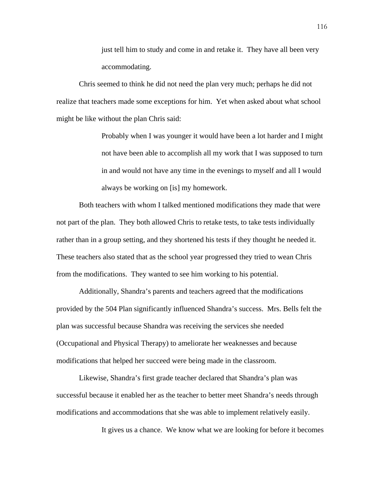just tell him to study and come in and retake it. They have all been very accommodating.

Chris seemed to think he did not need the plan very much; perhaps he did not realize that teachers made some exceptions for him. Yet when asked about what school might be like without the plan Chris said:

> Probably when I was younger it would have been a lot harder and I might not have been able to accomplish all my work that I was supposed to turn in and would not have any time in the evenings to myself and all I would always be working on [is] my homework.

 Both teachers with whom I talked mentioned modifications they made that were not part of the plan. They both allowed Chris to retake tests, to take tests individually rather than in a group setting, and they shortened his tests if they thought he needed it. These teachers also stated that as the school year progressed they tried to wean Chris from the modifications. They wanted to see him working to his potential.

 Additionally, Shandra's parents and teachers agreed that the modifications provided by the 504 Plan significantly influenced Shandra's success. Mrs. Bells felt the plan was successful because Shandra was receiving the services she needed (Occupational and Physical Therapy) to ameliorate her weaknesses and because modifications that helped her succeed were being made in the classroom.

 Likewise, Shandra's first grade teacher declared that Shandra's plan was successful because it enabled her as the teacher to better meet Shandra's needs through modifications and accommodations that she was able to implement relatively easily.

It gives us a chance. We know what we are looking for before it becomes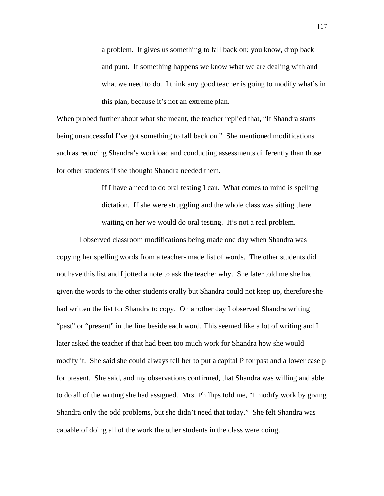a problem. It gives us something to fall back on; you know, drop back and punt. If something happens we know what we are dealing with and what we need to do. I think any good teacher is going to modify what's in this plan, because it's not an extreme plan.

When probed further about what she meant, the teacher replied that, "If Shandra starts being unsuccessful I've got something to fall back on." She mentioned modifications such as reducing Shandra's workload and conducting assessments differently than those for other students if she thought Shandra needed them.

> If I have a need to do oral testing I can. What comes to mind is spelling dictation. If she were struggling and the whole class was sitting there waiting on her we would do oral testing. It's not a real problem.

 I observed classroom modifications being made one day when Shandra was copying her spelling words from a teacher- made list of words. The other students did not have this list and I jotted a note to ask the teacher why. She later told me she had given the words to the other students orally but Shandra could not keep up, therefore she had written the list for Shandra to copy. On another day I observed Shandra writing "past" or "present" in the line beside each word. This seemed like a lot of writing and I later asked the teacher if that had been too much work for Shandra how she would modify it. She said she could always tell her to put a capital P for past and a lower case p for present. She said, and my observations confirmed, that Shandra was willing and able to do all of the writing she had assigned. Mrs. Phillips told me, "I modify work by giving Shandra only the odd problems, but she didn't need that today." She felt Shandra was capable of doing all of the work the other students in the class were doing.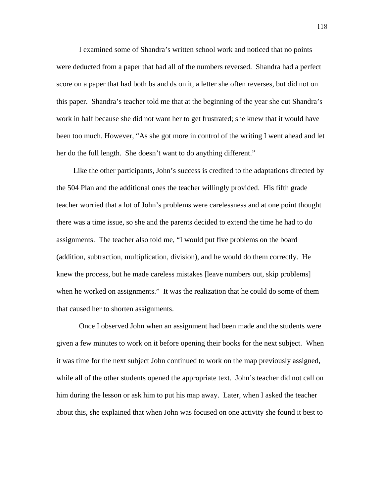I examined some of Shandra's written school work and noticed that no points were deducted from a paper that had all of the numbers reversed. Shandra had a perfect score on a paper that had both bs and ds on it, a letter she often reverses, but did not on this paper. Shandra's teacher told me that at the beginning of the year she cut Shandra's work in half because she did not want her to get frustrated; she knew that it would have been too much. However, "As she got more in control of the writing I went ahead and let her do the full length. She doesn't want to do anything different."

 Like the other participants, John's success is credited to the adaptations directed by the 504 Plan and the additional ones the teacher willingly provided. His fifth grade teacher worried that a lot of John's problems were carelessness and at one point thought there was a time issue, so she and the parents decided to extend the time he had to do assignments. The teacher also told me, "I would put five problems on the board (addition, subtraction, multiplication, division), and he would do them correctly. He knew the process, but he made careless mistakes [leave numbers out, skip problems] when he worked on assignments." It was the realization that he could do some of them that caused her to shorten assignments.

Once I observed John when an assignment had been made and the students were given a few minutes to work on it before opening their books for the next subject. When it was time for the next subject John continued to work on the map previously assigned, while all of the other students opened the appropriate text. John's teacher did not call on him during the lesson or ask him to put his map away. Later, when I asked the teacher about this, she explained that when John was focused on one activity she found it best to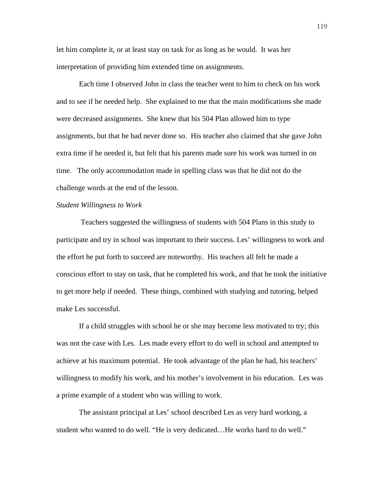let him complete it, or at least stay on task for as long as he would. It was her interpretation of providing him extended time on assignments.

 Each time I observed John in class the teacher went to him to check on his work and to see if he needed help. She explained to me that the main modifications she made were decreased assignments. She knew that his 504 Plan allowed him to type assignments, but that he had never done so. His teacher also claimed that she gave John extra time if he needed it, but felt that his parents made sure his work was turned in on time. The only accommodation made in spelling class was that he did not do the challenge words at the end of the lesson.

## *Student Willingness to Work*

 Teachers suggested the willingness of students with 504 Plans in this study to participate and try in school was important to their success. Les' willingness to work and the effort he put forth to succeed are noteworthy. His teachers all felt he made a conscious effort to stay on task, that he completed his work, and that he took the initiative to get more help if needed. These things, combined with studying and tutoring, helped make Les successful.

 If a child struggles with school he or she may become less motivated to try; this was not the case with Les. Les made every effort to do well in school and attempted to achieve at his maximum potential. He took advantage of the plan he had, his teachers' willingness to modify his work, and his mother's involvement in his education. Les was a prime example of a student who was willing to work.

The assistant principal at Les' school described Les as very hard working, a student who wanted to do well. "He is very dedicated…He works hard to do well."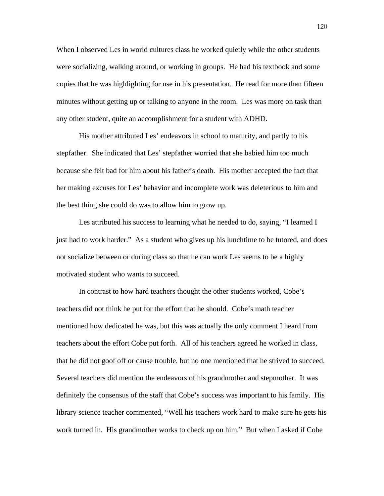When I observed Les in world cultures class he worked quietly while the other students were socializing, walking around, or working in groups. He had his textbook and some copies that he was highlighting for use in his presentation. He read for more than fifteen minutes without getting up or talking to anyone in the room. Les was more on task than any other student, quite an accomplishment for a student with ADHD.

 His mother attributed Les' endeavors in school to maturity, and partly to his stepfather. She indicated that Les' stepfather worried that she babied him too much because she felt bad for him about his father's death. His mother accepted the fact that her making excuses for Les' behavior and incomplete work was deleterious to him and the best thing she could do was to allow him to grow up.

 Les attributed his success to learning what he needed to do, saying, "I learned I just had to work harder." As a student who gives up his lunchtime to be tutored, and does not socialize between or during class so that he can work Les seems to be a highly motivated student who wants to succeed.

 In contrast to how hard teachers thought the other students worked, Cobe's teachers did not think he put for the effort that he should. Cobe's math teacher mentioned how dedicated he was, but this was actually the only comment I heard from teachers about the effort Cobe put forth. All of his teachers agreed he worked in class, that he did not goof off or cause trouble, but no one mentioned that he strived to succeed. Several teachers did mention the endeavors of his grandmother and stepmother. It was definitely the consensus of the staff that Cobe's success was important to his family. His library science teacher commented, "Well his teachers work hard to make sure he gets his work turned in. His grandmother works to check up on him." But when I asked if Cobe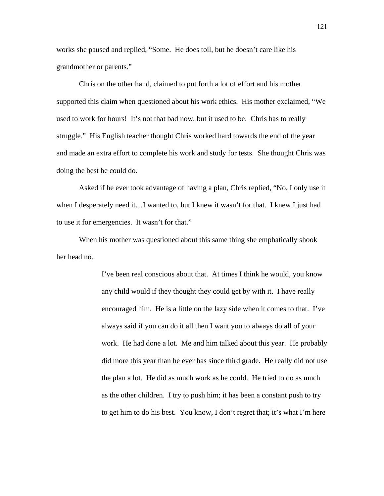works she paused and replied, "Some. He does toil, but he doesn't care like his grandmother or parents."

 Chris on the other hand, claimed to put forth a lot of effort and his mother supported this claim when questioned about his work ethics. His mother exclaimed, "We used to work for hours! It's not that bad now, but it used to be. Chris has to really struggle." His English teacher thought Chris worked hard towards the end of the year and made an extra effort to complete his work and study for tests. She thought Chris was doing the best he could do.

 Asked if he ever took advantage of having a plan, Chris replied, "No, I only use it when I desperately need it...I wanted to, but I knew it wasn't for that. I knew I just had to use it for emergencies. It wasn't for that."

When his mother was questioned about this same thing she emphatically shook her head no.

> I've been real conscious about that. At times I think he would, you know any child would if they thought they could get by with it. I have really encouraged him. He is a little on the lazy side when it comes to that. I've always said if you can do it all then I want you to always do all of your work. He had done a lot. Me and him talked about this year. He probably did more this year than he ever has since third grade. He really did not use the plan a lot. He did as much work as he could. He tried to do as much as the other children. I try to push him; it has been a constant push to try to get him to do his best. You know, I don't regret that; it's what I'm here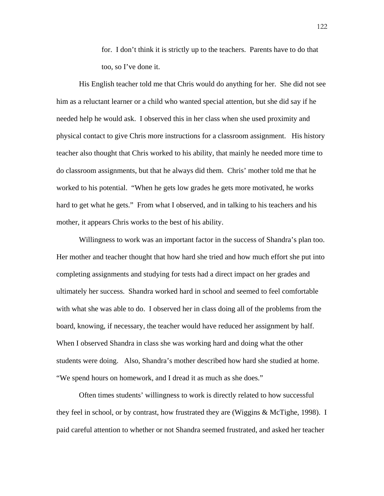for. I don't think it is strictly up to the teachers. Parents have to do that too, so I've done it.

His English teacher told me that Chris would do anything for her. She did not see him as a reluctant learner or a child who wanted special attention, but she did say if he needed help he would ask. I observed this in her class when she used proximity and physical contact to give Chris more instructions for a classroom assignment. His history teacher also thought that Chris worked to his ability, that mainly he needed more time to do classroom assignments, but that he always did them. Chris' mother told me that he worked to his potential. "When he gets low grades he gets more motivated, he works hard to get what he gets." From what I observed, and in talking to his teachers and his mother, it appears Chris works to the best of his ability.

 Willingness to work was an important factor in the success of Shandra's plan too. Her mother and teacher thought that how hard she tried and how much effort she put into completing assignments and studying for tests had a direct impact on her grades and ultimately her success. Shandra worked hard in school and seemed to feel comfortable with what she was able to do. I observed her in class doing all of the problems from the board, knowing, if necessary, the teacher would have reduced her assignment by half. When I observed Shandra in class she was working hard and doing what the other students were doing. Also, Shandra's mother described how hard she studied at home. "We spend hours on homework, and I dread it as much as she does."

 Often times students' willingness to work is directly related to how successful they feel in school, or by contrast, how frustrated they are (Wiggins & McTighe, 1998). I paid careful attention to whether or not Shandra seemed frustrated, and asked her teacher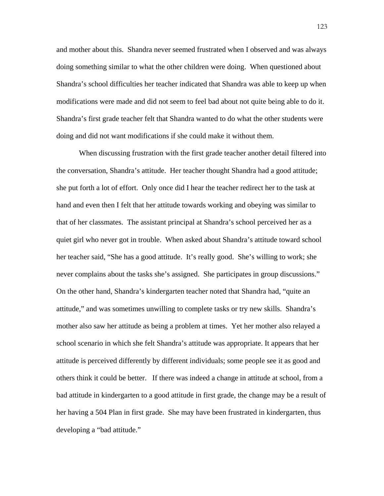and mother about this. Shandra never seemed frustrated when I observed and was always doing something similar to what the other children were doing. When questioned about Shandra's school difficulties her teacher indicated that Shandra was able to keep up when modifications were made and did not seem to feel bad about not quite being able to do it. Shandra's first grade teacher felt that Shandra wanted to do what the other students were doing and did not want modifications if she could make it without them.

 When discussing frustration with the first grade teacher another detail filtered into the conversation, Shandra's attitude. Her teacher thought Shandra had a good attitude; she put forth a lot of effort. Only once did I hear the teacher redirect her to the task at hand and even then I felt that her attitude towards working and obeying was similar to that of her classmates. The assistant principal at Shandra's school perceived her as a quiet girl who never got in trouble. When asked about Shandra's attitude toward school her teacher said, "She has a good attitude. It's really good. She's willing to work; she never complains about the tasks she's assigned. She participates in group discussions." On the other hand, Shandra's kindergarten teacher noted that Shandra had, "quite an attitude," and was sometimes unwilling to complete tasks or try new skills. Shandra's mother also saw her attitude as being a problem at times. Yet her mother also relayed a school scenario in which she felt Shandra's attitude was appropriate. It appears that her attitude is perceived differently by different individuals; some people see it as good and others think it could be better. If there was indeed a change in attitude at school, from a bad attitude in kindergarten to a good attitude in first grade, the change may be a result of her having a 504 Plan in first grade. She may have been frustrated in kindergarten, thus developing a "bad attitude."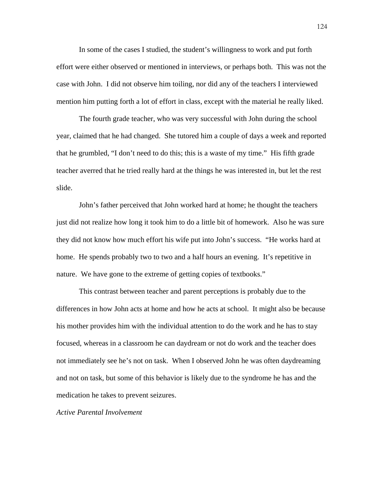In some of the cases I studied, the student's willingness to work and put forth effort were either observed or mentioned in interviews, or perhaps both. This was not the case with John. I did not observe him toiling, nor did any of the teachers I interviewed mention him putting forth a lot of effort in class, except with the material he really liked.

 The fourth grade teacher, who was very successful with John during the school year, claimed that he had changed. She tutored him a couple of days a week and reported that he grumbled, "I don't need to do this; this is a waste of my time." His fifth grade teacher averred that he tried really hard at the things he was interested in, but let the rest slide.

 John's father perceived that John worked hard at home; he thought the teachers just did not realize how long it took him to do a little bit of homework. Also he was sure they did not know how much effort his wife put into John's success. "He works hard at home. He spends probably two to two and a half hours an evening. It's repetitive in nature. We have gone to the extreme of getting copies of textbooks."

 This contrast between teacher and parent perceptions is probably due to the differences in how John acts at home and how he acts at school. It might also be because his mother provides him with the individual attention to do the work and he has to stay focused, whereas in a classroom he can daydream or not do work and the teacher does not immediately see he's not on task. When I observed John he was often daydreaming and not on task, but some of this behavior is likely due to the syndrome he has and the medication he takes to prevent seizures.

*Active Parental Involvement*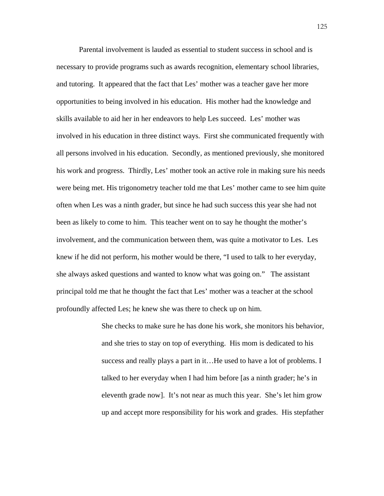Parental involvement is lauded as essential to student success in school and is necessary to provide programs such as awards recognition, elementary school libraries, and tutoring. It appeared that the fact that Les' mother was a teacher gave her more opportunities to being involved in his education. His mother had the knowledge and skills available to aid her in her endeavors to help Les succeed. Les' mother was involved in his education in three distinct ways. First she communicated frequently with all persons involved in his education. Secondly, as mentioned previously, she monitored his work and progress. Thirdly, Les' mother took an active role in making sure his needs were being met. His trigonometry teacher told me that Les' mother came to see him quite often when Les was a ninth grader, but since he had such success this year she had not been as likely to come to him. This teacher went on to say he thought the mother's involvement, and the communication between them, was quite a motivator to Les. Les knew if he did not perform, his mother would be there, "I used to talk to her everyday, she always asked questions and wanted to know what was going on." The assistant principal told me that he thought the fact that Les' mother was a teacher at the school profoundly affected Les; he knew she was there to check up on him.

> She checks to make sure he has done his work, she monitors his behavior, and she tries to stay on top of everything. His mom is dedicated to his success and really plays a part in it...He used to have a lot of problems. I talked to her everyday when I had him before [as a ninth grader; he's in eleventh grade now]. It's not near as much this year. She's let him grow up and accept more responsibility for his work and grades. His stepfather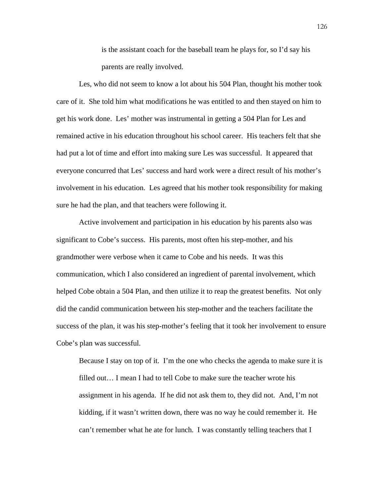is the assistant coach for the baseball team he plays for, so I'd say his parents are really involved.

 Les, who did not seem to know a lot about his 504 Plan, thought his mother took care of it. She told him what modifications he was entitled to and then stayed on him to get his work done. Les' mother was instrumental in getting a 504 Plan for Les and remained active in his education throughout his school career. His teachers felt that she had put a lot of time and effort into making sure Les was successful. It appeared that everyone concurred that Les' success and hard work were a direct result of his mother's involvement in his education. Les agreed that his mother took responsibility for making sure he had the plan, and that teachers were following it.

 Active involvement and participation in his education by his parents also was significant to Cobe's success. His parents, most often his step-mother, and his grandmother were verbose when it came to Cobe and his needs. It was this communication, which I also considered an ingredient of parental involvement, which helped Cobe obtain a 504 Plan, and then utilize it to reap the greatest benefits. Not only did the candid communication between his step-mother and the teachers facilitate the success of the plan, it was his step-mother's feeling that it took her involvement to ensure Cobe's plan was successful.

 Because I stay on top of it. I'm the one who checks the agenda to make sure it is filled out… I mean I had to tell Cobe to make sure the teacher wrote his assignment in his agenda. If he did not ask them to, they did not. And, I'm not kidding, if it wasn't written down, there was no way he could remember it. He can't remember what he ate for lunch. I was constantly telling teachers that I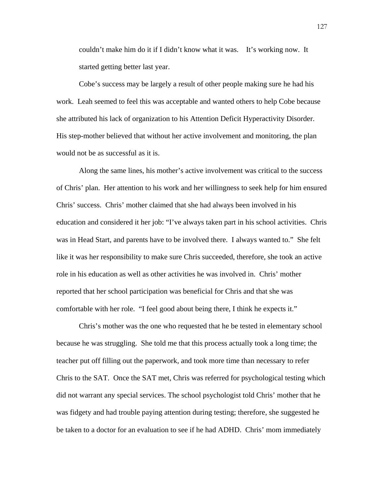couldn't make him do it if I didn't know what it was. It's working now. It started getting better last year.

 Cobe's success may be largely a result of other people making sure he had his work. Leah seemed to feel this was acceptable and wanted others to help Cobe because she attributed his lack of organization to his Attention Deficit Hyperactivity Disorder. His step-mother believed that without her active involvement and monitoring, the plan would not be as successful as it is.

Along the same lines, his mother's active involvement was critical to the success of Chris' plan. Her attention to his work and her willingness to seek help for him ensured Chris' success. Chris' mother claimed that she had always been involved in his education and considered it her job: "I've always taken part in his school activities. Chris was in Head Start, and parents have to be involved there. I always wanted to." She felt like it was her responsibility to make sure Chris succeeded, therefore, she took an active role in his education as well as other activities he was involved in. Chris' mother reported that her school participation was beneficial for Chris and that she was comfortable with her role. "I feel good about being there, I think he expects it."

 Chris's mother was the one who requested that he be tested in elementary school because he was struggling. She told me that this process actually took a long time; the teacher put off filling out the paperwork, and took more time than necessary to refer Chris to the SAT. Once the SAT met, Chris was referred for psychological testing which did not warrant any special services. The school psychologist told Chris' mother that he was fidgety and had trouble paying attention during testing; therefore, she suggested he be taken to a doctor for an evaluation to see if he had ADHD. Chris' mom immediately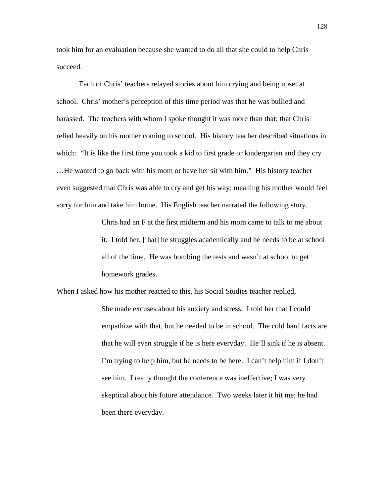took him for an evaluation because she wanted to do all that she could to help Chris succeed.

Each of Chris' teachers relayed stories about him crying and being upset at school. Chris' mother's perception of this time period was that he was bullied and harassed. The teachers with whom I spoke thought it was more than that; that Chris relied heavily on his mother coming to school. His history teacher described situations in which: "It is like the first time you took a kid to first grade or kindergarten and they cry …He wanted to go back with his mom or have her sit with him." His history teacher even suggested that Chris was able to cry and get his way; meaning his mother would feel sorry for him and take him home. His English teacher narrated the following story.

> Chris had an F at the first midterm and his mom came to talk to me about it. I told her, [that] he struggles academically and he needs to be at school all of the time. He was bombing the tests and wasn't at school to get homework grades.

When I asked how his mother reacted to this, his Social Studies teacher replied, She made excuses about his anxiety and stress. I told her that I could empathize with that, but he needed to be in school. The cold hard facts are that he will even struggle if he is here everyday. He'll sink if he is absent. I'm trying to help him, but he needs to be here. I can't help him if I don't see him. I really thought the conference was ineffective; I was very skeptical about his future attendance. Two weeks later it hit me; he had been there everyday.

128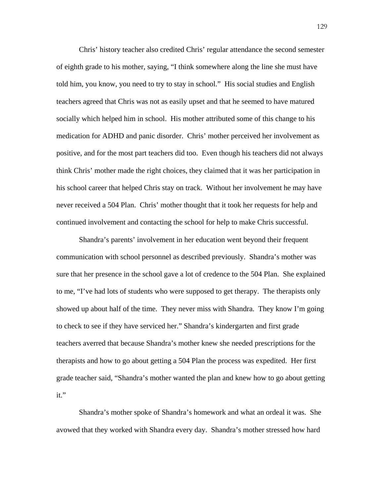Chris' history teacher also credited Chris' regular attendance the second semester of eighth grade to his mother, saying, "I think somewhere along the line she must have told him, you know, you need to try to stay in school." His social studies and English teachers agreed that Chris was not as easily upset and that he seemed to have matured socially which helped him in school. His mother attributed some of this change to his medication for ADHD and panic disorder. Chris' mother perceived her involvement as positive, and for the most part teachers did too. Even though his teachers did not always think Chris' mother made the right choices, they claimed that it was her participation in his school career that helped Chris stay on track. Without her involvement he may have never received a 504 Plan. Chris' mother thought that it took her requests for help and continued involvement and contacting the school for help to make Chris successful.

Shandra's parents' involvement in her education went beyond their frequent communication with school personnel as described previously. Shandra's mother was sure that her presence in the school gave a lot of credence to the 504 Plan. She explained to me, "I've had lots of students who were supposed to get therapy. The therapists only showed up about half of the time. They never miss with Shandra. They know I'm going to check to see if they have serviced her." Shandra's kindergarten and first grade teachers averred that because Shandra's mother knew she needed prescriptions for the therapists and how to go about getting a 504 Plan the process was expedited. Her first grade teacher said, "Shandra's mother wanted the plan and knew how to go about getting it."

 Shandra's mother spoke of Shandra's homework and what an ordeal it was. She avowed that they worked with Shandra every day. Shandra's mother stressed how hard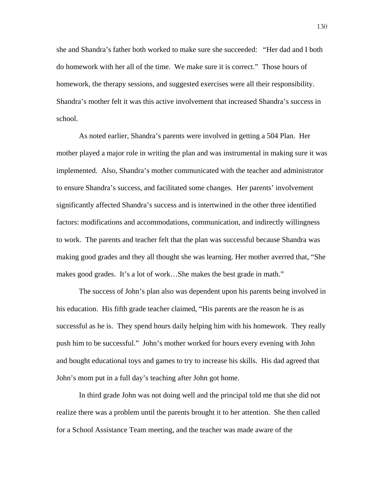she and Shandra's father both worked to make sure she succeeded: "Her dad and I both do homework with her all of the time. We make sure it is correct." Those hours of homework, the therapy sessions, and suggested exercises were all their responsibility. Shandra's mother felt it was this active involvement that increased Shandra's success in school.

 As noted earlier, Shandra's parents were involved in getting a 504 Plan. Her mother played a major role in writing the plan and was instrumental in making sure it was implemented. Also, Shandra's mother communicated with the teacher and administrator to ensure Shandra's success, and facilitated some changes. Her parents' involvement significantly affected Shandra's success and is intertwined in the other three identified factors: modifications and accommodations, communication, and indirectly willingness to work. The parents and teacher felt that the plan was successful because Shandra was making good grades and they all thought she was learning. Her mother averred that, "She makes good grades. It's a lot of work…She makes the best grade in math."

 The success of John's plan also was dependent upon his parents being involved in his education. His fifth grade teacher claimed, "His parents are the reason he is as successful as he is. They spend hours daily helping him with his homework. They really push him to be successful." John's mother worked for hours every evening with John and bought educational toys and games to try to increase his skills. His dad agreed that John's mom put in a full day's teaching after John got home.

 In third grade John was not doing well and the principal told me that she did not realize there was a problem until the parents brought it to her attention. She then called for a School Assistance Team meeting, and the teacher was made aware of the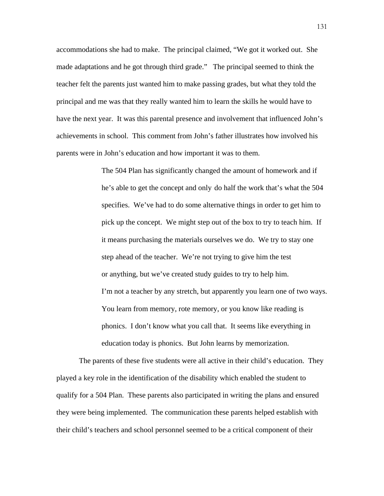accommodations she had to make. The principal claimed, "We got it worked out. She made adaptations and he got through third grade." The principal seemed to think the teacher felt the parents just wanted him to make passing grades, but what they told the principal and me was that they really wanted him to learn the skills he would have to have the next year. It was this parental presence and involvement that influenced John's achievements in school. This comment from John's father illustrates how involved his parents were in John's education and how important it was to them.

> The 504 Plan has significantly changed the amount of homework and if he's able to get the concept and only do half the work that's what the 504 specifies. We've had to do some alternative things in order to get him to pick up the concept. We might step out of the box to try to teach him. If it means purchasing the materials ourselves we do. We try to stay one step ahead of the teacher. We're not trying to give him the test or anything, but we've created study guides to try to help him. I'm not a teacher by any stretch, but apparently you learn one of two ways. You learn from memory, rote memory, or you know like reading is phonics. I don't know what you call that. It seems like everything in education today is phonics. But John learns by memorization.

 The parents of these five students were all active in their child's education. They played a key role in the identification of the disability which enabled the student to qualify for a 504 Plan. These parents also participated in writing the plans and ensured they were being implemented. The communication these parents helped establish with their child's teachers and school personnel seemed to be a critical component of their

131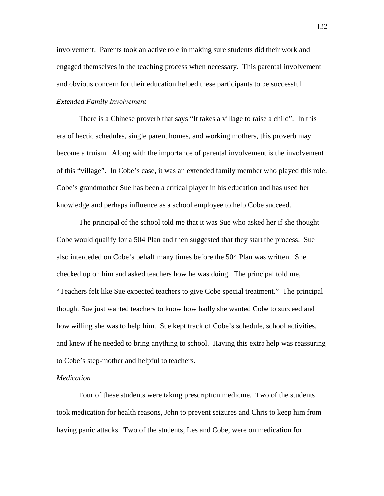involvement. Parents took an active role in making sure students did their work and engaged themselves in the teaching process when necessary. This parental involvement and obvious concern for their education helped these participants to be successful.

# *Extended Family Involvement*

There is a Chinese proverb that says "It takes a village to raise a child". In this era of hectic schedules, single parent homes, and working mothers, this proverb may become a truism. Along with the importance of parental involvement is the involvement of this "village". In Cobe's case, it was an extended family member who played this role. Cobe's grandmother Sue has been a critical player in his education and has used her knowledge and perhaps influence as a school employee to help Cobe succeed.

The principal of the school told me that it was Sue who asked her if she thought Cobe would qualify for a 504 Plan and then suggested that they start the process. Sue also interceded on Cobe's behalf many times before the 504 Plan was written. She checked up on him and asked teachers how he was doing. The principal told me, "Teachers felt like Sue expected teachers to give Cobe special treatment." The principal thought Sue just wanted teachers to know how badly she wanted Cobe to succeed and how willing she was to help him. Sue kept track of Cobe's schedule, school activities, and knew if he needed to bring anything to school. Having this extra help was reassuring to Cobe's step-mother and helpful to teachers.

#### *Medication*

 Four of these students were taking prescription medicine. Two of the students took medication for health reasons, John to prevent seizures and Chris to keep him from having panic attacks. Two of the students, Les and Cobe, were on medication for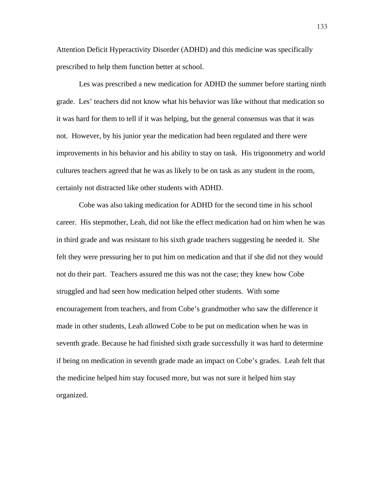Attention Deficit Hyperactivity Disorder (ADHD) and this medicine was specifically prescribed to help them function better at school.

 Les was prescribed a new medication for ADHD the summer before starting ninth grade. Les' teachers did not know what his behavior was like without that medication so it was hard for them to tell if it was helping, but the general consensus was that it was not. However, by his junior year the medication had been regulated and there were improvements in his behavior and his ability to stay on task. His trigonometry and world cultures teachers agreed that he was as likely to be on task as any student in the room, certainly not distracted like other students with ADHD.

 Cobe was also taking medication for ADHD for the second time in his school career. His stepmother, Leah, did not like the effect medication had on him when he was in third grade and was resistant to his sixth grade teachers suggesting he needed it. She felt they were pressuring her to put him on medication and that if she did not they would not do their part. Teachers assured me this was not the case; they knew how Cobe struggled and had seen how medication helped other students. With some encouragement from teachers, and from Cobe's grandmother who saw the difference it made in other students, Leah allowed Cobe to be put on medication when he was in seventh grade. Because he had finished sixth grade successfully it was hard to determine if being on medication in seventh grade made an impact on Cobe's grades. Leah felt that the medicine helped him stay focused more, but was not sure it helped him stay organized.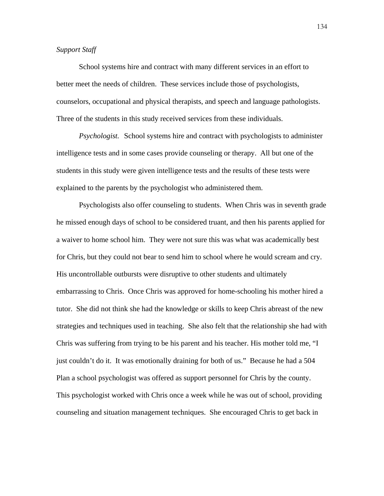## *Support Staff*

School systems hire and contract with many different services in an effort to better meet the needs of children. These services include those of psychologists, counselors, occupational and physical therapists, and speech and language pathologists. Three of the students in this study received services from these individuals.

*Psychologist.* School systems hire and contract with psychologists to administer intelligence tests and in some cases provide counseling or therapy. All but one of the students in this study were given intelligence tests and the results of these tests were explained to the parents by the psychologist who administered them.

 Psychologists also offer counseling to students. When Chris was in seventh grade he missed enough days of school to be considered truant, and then his parents applied for a waiver to home school him. They were not sure this was what was academically best for Chris, but they could not bear to send him to school where he would scream and cry. His uncontrollable outbursts were disruptive to other students and ultimately embarrassing to Chris. Once Chris was approved for home-schooling his mother hired a tutor. She did not think she had the knowledge or skills to keep Chris abreast of the new strategies and techniques used in teaching. She also felt that the relationship she had with Chris was suffering from trying to be his parent and his teacher. His mother told me, "I just couldn't do it. It was emotionally draining for both of us." Because he had a 504 Plan a school psychologist was offered as support personnel for Chris by the county. This psychologist worked with Chris once a week while he was out of school, providing counseling and situation management techniques. She encouraged Chris to get back in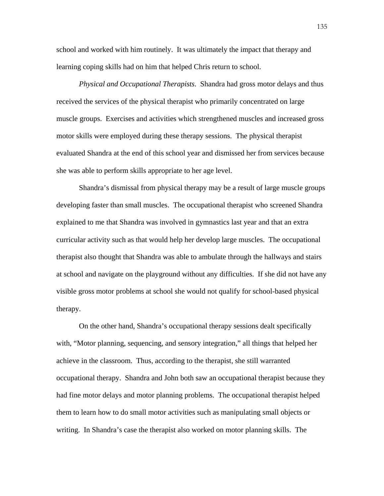school and worked with him routinely. It was ultimately the impact that therapy and learning coping skills had on him that helped Chris return to school.

*Physical and Occupational Therapists*. Shandra had gross motor delays and thus received the services of the physical therapist who primarily concentrated on large muscle groups. Exercises and activities which strengthened muscles and increased gross motor skills were employed during these therapy sessions. The physical therapist evaluated Shandra at the end of this school year and dismissed her from services because she was able to perform skills appropriate to her age level.

 Shandra's dismissal from physical therapy may be a result of large muscle groups developing faster than small muscles. The occupational therapist who screened Shandra explained to me that Shandra was involved in gymnastics last year and that an extra curricular activity such as that would help her develop large muscles. The occupational therapist also thought that Shandra was able to ambulate through the hallways and stairs at school and navigate on the playground without any difficulties. If she did not have any visible gross motor problems at school she would not qualify for school-based physical therapy.

 On the other hand, Shandra's occupational therapy sessions dealt specifically with, "Motor planning, sequencing, and sensory integration," all things that helped her achieve in the classroom. Thus, according to the therapist, she still warranted occupational therapy. Shandra and John both saw an occupational therapist because they had fine motor delays and motor planning problems. The occupational therapist helped them to learn how to do small motor activities such as manipulating small objects or writing. In Shandra's case the therapist also worked on motor planning skills. The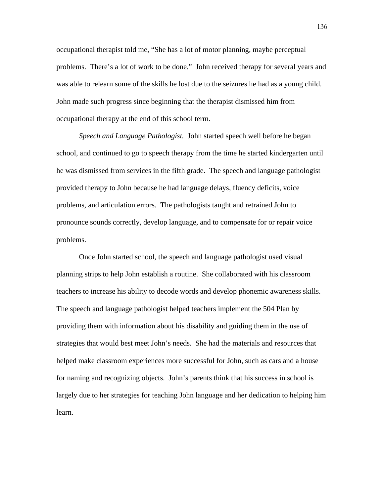occupational therapist told me, "She has a lot of motor planning, maybe perceptual problems. There's a lot of work to be done." John received therapy for several years and was able to relearn some of the skills he lost due to the seizures he had as a young child. John made such progress since beginning that the therapist dismissed him from occupational therapy at the end of this school term.

*Speech and Language Pathologist.* John started speech well before he began school, and continued to go to speech therapy from the time he started kindergarten until he was dismissed from services in the fifth grade. The speech and language pathologist provided therapy to John because he had language delays, fluency deficits, voice problems, and articulation errors. The pathologists taught and retrained John to pronounce sounds correctly, develop language, and to compensate for or repair voice problems.

Once John started school, the speech and language pathologist used visual planning strips to help John establish a routine. She collaborated with his classroom teachers to increase his ability to decode words and develop phonemic awareness skills. The speech and language pathologist helped teachers implement the 504 Plan by providing them with information about his disability and guiding them in the use of strategies that would best meet John's needs. She had the materials and resources that helped make classroom experiences more successful for John, such as cars and a house for naming and recognizing objects. John's parents think that his success in school is largely due to her strategies for teaching John language and her dedication to helping him learn.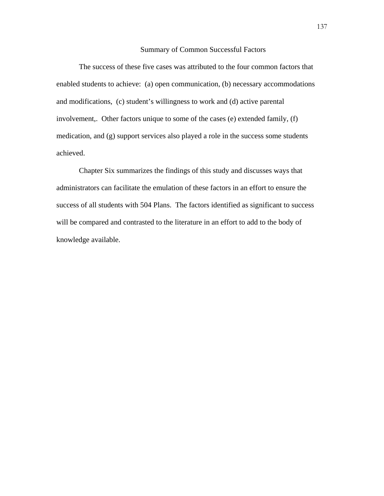### Summary of Common Successful Factors

The success of these five cases was attributed to the four common factors that enabled students to achieve: (a) open communication, (b) necessary accommodations and modifications, (c) student's willingness to work and (d) active parental involvement,. Other factors unique to some of the cases (e) extended family, (f) medication, and (g) support services also played a role in the success some students achieved.

Chapter Six summarizes the findings of this study and discusses ways that administrators can facilitate the emulation of these factors in an effort to ensure the success of all students with 504 Plans. The factors identified as significant to success will be compared and contrasted to the literature in an effort to add to the body of knowledge available.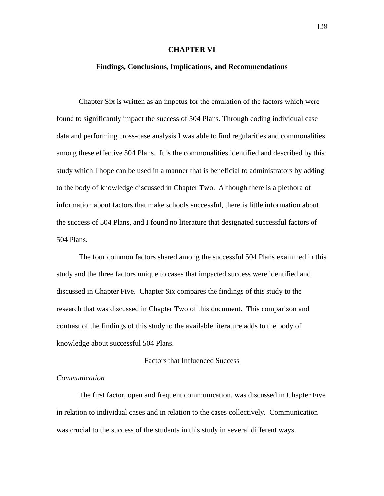#### **CHAPTER VI**

#### **Findings, Conclusions, Implications, and Recommendations**

 Chapter Six is written as an impetus for the emulation of the factors which were found to significantly impact the success of 504 Plans. Through coding individual case data and performing cross-case analysis I was able to find regularities and commonalities among these effective 504 Plans. It is the commonalities identified and described by this study which I hope can be used in a manner that is beneficial to administrators by adding to the body of knowledge discussed in Chapter Two. Although there is a plethora of information about factors that make schools successful, there is little information about the success of 504 Plans, and I found no literature that designated successful factors of 504 Plans.

 The four common factors shared among the successful 504 Plans examined in this study and the three factors unique to cases that impacted success were identified and discussed in Chapter Five. Chapter Six compares the findings of this study to the research that was discussed in Chapter Two of this document. This comparison and contrast of the findings of this study to the available literature adds to the body of knowledge about successful 504 Plans.

### Factors that Influenced Success

#### *Communication*

 The first factor, open and frequent communication, was discussed in Chapter Five in relation to individual cases and in relation to the cases collectively. Communication was crucial to the success of the students in this study in several different ways.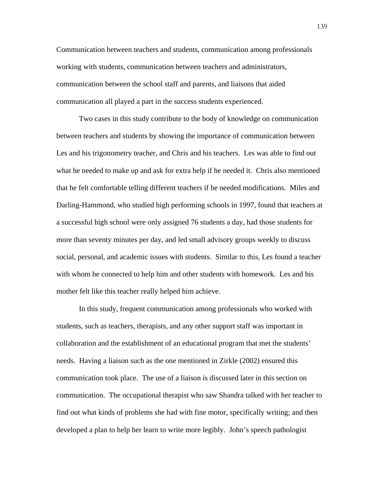Communication between teachers and students, communication among professionals working with students, communication between teachers and administrators, communication between the school staff and parents, and liaisons that aided communication all played a part in the success students experienced.

Two cases in this study contribute to the body of knowledge on communication between teachers and students by showing the importance of communication between Les and his trigonometry teacher, and Chris and his teachers. Les was able to find out what he needed to make up and ask for extra help if he needed it. Chris also mentioned that he felt comfortable telling different teachers if he needed modifications. Miles and Darling-Hammond, who studied high performing schools in 1997, found that teachers at a successful high school were only assigned 76 students a day, had those students for more than seventy minutes per day, and led small advisory groups weekly to discuss social, personal, and academic issues with students. Similar to this, Les found a teacher with whom he connected to help him and other students with homework. Les and his mother felt like this teacher really helped him achieve.

 In this study, frequent communication among professionals who worked with students, such as teachers, therapists, and any other support staff was important in collaboration and the establishment of an educational program that met the students' needs. Having a liaison such as the one mentioned in Zirkle (2002) ensured this communication took place. The use of a liaison is discussed later in this section on communication. The occupational therapist who saw Shandra talked with her teacher to find out what kinds of problems she had with fine motor, specifically writing; and then developed a plan to help her learn to write more legibly. John's speech pathologist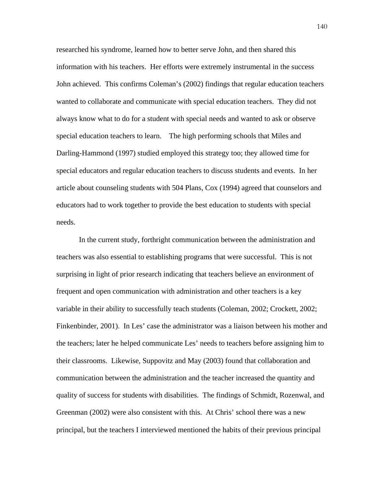researched his syndrome, learned how to better serve John, and then shared this information with his teachers. Her efforts were extremely instrumental in the success John achieved. This confirms Coleman's (2002) findings that regular education teachers wanted to collaborate and communicate with special education teachers. They did not always know what to do for a student with special needs and wanted to ask or observe special education teachers to learn. The high performing schools that Miles and Darling-Hammond (1997) studied employed this strategy too; they allowed time for special educators and regular education teachers to discuss students and events. In her article about counseling students with 504 Plans, Cox (1994) agreed that counselors and educators had to work together to provide the best education to students with special needs.

In the current study, forthright communication between the administration and teachers was also essential to establishing programs that were successful. This is not surprising in light of prior research indicating that teachers believe an environment of frequent and open communication with administration and other teachers is a key variable in their ability to successfully teach students (Coleman, 2002; Crockett, 2002; Finkenbinder, 2001). In Les' case the administrator was a liaison between his mother and the teachers; later he helped communicate Les' needs to teachers before assigning him to their classrooms. Likewise, Suppovitz and May (2003) found that collaboration and communication between the administration and the teacher increased the quantity and quality of success for students with disabilities. The findings of Schmidt, Rozenwal, and Greenman (2002) were also consistent with this. At Chris' school there was a new principal, but the teachers I interviewed mentioned the habits of their previous principal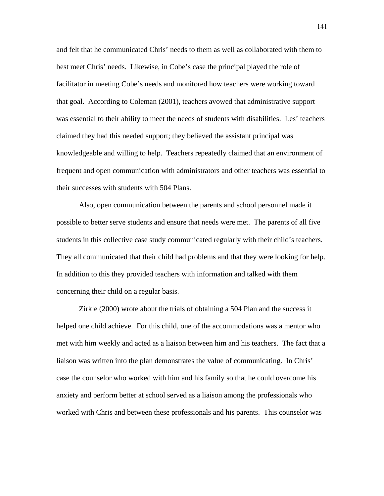and felt that he communicated Chris' needs to them as well as collaborated with them to best meet Chris' needs. Likewise, in Cobe's case the principal played the role of facilitator in meeting Cobe's needs and monitored how teachers were working toward that goal. According to Coleman (2001), teachers avowed that administrative support was essential to their ability to meet the needs of students with disabilities. Les' teachers claimed they had this needed support; they believed the assistant principal was knowledgeable and willing to help. Teachers repeatedly claimed that an environment of frequent and open communication with administrators and other teachers was essential to their successes with students with 504 Plans.

Also, open communication between the parents and school personnel made it possible to better serve students and ensure that needs were met. The parents of all five students in this collective case study communicated regularly with their child's teachers. They all communicated that their child had problems and that they were looking for help. In addition to this they provided teachers with information and talked with them concerning their child on a regular basis.

Zirkle (2000) wrote about the trials of obtaining a 504 Plan and the success it helped one child achieve. For this child, one of the accommodations was a mentor who met with him weekly and acted as a liaison between him and his teachers. The fact that a liaison was written into the plan demonstrates the value of communicating. In Chris' case the counselor who worked with him and his family so that he could overcome his anxiety and perform better at school served as a liaison among the professionals who worked with Chris and between these professionals and his parents. This counselor was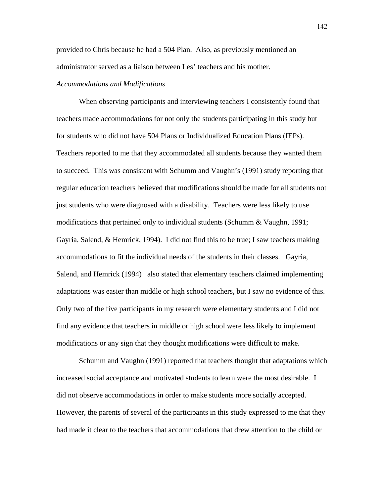provided to Chris because he had a 504 Plan. Also, as previously mentioned an administrator served as a liaison between Les' teachers and his mother.

#### *Accommodations and Modifications*

When observing participants and interviewing teachers I consistently found that teachers made accommodations for not only the students participating in this study but for students who did not have 504 Plans or Individualized Education Plans (IEPs). Teachers reported to me that they accommodated all students because they wanted them to succeed. This was consistent with Schumm and Vaughn's (1991) study reporting that regular education teachers believed that modifications should be made for all students not just students who were diagnosed with a disability. Teachers were less likely to use modifications that pertained only to individual students (Schumm & Vaughn, 1991; Gayria, Salend, & Hemrick, 1994). I did not find this to be true; I saw teachers making accommodations to fit the individual needs of the students in their classes. Gayria, Salend, and Hemrick (1994) also stated that elementary teachers claimed implementing adaptations was easier than middle or high school teachers, but I saw no evidence of this. Only two of the five participants in my research were elementary students and I did not find any evidence that teachers in middle or high school were less likely to implement modifications or any sign that they thought modifications were difficult to make.

 Schumm and Vaughn (1991) reported that teachers thought that adaptations which increased social acceptance and motivated students to learn were the most desirable. I did not observe accommodations in order to make students more socially accepted. However, the parents of several of the participants in this study expressed to me that they had made it clear to the teachers that accommodations that drew attention to the child or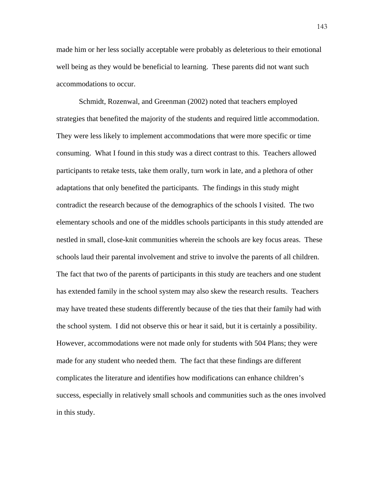made him or her less socially acceptable were probably as deleterious to their emotional well being as they would be beneficial to learning. These parents did not want such accommodations to occur.

 Schmidt, Rozenwal, and Greenman (2002) noted that teachers employed strategies that benefited the majority of the students and required little accommodation. They were less likely to implement accommodations that were more specific or time consuming. What I found in this study was a direct contrast to this. Teachers allowed participants to retake tests, take them orally, turn work in late, and a plethora of other adaptations that only benefited the participants. The findings in this study might contradict the research because of the demographics of the schools I visited. The two elementary schools and one of the middles schools participants in this study attended are nestled in small, close-knit communities wherein the schools are key focus areas. These schools laud their parental involvement and strive to involve the parents of all children. The fact that two of the parents of participants in this study are teachers and one student has extended family in the school system may also skew the research results. Teachers may have treated these students differently because of the ties that their family had with the school system. I did not observe this or hear it said, but it is certainly a possibility. However, accommodations were not made only for students with 504 Plans; they were made for any student who needed them. The fact that these findings are different complicates the literature and identifies how modifications can enhance children's success, especially in relatively small schools and communities such as the ones involved in this study.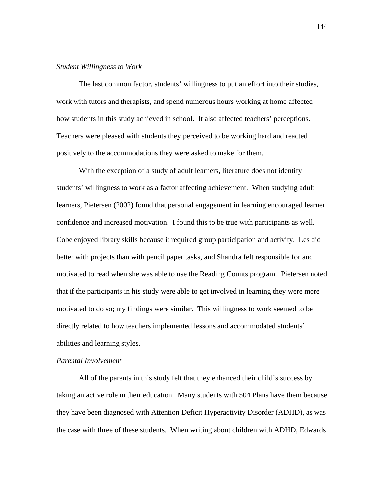#### *Student Willingness to Work*

The last common factor, students' willingness to put an effort into their studies, work with tutors and therapists, and spend numerous hours working at home affected how students in this study achieved in school. It also affected teachers' perceptions. Teachers were pleased with students they perceived to be working hard and reacted positively to the accommodations they were asked to make for them.

 With the exception of a study of adult learners, literature does not identify students' willingness to work as a factor affecting achievement. When studying adult learners, Pietersen (2002) found that personal engagement in learning encouraged learner confidence and increased motivation. I found this to be true with participants as well. Cobe enjoyed library skills because it required group participation and activity. Les did better with projects than with pencil paper tasks, and Shandra felt responsible for and motivated to read when she was able to use the Reading Counts program. Pietersen noted that if the participants in his study were able to get involved in learning they were more motivated to do so; my findings were similar. This willingness to work seemed to be directly related to how teachers implemented lessons and accommodated students' abilities and learning styles.

#### *Parental Involvement*

All of the parents in this study felt that they enhanced their child's success by taking an active role in their education. Many students with 504 Plans have them because they have been diagnosed with Attention Deficit Hyperactivity Disorder (ADHD), as was the case with three of these students. When writing about children with ADHD, Edwards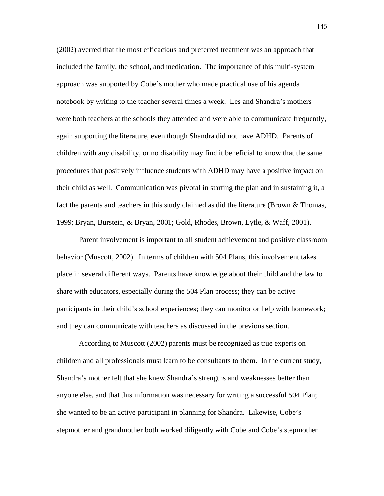(2002) averred that the most efficacious and preferred treatment was an approach that included the family, the school, and medication. The importance of this multi-system approach was supported by Cobe's mother who made practical use of his agenda notebook by writing to the teacher several times a week. Les and Shandra's mothers were both teachers at the schools they attended and were able to communicate frequently, again supporting the literature, even though Shandra did not have ADHD. Parents of children with any disability, or no disability may find it beneficial to know that the same procedures that positively influence students with ADHD may have a positive impact on their child as well. Communication was pivotal in starting the plan and in sustaining it, a fact the parents and teachers in this study claimed as did the literature (Brown & Thomas, 1999; Bryan, Burstein, & Bryan, 2001; Gold, Rhodes, Brown, Lytle, & Waff, 2001).

Parent involvement is important to all student achievement and positive classroom behavior (Muscott, 2002). In terms of children with 504 Plans, this involvement takes place in several different ways. Parents have knowledge about their child and the law to share with educators, especially during the 504 Plan process; they can be active participants in their child's school experiences; they can monitor or help with homework; and they can communicate with teachers as discussed in the previous section.

According to Muscott (2002) parents must be recognized as true experts on children and all professionals must learn to be consultants to them. In the current study, Shandra's mother felt that she knew Shandra's strengths and weaknesses better than anyone else, and that this information was necessary for writing a successful 504 Plan; she wanted to be an active participant in planning for Shandra. Likewise, Cobe's stepmother and grandmother both worked diligently with Cobe and Cobe's stepmother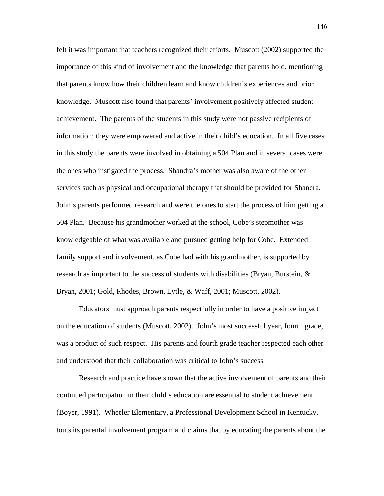felt it was important that teachers recognized their efforts. Muscott (2002) supported the importance of this kind of involvement and the knowledge that parents hold, mentioning that parents know how their children learn and know children's experiences and prior knowledge. Muscott also found that parents' involvement positively affected student achievement. The parents of the students in this study were not passive recipients of information; they were empowered and active in their child's education. In all five cases in this study the parents were involved in obtaining a 504 Plan and in several cases were the ones who instigated the process. Shandra's mother was also aware of the other services such as physical and occupational therapy that should be provided for Shandra. John's parents performed research and were the ones to start the process of him getting a 504 Plan. Because his grandmother worked at the school, Cobe's stepmother was knowledgeable of what was available and pursued getting help for Cobe. Extended family support and involvement, as Cobe had with his grandmother, is supported by research as important to the success of students with disabilities (Bryan, Burstein,  $\&$ Bryan, 2001; Gold, Rhodes, Brown, Lytle, & Waff, 2001; Muscott, 2002).

 Educators must approach parents respectfully in order to have a positive impact on the education of students (Muscott, 2002). John's most successful year, fourth grade, was a product of such respect. His parents and fourth grade teacher respected each other and understood that their collaboration was critical to John's success.

 Research and practice have shown that the active involvement of parents and their continued participation in their child's education are essential to student achievement (Boyer, 1991). Wheeler Elementary, a Professional Development School in Kentucky, touts its parental involvement program and claims that by educating the parents about the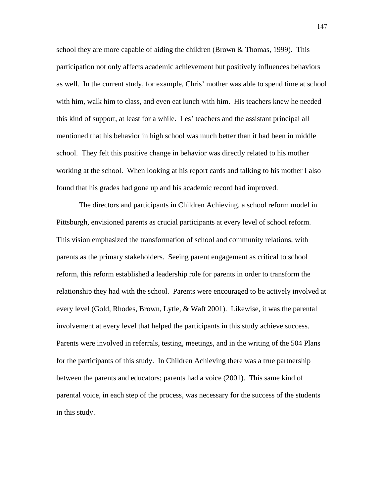school they are more capable of aiding the children (Brown & Thomas, 1999). This participation not only affects academic achievement but positively influences behaviors as well. In the current study, for example, Chris' mother was able to spend time at school with him, walk him to class, and even eat lunch with him. His teachers knew he needed this kind of support, at least for a while. Les' teachers and the assistant principal all mentioned that his behavior in high school was much better than it had been in middle school. They felt this positive change in behavior was directly related to his mother working at the school. When looking at his report cards and talking to his mother I also found that his grades had gone up and his academic record had improved.

 The directors and participants in Children Achieving, a school reform model in Pittsburgh, envisioned parents as crucial participants at every level of school reform. This vision emphasized the transformation of school and community relations, with parents as the primary stakeholders. Seeing parent engagement as critical to school reform, this reform established a leadership role for parents in order to transform the relationship they had with the school. Parents were encouraged to be actively involved at every level (Gold, Rhodes, Brown, Lytle, & Waft 2001). Likewise, it was the parental involvement at every level that helped the participants in this study achieve success. Parents were involved in referrals, testing, meetings, and in the writing of the 504 Plans for the participants of this study. In Children Achieving there was a true partnership between the parents and educators; parents had a voice (2001). This same kind of parental voice, in each step of the process, was necessary for the success of the students in this study.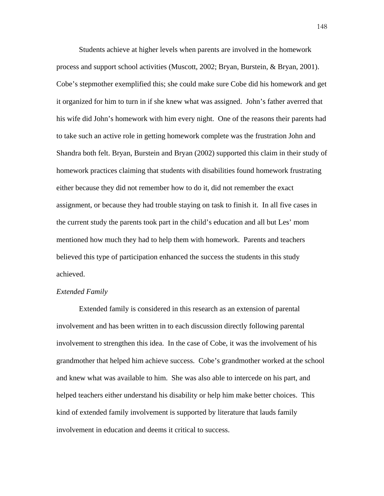Students achieve at higher levels when parents are involved in the homework process and support school activities (Muscott, 2002; Bryan, Burstein, & Bryan, 2001). Cobe's stepmother exemplified this; she could make sure Cobe did his homework and get it organized for him to turn in if she knew what was assigned. John's father averred that his wife did John's homework with him every night. One of the reasons their parents had to take such an active role in getting homework complete was the frustration John and Shandra both felt. Bryan, Burstein and Bryan (2002) supported this claim in their study of homework practices claiming that students with disabilities found homework frustrating either because they did not remember how to do it, did not remember the exact assignment, or because they had trouble staying on task to finish it. In all five cases in the current study the parents took part in the child's education and all but Les' mom mentioned how much they had to help them with homework. Parents and teachers believed this type of participation enhanced the success the students in this study achieved.

#### *Extended Family*

Extended family is considered in this research as an extension of parental involvement and has been written in to each discussion directly following parental involvement to strengthen this idea. In the case of Cobe, it was the involvement of his grandmother that helped him achieve success. Cobe's grandmother worked at the school and knew what was available to him. She was also able to intercede on his part, and helped teachers either understand his disability or help him make better choices. This kind of extended family involvement is supported by literature that lauds family involvement in education and deems it critical to success.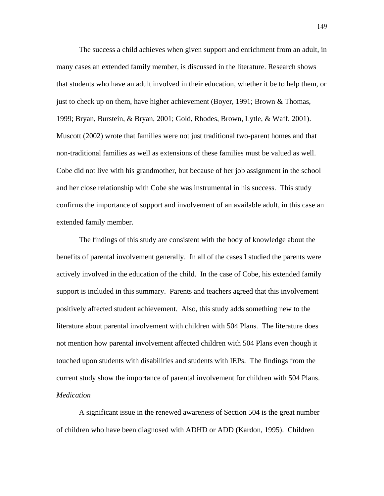The success a child achieves when given support and enrichment from an adult, in many cases an extended family member, is discussed in the literature. Research shows that students who have an adult involved in their education, whether it be to help them, or just to check up on them, have higher achievement (Boyer, 1991; Brown & Thomas, 1999; Bryan, Burstein, & Bryan, 2001; Gold, Rhodes, Brown, Lytle, & Waff, 2001). Muscott (2002) wrote that families were not just traditional two-parent homes and that non-traditional families as well as extensions of these families must be valued as well. Cobe did not live with his grandmother, but because of her job assignment in the school and her close relationship with Cobe she was instrumental in his success. This study confirms the importance of support and involvement of an available adult, in this case an extended family member.

The findings of this study are consistent with the body of knowledge about the benefits of parental involvement generally. In all of the cases I studied the parents were actively involved in the education of the child. In the case of Cobe, his extended family support is included in this summary. Parents and teachers agreed that this involvement positively affected student achievement. Also, this study adds something new to the literature about parental involvement with children with 504 Plans. The literature does not mention how parental involvement affected children with 504 Plans even though it touched upon students with disabilities and students with IEPs. The findings from the current study show the importance of parental involvement for children with 504 Plans. *Medication* 

A significant issue in the renewed awareness of Section 504 is the great number of children who have been diagnosed with ADHD or ADD (Kardon, 1995). Children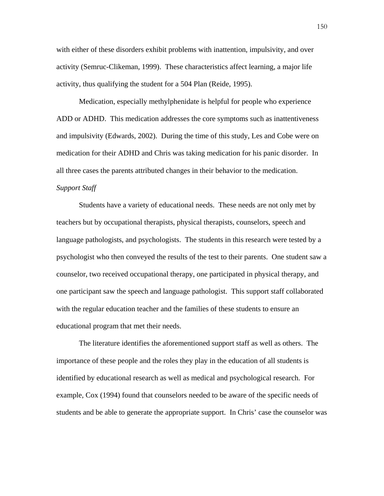with either of these disorders exhibit problems with inattention, impulsivity, and over activity (Semruc-Clikeman, 1999). These characteristics affect learning, a major life activity, thus qualifying the student for a 504 Plan (Reide, 1995).

 Medication, especially methylphenidate is helpful for people who experience ADD or ADHD. This medication addresses the core symptoms such as inattentiveness and impulsivity (Edwards, 2002). During the time of this study, Les and Cobe were on medication for their ADHD and Chris was taking medication for his panic disorder. In all three cases the parents attributed changes in their behavior to the medication.

## *Support Staff*

Students have a variety of educational needs. These needs are not only met by teachers but by occupational therapists, physical therapists, counselors, speech and language pathologists, and psychologists. The students in this research were tested by a psychologist who then conveyed the results of the test to their parents. One student saw a counselor, two received occupational therapy, one participated in physical therapy, and one participant saw the speech and language pathologist. This support staff collaborated with the regular education teacher and the families of these students to ensure an educational program that met their needs.

 The literature identifies the aforementioned support staff as well as others. The importance of these people and the roles they play in the education of all students is identified by educational research as well as medical and psychological research. For example, Cox (1994) found that counselors needed to be aware of the specific needs of students and be able to generate the appropriate support. In Chris' case the counselor was

150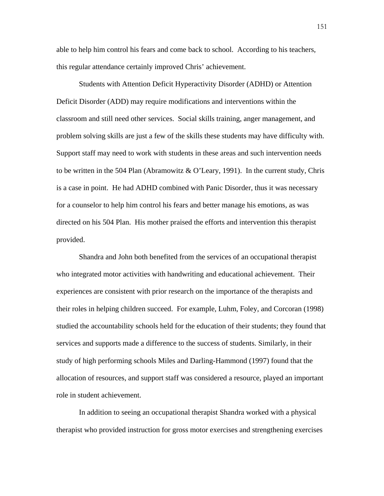able to help him control his fears and come back to school. According to his teachers, this regular attendance certainly improved Chris' achievement.

 Students with Attention Deficit Hyperactivity Disorder (ADHD) or Attention Deficit Disorder (ADD) may require modifications and interventions within the classroom and still need other services. Social skills training, anger management, and problem solving skills are just a few of the skills these students may have difficulty with. Support staff may need to work with students in these areas and such intervention needs to be written in the 504 Plan (Abramowitz  $\& O'$  Leary, 1991). In the current study, Chris is a case in point. He had ADHD combined with Panic Disorder, thus it was necessary for a counselor to help him control his fears and better manage his emotions, as was directed on his 504 Plan. His mother praised the efforts and intervention this therapist provided.

 Shandra and John both benefited from the services of an occupational therapist who integrated motor activities with handwriting and educational achievement. Their experiences are consistent with prior research on the importance of the therapists and their roles in helping children succeed. For example, Luhm, Foley, and Corcoran (1998) studied the accountability schools held for the education of their students; they found that services and supports made a difference to the success of students. Similarly, in their study of high performing schools Miles and Darling-Hammond (1997) found that the allocation of resources, and support staff was considered a resource, played an important role in student achievement.

 In addition to seeing an occupational therapist Shandra worked with a physical therapist who provided instruction for gross motor exercises and strengthening exercises

151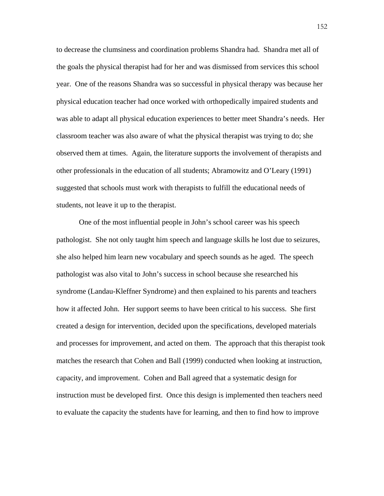to decrease the clumsiness and coordination problems Shandra had. Shandra met all of the goals the physical therapist had for her and was dismissed from services this school year. One of the reasons Shandra was so successful in physical therapy was because her physical education teacher had once worked with orthopedically impaired students and was able to adapt all physical education experiences to better meet Shandra's needs. Her classroom teacher was also aware of what the physical therapist was trying to do; she observed them at times. Again, the literature supports the involvement of therapists and other professionals in the education of all students; Abramowitz and O'Leary (1991) suggested that schools must work with therapists to fulfill the educational needs of students, not leave it up to the therapist.

 One of the most influential people in John's school career was his speech pathologist. She not only taught him speech and language skills he lost due to seizures, she also helped him learn new vocabulary and speech sounds as he aged. The speech pathologist was also vital to John's success in school because she researched his syndrome (Landau-Kleffner Syndrome) and then explained to his parents and teachers how it affected John. Her support seems to have been critical to his success. She first created a design for intervention, decided upon the specifications, developed materials and processes for improvement, and acted on them. The approach that this therapist took matches the research that Cohen and Ball (1999) conducted when looking at instruction, capacity, and improvement. Cohen and Ball agreed that a systematic design for instruction must be developed first. Once this design is implemented then teachers need to evaluate the capacity the students have for learning, and then to find how to improve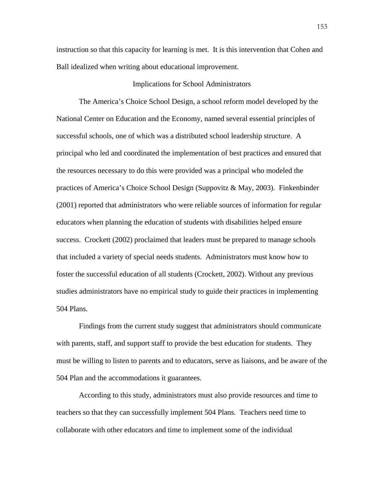instruction so that this capacity for learning is met. It is this intervention that Cohen and Ball idealized when writing about educational improvement.

#### Implications for School Administrators

 The America's Choice School Design, a school reform model developed by the National Center on Education and the Economy, named several essential principles of successful schools, one of which was a distributed school leadership structure. A principal who led and coordinated the implementation of best practices and ensured that the resources necessary to do this were provided was a principal who modeled the practices of America's Choice School Design (Suppovitz & May, 2003). Finkenbinder (2001) reported that administrators who were reliable sources of information for regular educators when planning the education of students with disabilities helped ensure success. Crockett (2002) proclaimed that leaders must be prepared to manage schools that included a variety of special needs students. Administrators must know how to foster the successful education of all students (Crockett, 2002). Without any previous studies administrators have no empirical study to guide their practices in implementing 504 Plans.

Findings from the current study suggest that administrators should communicate with parents, staff, and support staff to provide the best education for students. They must be willing to listen to parents and to educators, serve as liaisons, and be aware of the 504 Plan and the accommodations it guarantees.

According to this study, administrators must also provide resources and time to teachers so that they can successfully implement 504 Plans. Teachers need time to collaborate with other educators and time to implement some of the individual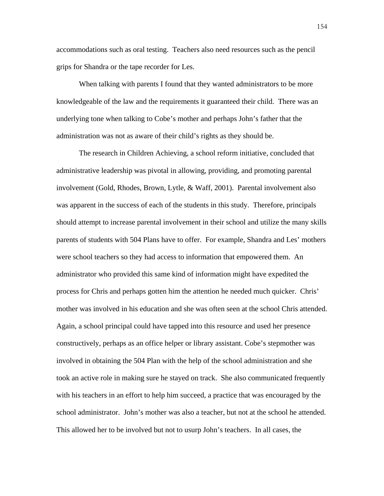accommodations such as oral testing. Teachers also need resources such as the pencil grips for Shandra or the tape recorder for Les.

When talking with parents I found that they wanted administrators to be more knowledgeable of the law and the requirements it guaranteed their child. There was an underlying tone when talking to Cobe's mother and perhaps John's father that the administration was not as aware of their child's rights as they should be.

 The research in Children Achieving, a school reform initiative, concluded that administrative leadership was pivotal in allowing, providing, and promoting parental involvement (Gold, Rhodes, Brown, Lytle, & Waff, 2001). Parental involvement also was apparent in the success of each of the students in this study. Therefore, principals should attempt to increase parental involvement in their school and utilize the many skills parents of students with 504 Plans have to offer. For example, Shandra and Les' mothers were school teachers so they had access to information that empowered them. An administrator who provided this same kind of information might have expedited the process for Chris and perhaps gotten him the attention he needed much quicker. Chris' mother was involved in his education and she was often seen at the school Chris attended. Again, a school principal could have tapped into this resource and used her presence constructively, perhaps as an office helper or library assistant. Cobe's stepmother was involved in obtaining the 504 Plan with the help of the school administration and she took an active role in making sure he stayed on track. She also communicated frequently with his teachers in an effort to help him succeed, a practice that was encouraged by the school administrator. John's mother was also a teacher, but not at the school he attended. This allowed her to be involved but not to usurp John's teachers. In all cases, the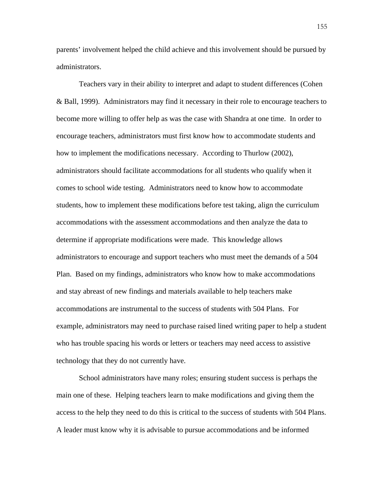parents' involvement helped the child achieve and this involvement should be pursued by administrators.

 Teachers vary in their ability to interpret and adapt to student differences (Cohen & Ball, 1999). Administrators may find it necessary in their role to encourage teachers to become more willing to offer help as was the case with Shandra at one time. In order to encourage teachers, administrators must first know how to accommodate students and how to implement the modifications necessary. According to Thurlow (2002), administrators should facilitate accommodations for all students who qualify when it comes to school wide testing. Administrators need to know how to accommodate students, how to implement these modifications before test taking, align the curriculum accommodations with the assessment accommodations and then analyze the data to determine if appropriate modifications were made. This knowledge allows administrators to encourage and support teachers who must meet the demands of a 504 Plan. Based on my findings, administrators who know how to make accommodations and stay abreast of new findings and materials available to help teachers make accommodations are instrumental to the success of students with 504 Plans. For example, administrators may need to purchase raised lined writing paper to help a student who has trouble spacing his words or letters or teachers may need access to assistive technology that they do not currently have.

 School administrators have many roles; ensuring student success is perhaps the main one of these. Helping teachers learn to make modifications and giving them the access to the help they need to do this is critical to the success of students with 504 Plans. A leader must know why it is advisable to pursue accommodations and be informed

155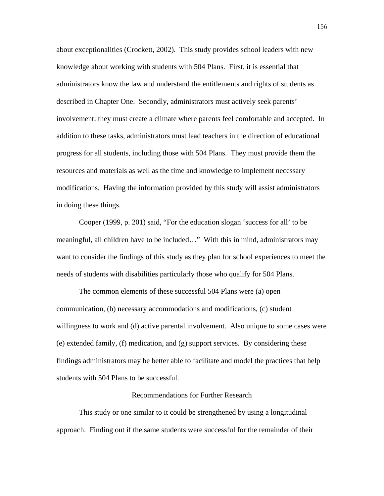about exceptionalities (Crockett, 2002). This study provides school leaders with new knowledge about working with students with 504 Plans. First, it is essential that administrators know the law and understand the entitlements and rights of students as described in Chapter One. Secondly, administrators must actively seek parents' involvement; they must create a climate where parents feel comfortable and accepted. In addition to these tasks, administrators must lead teachers in the direction of educational progress for all students, including those with 504 Plans. They must provide them the resources and materials as well as the time and knowledge to implement necessary modifications. Having the information provided by this study will assist administrators in doing these things.

Cooper (1999, p. 201) said, "For the education slogan 'success for all' to be meaningful, all children have to be included…" With this in mind, administrators may want to consider the findings of this study as they plan for school experiences to meet the needs of students with disabilities particularly those who qualify for 504 Plans.

 The common elements of these successful 504 Plans were (a) open communication, (b) necessary accommodations and modifications, (c) student willingness to work and (d) active parental involvement. Also unique to some cases were (e) extended family, (f) medication, and (g) support services. By considering these findings administrators may be better able to facilitate and model the practices that help students with 504 Plans to be successful.

#### Recommendations for Further Research

 This study or one similar to it could be strengthened by using a longitudinal approach. Finding out if the same students were successful for the remainder of their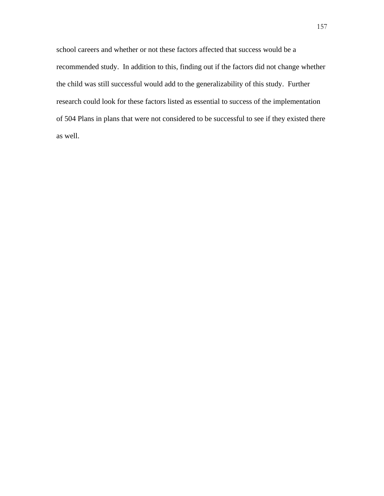school careers and whether or not these factors affected that success would be a recommended study. In addition to this, finding out if the factors did not change whether the child was still successful would add to the generalizability of this study. Further research could look for these factors listed as essential to success of the implementation of 504 Plans in plans that were not considered to be successful to see if they existed there as well.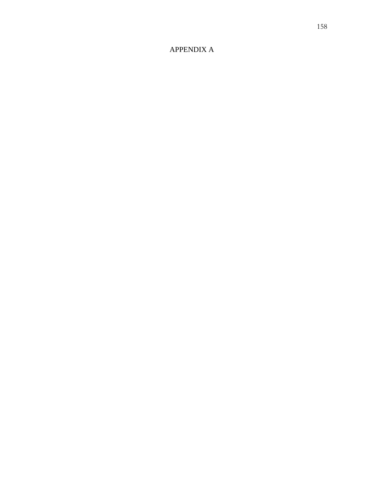# APPENDIX A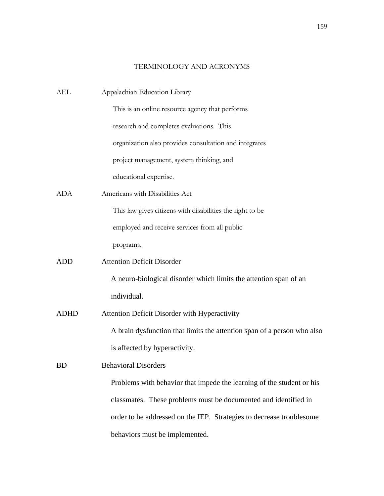## TERMINOLOGY AND ACRONYMS

| Appalachian Education Library                                           |
|-------------------------------------------------------------------------|
| This is an online resource agency that performs                         |
| research and completes evaluations. This                                |
| organization also provides consultation and integrates                  |
| project management, system thinking, and                                |
| educational expertise.                                                  |
| Americans with Disabilities Act                                         |
| This law gives citizens with disabilities the right to be               |
| employed and receive services from all public                           |
| programs.                                                               |
| <b>Attention Deficit Disorder</b>                                       |
| A neuro-biological disorder which limits the attention span of an       |
| individual.                                                             |
| Attention Deficit Disorder with Hyperactivity                           |
| A brain dysfunction that limits the attention span of a person who also |
| is affected by hyperactivity.                                           |
| <b>Behavioral Disorders</b>                                             |
| Problems with behavior that impede the learning of the student or his   |
| classmates. These problems must be documented and identified in         |
| order to be addressed on the IEP. Strategies to decrease troublesome    |
| behaviors must be implemented.                                          |
|                                                                         |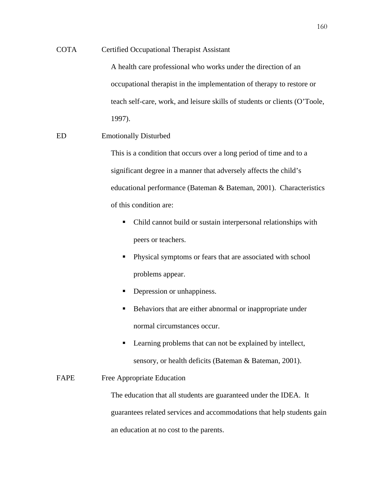## COTA Certified Occupational Therapist Assistant

A health care professional who works under the direction of an occupational therapist in the implementation of therapy to restore or teach self-care, work, and leisure skills of students or clients (O'Toole, 1997).

## ED Emotionally Disturbed

This is a condition that occurs over a long period of time and to a significant degree in a manner that adversely affects the child's educational performance (Bateman & Bateman, 2001). Characteristics of this condition are:

- Child cannot build or sustain interpersonal relationships with peers or teachers.
- **Physical symptoms or fears that are associated with school** problems appear.
- **Depression or unhappiness.**
- Behaviors that are either abnormal or inappropriate under normal circumstances occur.
- Learning problems that can not be explained by intellect, sensory, or health deficits (Bateman & Bateman, 2001).

## FAPE Free Appropriate Education

The education that all students are guaranteed under the IDEA. It guarantees related services and accommodations that help students gain an education at no cost to the parents.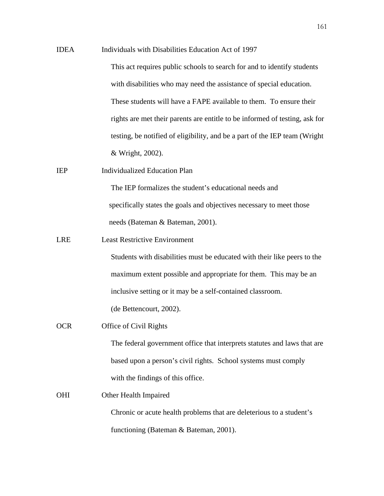- IDEA Individuals with Disabilities Education Act of 1997 This act requires public schools to search for and to identify students with disabilities who may need the assistance of special education. These students will have a FAPE available to them. To ensure their rights are met their parents are entitle to be informed of testing, ask for testing, be notified of eligibility, and be a part of the IEP team (Wright & Wright, 2002).
- IEP Individualized Education Plan

The IEP formalizes the student's educational needs and specifically states the goals and objectives necessary to meet those needs (Bateman & Bateman, 2001).

LRE Least Restrictive Environment

Students with disabilities must be educated with their like peers to the maximum extent possible and appropriate for them. This may be an inclusive setting or it may be a self-contained classroom.

(de Bettencourt, 2002).

OCR Office of Civil Rights

 The federal government office that interprets statutes and laws that are based upon a person's civil rights. School systems must comply with the findings of this office.

OHI Other Health Impaired Chronic or acute health problems that are deleterious to a student's functioning (Bateman & Bateman, 2001).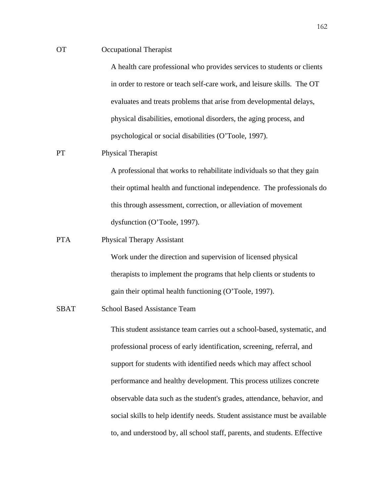### OT Occupational Therapist

 A health care professional who provides services to students or clients in order to restore or teach self-care work, and leisure skills. The OT evaluates and treats problems that arise from developmental delays, physical disabilities, emotional disorders, the aging process, and psychological or social disabilities (O'Toole, 1997).

## PT Physical Therapist

A professional that works to rehabilitate individuals so that they gain their optimal health and functional independence. The professionals do this through assessment, correction, or alleviation of movement dysfunction (O'Toole, 1997).

### PTA Physical Therapy Assistant

Work under the direction and supervision of licensed physical therapists to implement the programs that help clients or students to gain their optimal health functioning (O'Toole, 1997).

#### SBAT School Based Assistance Team

This student assistance team carries out a school-based, systematic, and professional process of early identification, screening, referral, and support for students with identified needs which may affect school performance and healthy development. This process utilizes concrete observable data such as the student's grades, attendance, behavior, and social skills to help identify needs. Student assistance must be available to, and understood by, all school staff, parents, and students. Effective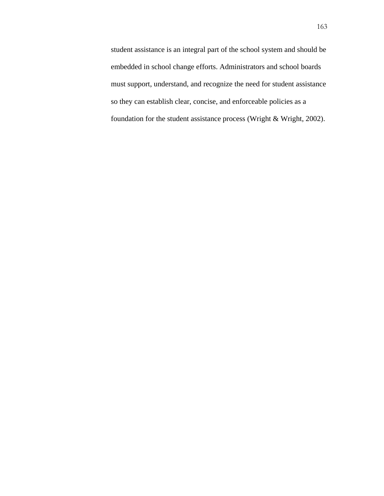student assistance is an integral part of the school system and should be embedded in school change efforts. Administrators and school boards must support, understand, and recognize the need for student assistance so they can establish clear, concise, and enforceable policies as a foundation for the student assistance process (Wright & Wright, 2002).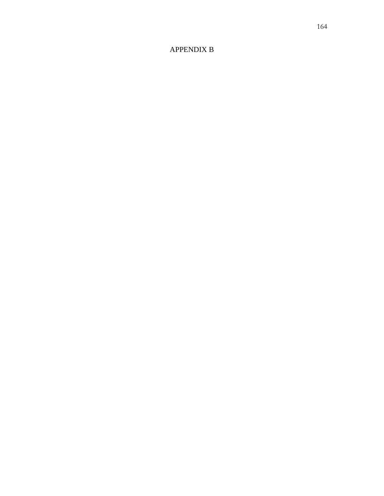# APPENDIX B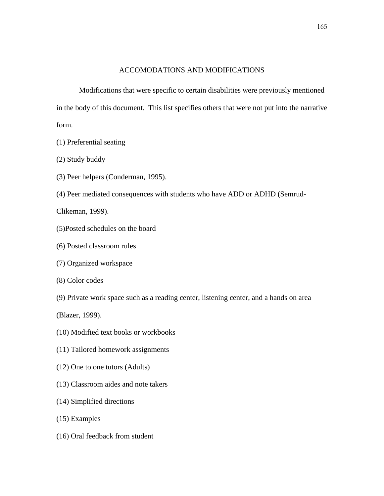## ACCOMODATIONS AND MODIFICATIONS

Modifications that were specific to certain disabilities were previously mentioned in the body of this document. This list specifies others that were not put into the narrative form.

- (1) Preferential seating
- (2) Study buddy
- (3) Peer helpers (Conderman, 1995).
- (4) Peer mediated consequences with students who have ADD or ADHD (Semrud-

Clikeman, 1999).

- (5)Posted schedules on the board
- (6) Posted classroom rules
- (7) Organized workspace
- (8) Color codes
- (9) Private work space such as a reading center, listening center, and a hands on area

(Blazer, 1999).

- (10) Modified text books or workbooks
- (11) Tailored homework assignments
- (12) One to one tutors (Adults)
- (13) Classroom aides and note takers
- (14) Simplified directions
- (15) Examples
- (16) Oral feedback from student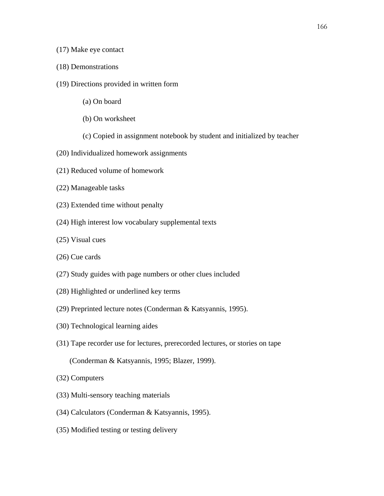## (17) Make eye contact

- (18) Demonstrations
- (19) Directions provided in written form
	- (a) On board
	- (b) On worksheet
	- (c) Copied in assignment notebook by student and initialized by teacher
- (20) Individualized homework assignments
- (21) Reduced volume of homework
- (22) Manageable tasks
- (23) Extended time without penalty
- (24) High interest low vocabulary supplemental texts
- (25) Visual cues
- (26) Cue cards
- (27) Study guides with page numbers or other clues included
- (28) Highlighted or underlined key terms
- (29) Preprinted lecture notes (Conderman & Katsyannis, 1995).
- (30) Technological learning aides
- (31) Tape recorder use for lectures, prerecorded lectures, or stories on tape
	- (Conderman & Katsyannis, 1995; Blazer, 1999).
- (32) Computers
- (33) Multi-sensory teaching materials
- (34) Calculators (Conderman & Katsyannis, 1995).
- (35) Modified testing or testing delivery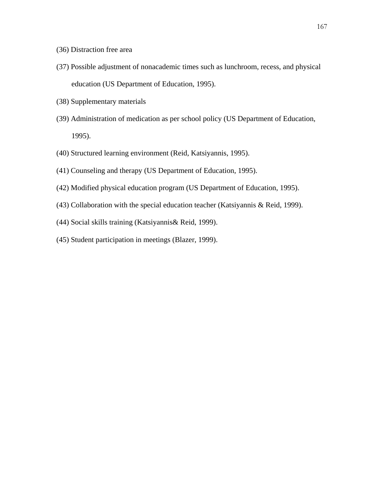- (36) Distraction free area
- (37) Possible adjustment of nonacademic times such as lunchroom, recess, and physical education (US Department of Education, 1995).
- (38) Supplementary materials
- (39) Administration of medication as per school policy (US Department of Education, 1995).
- (40) Structured learning environment (Reid, Katsiyannis, 1995).
- (41) Counseling and therapy (US Department of Education, 1995).
- (42) Modified physical education program (US Department of Education, 1995).
- (43) Collaboration with the special education teacher (Katsiyannis & Reid, 1999).
- (44) Social skills training (Katsiyannis& Reid, 1999).
- (45) Student participation in meetings (Blazer, 1999).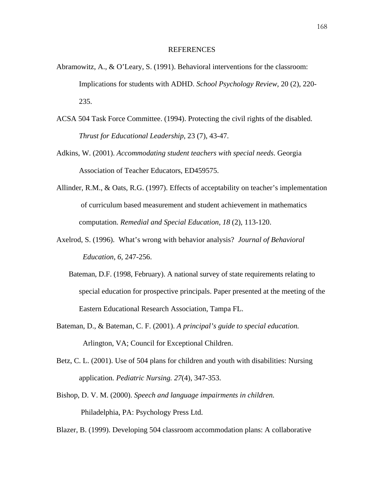#### REFERENCES

- Abramowitz, A., & O'Leary, S. (1991). Behavioral interventions for the classroom: Implications for students with ADHD. *School Psychology Review,* 20 (2), 220- 235.
- ACSA 504 Task Force Committee. (1994). Protecting the civil rights of the disabled.  *Thrust for Educational Leadership*, 23 (7), 43-47.
- Adkins, W. (2001). *Accommodating student teachers with special needs*. Georgia Association of Teacher Educators, ED459575.
- Allinder, R.M., & Oats, R.G. (1997). Effects of acceptability on teacher's implementation of curriculum based measurement and student achievement in mathematics computation. *Remedial and Special Education, 18* (2), 113-120.
- Axelrod, S. (1996). What's wrong with behavior analysis? *Journal of Behavioral Education*, *6,* 247-256.
	- Bateman, D.F. (1998, February). A national survey of state requirements relating to special education for prospective principals. Paper presented at the meeting of the Eastern Educational Research Association, Tampa FL.
- Bateman, D., & Bateman, C. F. (2001). *A principal's guide to special education.* Arlington, VA; Council for Exceptional Children.
- Betz, C. L. (2001). Use of 504 plans for children and youth with disabilities: Nursing application*. Pediatric Nursing. 27*(4), 347-353.
- Bishop, D. V. M. (2000). *Speech and language impairments in children.*  Philadelphia, PA: Psychology Press Ltd.

Blazer, B. (1999). Developing 504 classroom accommodation plans: A collaborative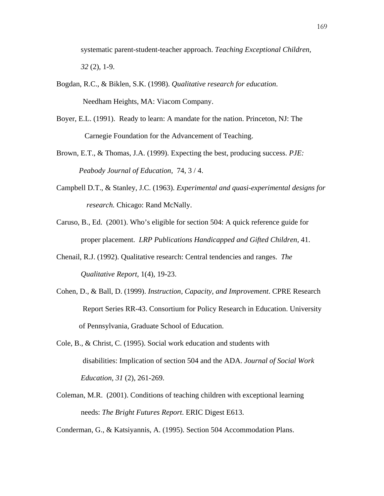systematic parent-student-teacher approach. *Teaching Exceptional Children, 32* (2), 1-9.

- Bogdan, R.C., & Biklen, S.K. (1998). *Qualitative research for education*. Needham Heights, MA: Viacom Company.
- Boyer, E.L. (1991). Ready to learn: A mandate for the nation. Princeton, NJ: The Carnegie Foundation for the Advancement of Teaching.
- Brown, E.T., & Thomas, J.A. (1999). Expecting the best, producing success. *PJE: Peabody Journal of Education,* 74, 3 / 4.
- Campbell D.T., & Stanley, J.C. (1963). *Experimental and quasi-experimental designs for research.* Chicago: Rand McNally.
- Caruso, B., Ed. (2001). Who's eligible for section 504: A quick reference guide for proper placement. *LRP Publications Handicapped and Gifted Children,* 41.
- Chenail, R.J. (1992). Qualitative research: Central tendencies and ranges. *The Qualitative Report,* 1(4), 19-23.
- Cohen, D., & Ball, D. (1999). *Instruction, Capacity, and Improvement*. CPRE Research Report Series RR-43. Consortium for Policy Research in Education. University of Pennsylvania, Graduate School of Education.
- Cole, B., & Christ, C. (1995). Social work education and students with disabilities: Implication of section 504 and the ADA. *Journal of Social Work Education, 31* (2), 261-269.
- Coleman, M.R. (2001). Conditions of teaching children with exceptional learning needs: *The Bright Futures Report*. ERIC Digest E613.

Conderman, G., & Katsiyannis, A. (1995). Section 504 Accommodation Plans.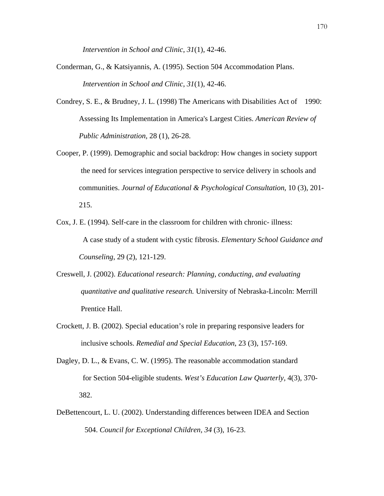*Intervention in School and Clinic*, *31*(1), 42-46.

- Conderman, G., & Katsiyannis, A. (1995). Section 504 Accommodation Plans. *Intervention in School and Clinic*, *31*(1), 42-46.
- Condrey, S. E., & Brudney, J. L. (1998) The Americans with Disabilities Act of 1990: Assessing Its Implementation in America's Largest Cities. *American Review of Public Administration,* 28 (1), 26-28.
- Cooper, P. (1999). Demographic and social backdrop: How changes in society support the need for services integration perspective to service delivery in schools and communities. *Journal of Educational & Psychological Consultation*, 10 (3), 201- 215.
- Cox, J. E. (1994). Self-care in the classroom for children with chronic- illness: A case study of a student with cystic fibrosis. *Elementary School Guidance and Counseling*, 29 (2), 121-129.
- Creswell, J. (2002). *Educational research: Planning, conducting, and evaluating quantitative and qualitative research.* University of Nebraska-Lincoln: Merrill Prentice Hall.
- Crockett, J. B. (2002). Special education's role in preparing responsive leaders for inclusive schools. *Remedial and Special Education*, 23 (3), 157-169.
- Dagley, D. L., & Evans, C. W. (1995). The reasonable accommodation standard for Section 504-eligible students. *West's Education Law Quarterly,* 4(3), 370- 382.
- DeBettencourt, L. U. (2002). Understanding differences between IDEA and Section 504. *Council for Exceptional Children, 34* (3), 16-23.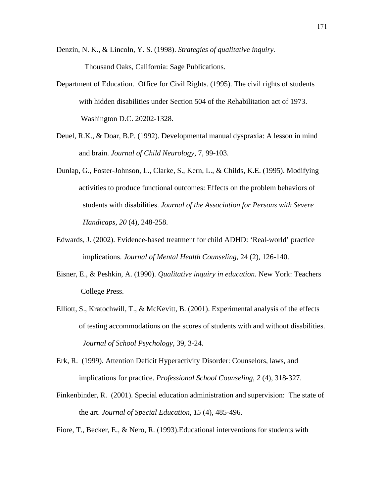Denzin, N. K., & Lincoln, Y. S. (1998). *Strategies of qualitative inquiry.* Thousand Oaks, California: Sage Publications.

- Department of Education. Office for Civil Rights. (1995). The civil rights of students with hidden disabilities under Section 504 of the Rehabilitation act of 1973. Washington D.C. 20202-1328.
- Deuel, R.K., & Doar, B.P. (1992). Developmental manual dyspraxia: A lesson in mind and brain. *Journal of Child Neurology*, 7, 99-103.
- Dunlap, G., Foster-Johnson, L., Clarke, S., Kern, L., & Childs, K.E. (1995). Modifying activities to produce functional outcomes: Effects on the problem behaviors of students with disabilities. *Journal of the Association for Persons with Severe Handicaps*, *20* (4), 248-258.
- Edwards, J. (2002). Evidence-based treatment for child ADHD: 'Real-world' practice implications. *Journal of Mental Health Counseling,* 24 (2), 126-140.
- Eisner, E., & Peshkin, A. (1990). *Qualitative inquiry in education.* New York: Teachers College Press.
- Elliott, S., Kratochwill, T., & McKevitt, B. (2001). Experimental analysis of the effects of testing accommodations on the scores of students with and without disabilities. *Journal of School Psychology*, 39, 3-24.
- Erk, R. (1999). Attention Deficit Hyperactivity Disorder: Counselors, laws, and implications for practice. *Professional School Counseling*, *2* (4), 318-327.
- Finkenbinder, R. (2001). Special education administration and supervision: The state of the art. *Journal of Special Education, 15* (4), 485-496.
- Fiore, T., Becker, E., & Nero, R. (1993).Educational interventions for students with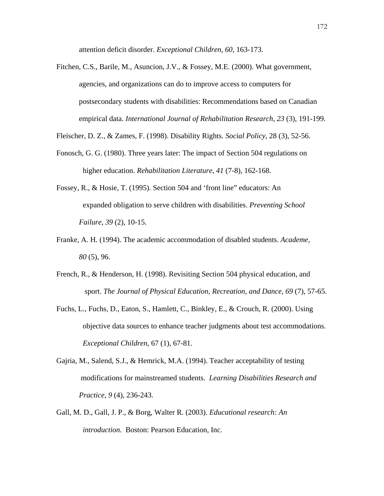attention deficit disorder. *Exceptional Children, 60,* 163-173.

Fitchen, C.S., Barile, M., Asuncion, J.V., & Fossey, M.E. (2000). What government, agencies, and organizations can do to improve access to computers for postsecondary students with disabilities: Recommendations based on Canadian empirical data. *International Journal of Rehabilitation Research*, *23* (3), 191-199.

Fleischer, D. Z., & Zames, F. (1998). Disability Rights. *Social Policy,* 28 (3), 52-56.

- Fonosch, G. G. (1980). Three years later: The impact of Section 504 regulations on higher education. *Rehabilitation Literature*, *41* (7-8), 162-168.
- Fossey, R., & Hosie, T. (1995). Section 504 and 'front line" educators: An expanded obligation to serve children with disabilities. *Preventing School Failure, 39* (2), 10-15.
- Franke, A. H. (1994). The academic accommodation of disabled students. *Academe, 80* (5), 96.
- French, R., & Henderson, H. (1998). Revisiting Section 504 physical education, and sport. *The Journal of Physical Education, Recreation, and Dance, 69* (7), 57-65.
- Fuchs, L., Fuchs, D., Eaton, S., Hamlett, C., Binkley, E., & Crouch, R. (2000). Using objective data sources to enhance teacher judgments about test accommodations.  *Exceptional Children*, 67 (1), 67-81.
- Gajria, M., Salend, S.J., & Hemrick, M.A. (1994). Teacher acceptability of testing modifications for mainstreamed students. *Learning Disabilities Research and Practice, 9* (4), 236-243.
- Gall, M. D., Gall, J. P., & Borg, Walter R. (2003). *Educational research: An introduction.* Boston: Pearson Education, Inc.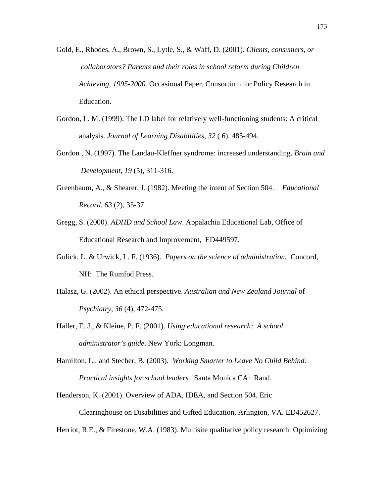- Gold, E., Rhodes, A., Brown, S., Lytle, S., & Waff, D. (2001). *Clients, consumers, or collaborators? Parents and their roles in school reform during Children Achieving, 1995-2000.* Occasional Paper. Consortium for Policy Research in Education.
- Gordon, L. M. (1999). The LD label for relatively well-functioning students: A critical analysis. *Journal of Learning Disabilities, 32* ( 6), 485-494.
- Gordon , N. (1997). The Landau-Kleffner syndrome: increased understanding. *Brain and Development, 19* (5), 311-316.
- Greenbaum, A., & Shearer, J. (1982). Meeting the intent of Section 504. *Educational Record*, *63* (2), 35-37.
- Gregg, S. (2000). *ADHD and School Law*. Appalachia Educational Lab, Office of Educational Research and Improvement, ED449597.
- Gulick, L. & Urwick, L. F. (1936). *Papers on the science of administration.* Concord, NH: The Rumfod Press.
- Halasz, G. (2002). An ethical perspective. *Australian and New Zealand Journal* of  *Psychiatry*, *36* (4), 472-475.
- Haller, E. J., & Kleine, P. F. (2001). *Using educational research: A school administrator's guide*. New York: Longman.
- Hamilton, L., and Stecher, B. (2003). *Working Smarter to Leave No Child Behind: Practical insights for school leaders.* Santa Monica CA: Rand.
- Henderson, K. (2001). Overview of ADA, IDEA, and Section 504. Eric Clearinghouse on Disabilities and Gifted Education, Arlington, VA. ED452627.

Herriot, R.E., & Firestone, W.A. (1983). Multisite qualitative policy research: Optimizing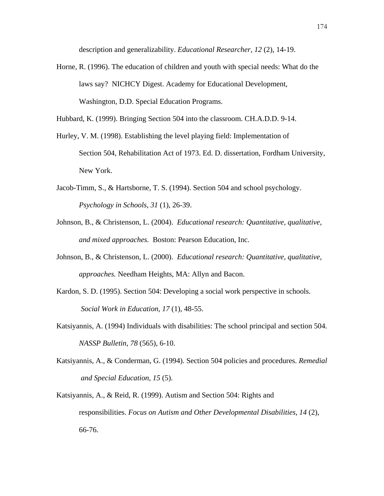description and generalizability. *Educational Researcher, 12* (2), 14-19.

- Horne, R. (1996). The education of children and youth with special needs: What do the laws say? NICHCY Digest. Academy for Educational Development, Washington, D.D. Special Education Programs.
- Hubbard, K. (1999). Bringing Section 504 into the classroom. CH.A.D.D. 9-14.
- Hurley, V. M. (1998). Establishing the level playing field: Implementation of Section 504, Rehabilitation Act of 1973. Ed. D. dissertation, Fordham University, New York.
- Jacob-Timm, S., & Hartsborne, T. S. (1994). Section 504 and school psychology. *Psychology in Schools*, *31* (1), 26-39.
- Johnson, B., & Christenson, L. (2004). *Educational research: Quantitative, qualitative, and mixed approaches.* Boston: Pearson Education, Inc.
- Johnson, B., & Christenson, L. (2000). *Educational research: Quantitative, qualitative, approaches.* Needham Heights, MA: Allyn and Bacon.
- Kardon, S. D. (1995). Section 504: Developing a social work perspective in schools. *Social Work in Education*, *17* (1), 48-55.
- Katsiyannis, A. (1994) Individuals with disabilities: The school principal and section 504. *NASSP Bulletin, 78* (565), 6-10.
- Katsiyannis, A., & Conderman, G. (1994). Section 504 policies and procedures. *Remedial and Special Education*, *15* (5).
- Katsiyannis, A., & Reid, R. (1999). Autism and Section 504: Rights and responsibilities. *Focus on Autism and Other Developmental Disabilities, 14* (2), 66-76.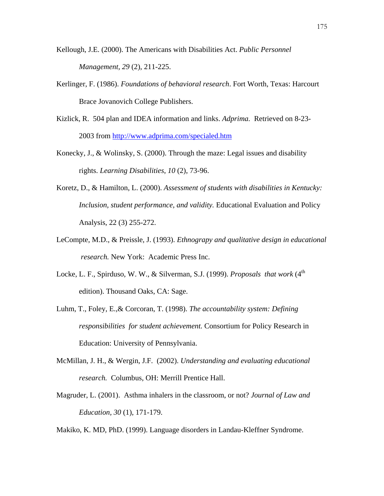- Kellough, J.E. (2000). The Americans with Disabilities Act. *Public Personnel Management, 29* (2), 211-225.
- Kerlinger, F. (1986). *Foundations of behavioral research*. Fort Worth, Texas: Harcourt Brace Jovanovich College Publishers.
- Kizlick, R. 504 plan and IDEA information and links. *Adprima.* Retrieved on 8-23- 2003 from http://www.adprima.com/specialed.htm
- Konecky, J., & Wolinsky, S. (2000). Through the maze: Legal issues and disability rights. *Learning Disabilities*, *10* (2), 73-96.
- Koretz, D., & Hamilton, L. (2000). *Assessment of students with disabilities in Kentucky: Inclusion, student performance, and validity.* Educational Evaluation and Policy Analysis, 22 (3) 255-272.
- LeCompte, M.D., & Preissle, J. (1993). *Ethnograpy and qualitative design in educational research.* New York: Academic Press Inc.
- Locke, L. F., Spirduso, W. W., & Silverman, S.J. (1999). *Proposals that work* (4<sup>th</sup> edition). Thousand Oaks, CA: Sage.
- Luhm, T., Foley, E.,& Corcoran, T. (1998). *The accountability system: Defining responsibilities for student achievement.* Consortium for Policy Research in Education: University of Pennsylvania.
- McMillan, J. H., & Wergin, J.F. (2002). *Understanding and evaluating educational research.* Columbus, OH: Merrill Prentice Hall.
- Magruder, L. (2001). Asthma inhalers in the classroom, or not? *Journal of Law and Education, 30* (1), 171-179.

Makiko, K. MD, PhD. (1999). Language disorders in Landau-Kleffner Syndrome.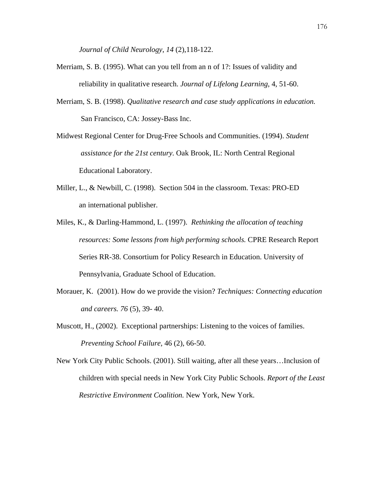*Journal of Child Neurology*, *14* (2),118-122.

- Merriam, S. B. (1995). What can you tell from an n of 1?: Issues of validity and reliability in qualitative research. *Journal of Lifelong Learning*, 4, 51-60.
- Merriam, S. B. (1998). *Qualitative research and case study applications in education.*  San Francisco, CA: Jossey-Bass Inc.

Midwest Regional Center for Drug-Free Schools and Communities. (1994). *Student assistance for the 21st century.* Oak Brook, IL: North Central Regional Educational Laboratory.

- Miller, L., & Newbill, C. (1998). Section 504 in the classroom. Texas: PRO-ED an international publisher.
- Miles, K., & Darling-Hammond, L. (1997). *Rethinking the allocation of teaching resources: Some lessons from high performing schools.* CPRE Research Report Series RR-38. Consortium for Policy Research in Education. University of Pennsylvania, Graduate School of Education.
- Morauer, K. (2001). How do we provide the vision? *Techniques: Connecting education and careers. 76* (5), 39- 40.
- Muscott, H., (2002). Exceptional partnerships: Listening to the voices of families.  *Preventing School Failure,* 46 (2), 66-50.

New York City Public Schools. (2001). Still waiting, after all these years…Inclusion of children with special needs in New York City Public Schools. *Report of the Least Restrictive Environment Coalition.* New York, New York.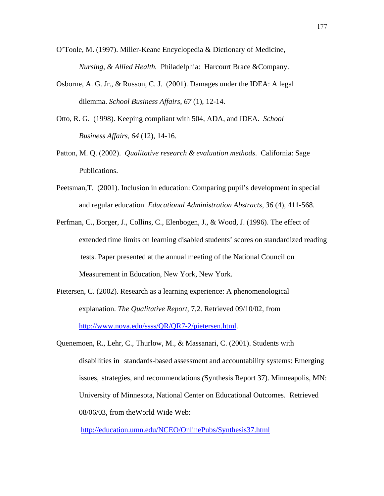- O'Toole, M. (1997). Miller-Keane Encyclopedia & Dictionary of Medicine, *Nursing, & Allied Health.* Philadelphia: Harcourt Brace &Company.
- Osborne, A. G. Jr., & Russon, C. J. (2001). Damages under the IDEA: A legal dilemma. *School Business Affairs*, *67* (1), 12-14.
- Otto, R. G. (1998). Keeping compliant with 504, ADA, and IDEA. *School Business Affairs, 64* (12), 14-16.
- Patton, M. Q. (2002). *Qualitative research & evaluation methods*. California: Sage Publications.
- Peetsman,T. (2001). Inclusion in education: Comparing pupil's development in special and regular education. *Educational Administration Abstracts*, *36* (4), 411-568.
- Perfman, C., Borger, J., Collins, C., Elenbogen, J., & Wood, J. (1996). The effect of extended time limits on learning disabled students' scores on standardized reading tests. Paper presented at the annual meeting of the National Council on Measurement in Education, New York, New York.
- Pietersen, C. (2002). Research as a learning experience: A phenomenological explanation. *The Qualitative Report*, 7,2. Retrieved 09/10/02, from http://www.nova.edu/ssss/QR/QR7-2/pietersen.html.
- Quenemoen, R., Lehr, C., Thurlow, M., & Massanari, C. (2001). Students with disabilities in standards-based assessment and accountability systems: Emerging issues, strategies, and recommendations *(*Synthesis Report 37). Minneapolis, MN: University of Minnesota, National Center on Educational Outcomes. Retrieved 08/06/03, from theWorld Wide Web:

http://education.umn.edu/NCEO/OnlinePubs/Synthesis37.html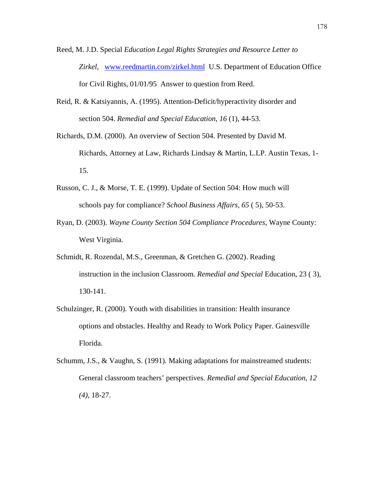- Reed, M. J.D. Special *Education Legal Rights Strategies and Resource Letter to Zirkel,* www.reedmartin.com/zirkel.html U.S. Department of Education Office for Civil Rights, 01/01/95 Answer to question from Reed.
- Reid, R. & Katsiyannis, A. (1995). Attention-Deficit/hyperactivity disorder and section 504. *Remedial and Special Education*, *16* (1), 44-53.
- Richards, D.M. (2000). An overview of Section 504. Presented by David M. Richards, Attorney at Law, Richards Lindsay & Martin, L.LP. Austin Texas, 1- 15.
- Russon, C. J., & Morse, T. E. (1999). Update of Section 504: How much will schools pay for compliance? *School Business Affairs*, *65* ( 5), 50-53.
- Ryan, D. (2003). *Wayne County Section 504 Compliance Procedures,* Wayne County: West Virginia.
- Schmidt, R. Rozendal, M.S., Greenman, & Gretchen G. (2002). Reading instruction in the inclusion Classroom*. Remedial and Special* Education, 23 ( 3), 130-141.
- Schulzinger, R. (2000). Youth with disabilities in transition: Health insurance options and obstacles. Healthy and Ready to Work Policy Paper. Gainesville Florida.
- Schumm, J.S., & Vaughn, S. (1991). Making adaptations for mainstreamed students: General classroom teachers' perspectives. *Remedial and Special Education*, *12 (4)*, 18-27.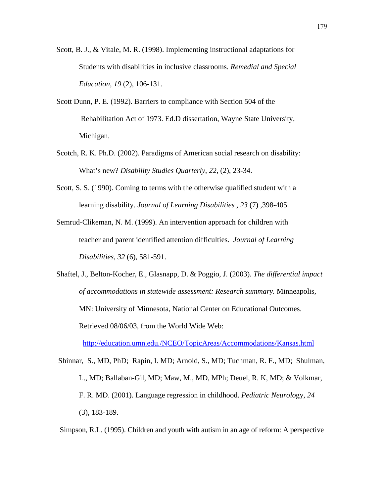- Scott, B. J., & Vitale, M. R. (1998). Implementing instructional adaptations for Students with disabilities in inclusive classrooms. *Remedial and Special Education*, *19* (2), 106-131.
- Scott Dunn, P. E. (1992). Barriers to compliance with Section 504 of the Rehabilitation Act of 1973. Ed.D dissertation, Wayne State University, Michigan.
- Scotch, R. K. Ph.D. (2002). Paradigms of American social research on disability: What's new? *Disability Studies Quarterly*, *22*, (2), 23-34.
- Scott, S. S. (1990). Coming to terms with the otherwise qualified student with a learning disability. *Journal of Learning Disabilities , 23* (7) ,398-405.
- Semrud-Clikeman, N. M. (1999). An intervention approach for children with teacher and parent identified attention difficulties. *Journal of Learning Disabilities, 32* (6), 581-591.
- Shaftel, J., Belton-Kocher, E., Glasnapp, D. & Poggio, J. (2003). *The differential impact of accommodations in statewide assessment: Research summary.* Minneapolis, MN: University of Minnesota, National Center on Educational Outcomes. Retrieved 08/06/03, from the World Wide Web:

http://education.umn.edu./NCEO/TopicAreas/Accommodations/Kansas.html

 Shinnar, S., MD, PhD; Rapin, I. MD; Arnold, S., MD; Tuchman, R. F., MD; Shulman, L., MD; Ballaban-Gil, MD; Maw, M., MD, MPh; Deuel, R. K, MD; & Volkmar, F. R. MD. (2001). Language regression in childhood. *Pediatric Neurolo*gy, *24*  (3), 183-189.

Simpson, R.L. (1995). Children and youth with autism in an age of reform: A perspective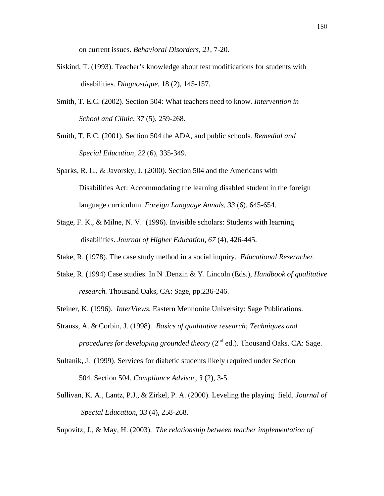on current issues. *Behavioral Disorders, 21,* 7-20.

- Siskind, T. (1993). Teacher's knowledge about test modifications for students with disabilities*. Diagnostique*, 18 (2), 145-157.
- Smith, T. E.C. (2002). Section 504: What teachers need to know*. Intervention in School and Clinic*, *37* (5), 259-268.
- Smith, T. E.C. (2001). Section 504 the ADA, and public schools. *Remedial and Special Education, 22* (6), 335-349.
- Sparks, R. L., & Javorsky, J. (2000). Section 504 and the Americans with Disabilities Act: Accommodating the learning disabled student in the foreign language curriculum. *Foreign Language Annals, 33* (6), 645-654.
- Stage, F. K., & Milne, N. V. (1996). Invisible scholars: Students with learning disabilities. *Journal of Higher Education*, *67* (4), 426-445.
- Stake, R. (1978). The case study method in a social inquiry. *Educational Reseracher.*
- Stake, R. (1994) Case studies. In N .Denzin & Y. Lincoln (Eds.), *Handbook of qualitative research.* Thousand Oaks, CA: Sage, pp.236-246.
- Steiner, K. (1996). *InterViews.* Eastern Mennonite University: Sage Publications.
- Strauss, A. & Corbin, J. (1998). *Basics of qualitative research: Techniques and procedures for developing grounded theory (2<sup>nd</sup> ed.). Thousand Oaks. CA: Sage.*
- Sultanik, J. (1999). Services for diabetic students likely required under Section 504. Section 504. *Compliance Advisor, 3* (2), 3-5.
- Sullivan, K. A., Lantz, P.J., & Zirkel, P. A. (2000). Leveling the playing field. *Journal of Special Education*, *33* (4), 258-268.

Supovitz, J., & May, H. (2003). *The relationship between teacher implementation of*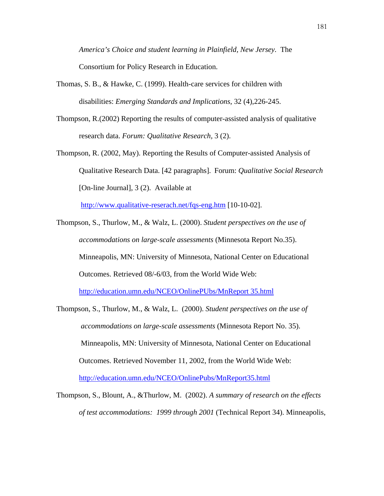*America's Choice and student learning in Plainfield, New Jersey.* The Consortium for Policy Research in Education.

- Thomas, S. B., & Hawke, C. (1999). Health-care services for children with disabilities: *Emerging Standards and Implications*, 32 (4),226-245.
- Thompson, R.(2002) Reporting the results of computer-assisted analysis of qualitative research data. *Forum: Qualitative Research,* 3 (2).

Thompson, R. (2002, May). Reporting the Results of Computer-assisted Analysis of Qualitative Research Data. [42 paragraphs]. Forum: *Qualitative Social Research*  [On-line Journal], 3 (2). Available at

http://www.qualitative-reserach.net/fqs-eng.htm [10-10-02].

- Thompson, S., Thurlow, M., & Walz, L. (2000). *Student perspectives on the use of accommodations on large-scale assessments* (Minnesota Report No.35). Minneapolis, MN: University of Minnesota, National Center on Educational Outcomes. Retrieved 08/-6/03, from the World Wide Web: http://education.umn.edu/NCEO/OnlinePUbs/MnReport 35.html
- Thompson, S., Thurlow, M., & Walz, L. (2000). *Student perspectives on the use of accommodations on large-scale assessments* (Minnesota Report No. 35). Minneapolis, MN: University of Minnesota, National Center on Educational Outcomes. Retrieved November 11, 2002, from the World Wide Web: http://education.umn.edu/NCEO/OnlinePubs/MnReport35.html
- Thompson, S., Blount, A., &Thurlow, M. (2002). *A summary of research on the effects of test accommodations: 1999 through 2001* (Technical Report 34). Minneapolis,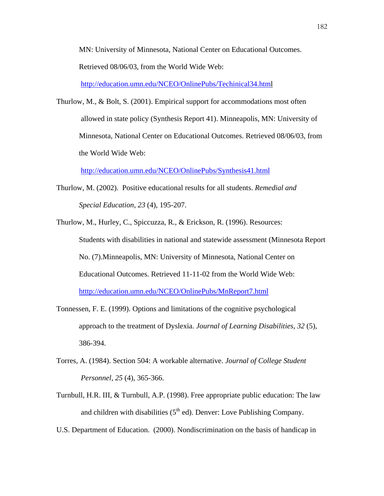MN: University of Minnesota, National Center on Educational Outcomes.

Retrieved 08/06/03, from the World Wide Web:

http://education.umn.edu/NCEO/OnlinePubs/Techinical34.html

Thurlow, M., & Bolt, S. (2001). Empirical support for accommodations most often allowed in state policy (Synthesis Report 41). Minneapolis, MN: University of Minnesota, National Center on Educational Outcomes. Retrieved 08/06/03, from the World Wide Web:

http://education.umn.edu/NCEO/OnlinePubs/Synthesis41.html

- Thurlow, M. (2002). Positive educational results for all students. *Remedial and Special Education, 23* (4), 195-207.
- Thurlow, M., Hurley, C., Spiccuzza, R., & Erickson, R. (1996). Resources: Students with disabilities in national and statewide assessment (Minnesota Report No. (7).Minneapolis, MN: University of Minnesota, National Center on Educational Outcomes. Retrieved 11-11-02 from the World Wide Web: htttp://education.umn.edu/NCEO/OnlinePubs/MnReport7.html
- Tonnessen, F. E. (1999). Options and limitations of the cognitive psychological approach to the treatment of Dyslexia. *Journal of Learning Disabilities*, *32* (5), 386-394.
- Torres, A. (1984). Section 504: A workable alternative. *Journal of College Student Personnel, 25* (4), 365-366.
- Turnbull, H.R. III, & Turnbull, A.P. (1998). Free appropriate public education: The law and children with disabilities  $(5<sup>th</sup>$  ed). Denver: Love Publishing Company.
- U.S. Department of Education. (2000). Nondiscrimination on the basis of handicap in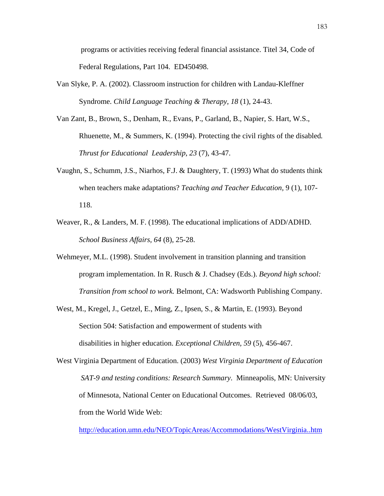programs or activities receiving federal financial assistance. Titel 34, Code of Federal Regulations, Part 104. ED450498.

- Van Slyke, P. A. (2002). Classroom instruction for children with Landau-Kleffner Syndrome. *Child Language Teaching & Therapy, 18* (1), 24-43.
- Van Zant, B., Brown, S., Denham, R., Evans, P., Garland, B., Napier, S. Hart, W.S., Rhuenette, M., & Summers, K. (1994). Protecting the civil rights of the disabled*. Thrust for Educational Leadership*, *23* (7), 43-47.
- Vaughn, S., Schumm, J.S., Niarhos, F.J. & Daughtery, T. (1993) What do students think when teachers make adaptations? *Teaching and Teacher Education,* 9 (1), 107- 118.
- Weaver, R., & Landers, M. F. (1998). The educational implications of ADD/ADHD. *School Business Affairs, 64* (8), 25-28.
- Wehmeyer, M.L. (1998). Student involvement in transition planning and transition program implementation. In R. Rusch & J. Chadsey (Eds.). *Beyond high school: Transition from school to work.* Belmont, CA: Wadsworth Publishing Company.
- West, M., Kregel, J., Getzel, E., Ming, Z., Ipsen, S., & Martin, E. (1993). Beyond Section 504: Satisfaction and empowerment of students with disabilities in higher education. *Exceptional Children, 59* (5), 456-467.
- West Virginia Department of Education. (2003) *West Virginia Department of Education SAT-9 and testing conditions: Research Summary*. Minneapolis, MN: University of Minnesota, National Center on Educational Outcomes. Retrieved 08/06/03, from the World Wide Web:

http://education.umn.edu/NEO/TopicAreas/Accommodations/WestVirginia..htm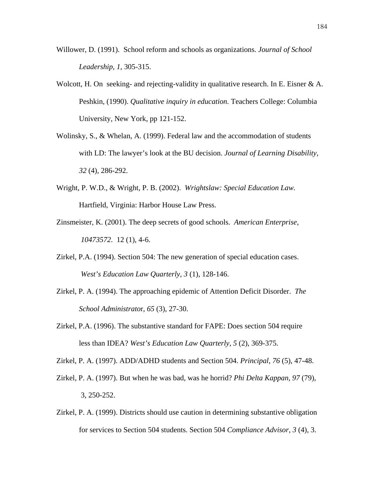- Willower, D. (1991). School reform and schools as organizations. *Journal of School Leadership, 1*, 305-315.
- Wolcott, H. On seeking- and rejecting-validity in qualitative research. In E. Eisner  $\&\,A$ . Peshkin, (1990). *Qualitative inquiry in education.* Teachers College: Columbia University, New York, pp 121-152.
- Wolinsky, S., & Whelan, A. (1999). Federal law and the accommodation of students with LD: The lawyer's look at the BU decision. *Journal of Learning Disability, 32* (4), 286-292.
- Wright, P. W.D., & Wright, P. B. (2002). *Wrightslaw: Special Education Law.* Hartfield, Virginia: Harbor House Law Press.
- Zinsmeister, K. (2001). The deep secrets of good schools. *American Enterprise, 10473572*. 12 (1), 4-6.
- Zirkel, P.A. (1994). Section 504: The new generation of special education cases. *West's Education Law Quarterly, 3* (1), 128-146.
- Zirkel, P. A. (1994). The approaching epidemic of Attention Deficit Disorder. *The School Administrato*r, *65* (3), 27-30.
- Zirkel, P.A. (1996). The substantive standard for FAPE: Does section 504 require less than IDEA? *West's Education Law Quarterly*, *5* (2), 369-375.

Zirkel, P. A. (1997). ADD/ADHD students and Section 504. *Principal*, *76* (5), 47-48.

- Zirkel, P. A. (1997). But when he was bad, was he horrid? *Phi Delta Kappan*, *97* (79), 3, 250-252.
- Zirkel, P. A. (1999). Districts should use caution in determining substantive obligation for services to Section 504 students. Section 504 *Compliance Advisor, 3* (4), 3.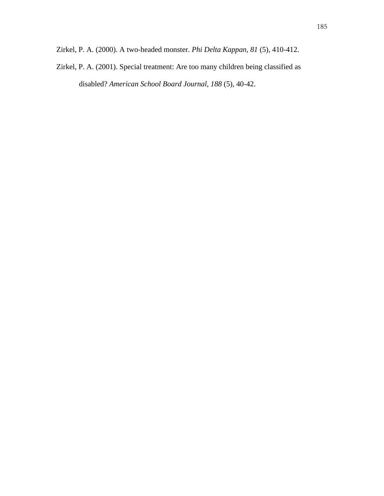Zirkel, P. A. (2001). Special treatment: Are too many children being classified as disabled? *American School Board Journal, 188* (5), 40-42.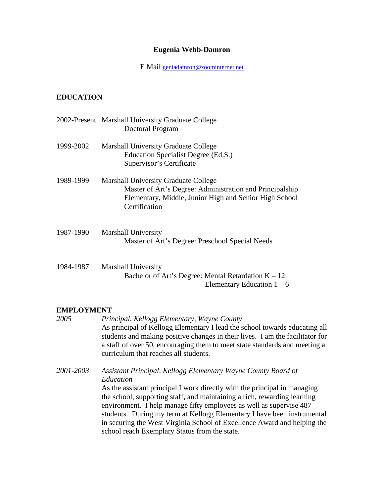#### **Eugenia Webb-Damron**

E Mail geniadamron@zoominternet.net

### **EDUCATION**

|           | 2002-Present Marshall University Graduate College<br>Doctoral Program                                                                                                              |
|-----------|------------------------------------------------------------------------------------------------------------------------------------------------------------------------------------|
| 1999-2002 | Marshall University Graduate College<br>Education Specialist Degree (Ed.S.)<br>Supervisor's Certificate                                                                            |
| 1989-1999 | <b>Marshall University Graduate College</b><br>Master of Art's Degree: Administration and Principalship<br>Elementary, Middle, Junior High and Senior High School<br>Certification |
| 1987-1990 | Marshall University<br>Master of Art's Degree: Preschool Special Needs                                                                                                             |
| 1984-1987 | Marshall University<br>Bachelor of Art's Degree: Mental Retardation $K - 12$                                                                                                       |

#### Elementary Education  $1 - 6$

#### **EMPLOYMENT**

*2005 Principal, Kellogg Elementary, Wayne County*  As principal of Kellogg Elementary I lead the school towards educating all students and making positive changes in their lives. I am the facilitator for a staff of over 50, encouraging them to meet state standards and meeting a curriculum that reaches all students. *2001-2003 Assistant Principal, Kellogg Elementary Wayne County Board of Education* 

As the assistant principal I work directly with the principal in managing the school, supporting staff, and maintaining a rich, rewarding learning environment. I help manage fifty employees as well as supervise 487 students. During my term at Kellogg Elementary I have been instrumental in securing the West Virginia School of Excellence Award and helping the school reach Exemplary Status from the state.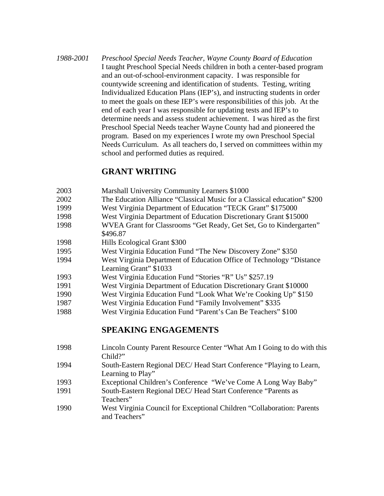*1988-2001 Preschool Special Needs Teacher, Wayne County Board of Education*  I taught Preschool Special Needs children in both a center-based program and an out-of-school-environment capacity. I was responsible for countywide screening and identification of students. Testing, writing Individualized Education Plans (IEP's), and instructing students in order to meet the goals on these IEP's were responsibilities of this job. At the end of each year I was responsible for updating tests and IEP's to determine needs and assess student achievement. I was hired as the first Preschool Special Needs teacher Wayne County had and pioneered the program. Based on my experiences I wrote my own Preschool Special Needs Curriculum. As all teachers do, I served on committees within my school and performed duties as required.

## **GRANT WRITING**

- 2003 Marshall University Community Learners \$1000
- 2002 The Education Alliance "Classical Music for a Classical education" \$200
- 1999 West Virginia Department of Education "TECK Grant" \$175000
- 1998 West Virginia Department of Education Discretionary Grant \$15000
- 1998 WVEA Grant for Classrooms "Get Ready, Get Set, Go to Kindergarten" \$496.87
- 1998 Hills Ecological Grant \$300
- 1995 West Virginia Education Fund "The New Discovery Zone" \$350
- 1994 West Virginia Department of Education Office of Technology "Distance Learning Grant" \$1033
- 1993 West Virginia Education Fund "Stories "R" Us" \$257.19
- 1991 West Virginia Department of Education Discretionary Grant \$10000
- 1990 West Virginia Education Fund "Look What We're Cooking Up" \$150
- 1987 West Virginia Education Fund "Family Involvement" \$335
- 1988 West Virginia Education Fund "Parent's Can Be Teachers" \$100

## **SPEAKING ENGAGEMENTS**

1998 Lincoln County Parent Resource Center "What Am I Going to do with this Child?" 1994 South-Eastern Regional DEC/ Head Start Conference "Playing to Learn, Learning to Play" 1993 Exceptional Children's Conference "We've Come A Long Way Baby" 1991 South-Eastern Regional DEC/ Head Start Conference "Parents as Teachers" 1990 West Virginia Council for Exceptional Children "Collaboration: Parents and Teachers"